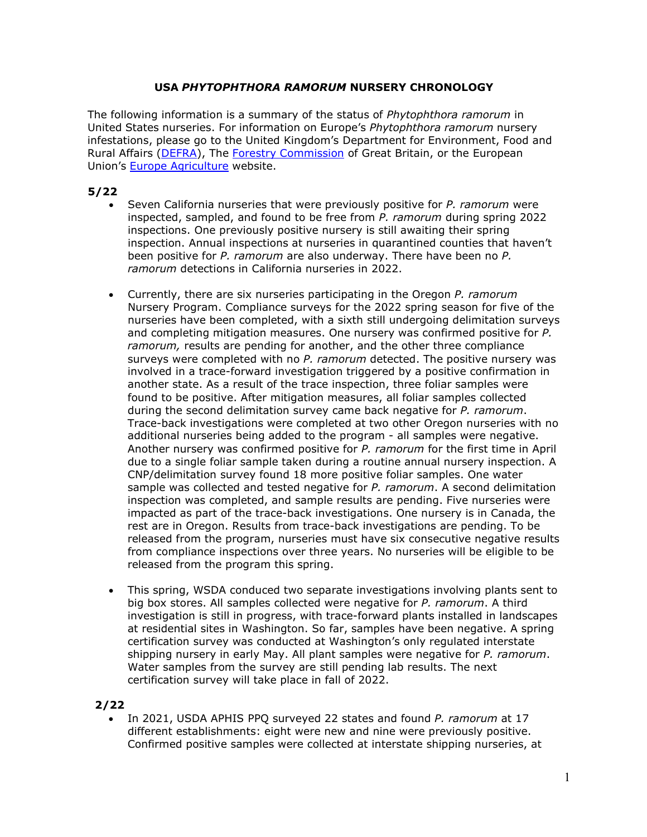## **USA** *PHYTOPHTHORA RAMORUM* **NURSERY CHRONOLOGY**

The following information is a summary of the status of *Phytophthora ramorum* in United States nurseries. For information on Europe's *Phytophthora ramorum* nursery infestations, please go to the United Kingdom's Department for Environment, Food and Rural Affairs [\(DEFRA\)](http://www.defra.gov.uk/environment/index.htm), The [Forestry Commission](http://www.forestry.gov.uk/forestry/wcas-4z5jll) of Great Britain, or the European Union's **Europe [Agriculture](http://ec.europa.eu/agriculture/envir/index_en.htm)** website.

# **5/22**

- Seven California nurseries that were previously positive for *P. ramorum* were inspected, sampled, and found to be free from *P. ramorum* during spring 2022 inspections. One previously positive nursery is still awaiting their spring inspection. Annual inspections at nurseries in quarantined counties that haven't been positive for *P. ramorum* are also underway. There have been no *P. ramorum* detections in California nurseries in 2022.
- Currently, there are six nurseries participating in the Oregon *P. ramorum* Nursery Program. Compliance surveys for the 2022 spring season for five of the nurseries have been completed, with a sixth still undergoing delimitation surveys and completing mitigation measures. One nursery was confirmed positive for *P. ramorum,* results are pending for another, and the other three compliance surveys were completed with no *P. ramorum* detected. The positive nursery was involved in a trace-forward investigation triggered by a positive confirmation in another state. As a result of the trace inspection, three foliar samples were found to be positive. After mitigation measures, all foliar samples collected during the second delimitation survey came back negative for *P. ramorum*. Trace-back investigations were completed at two other Oregon nurseries with no additional nurseries being added to the program - all samples were negative. Another nursery was confirmed positive for *P. ramorum* for the first time in April due to a single foliar sample taken during a routine annual nursery inspection. A CNP/delimitation survey found 18 more positive foliar samples. One water sample was collected and tested negative for *P. ramorum*. A second delimitation inspection was completed, and sample results are pending. Five nurseries were impacted as part of the trace-back investigations. One nursery is in Canada, the rest are in Oregon. Results from trace-back investigations are pending. To be released from the program, nurseries must have six consecutive negative results from compliance inspections over three years. No nurseries will be eligible to be released from the program this spring.
- This spring, WSDA conduced two separate investigations involving plants sent to big box stores. All samples collected were negative for *P. ramorum*. A third investigation is still in progress, with trace-forward plants installed in landscapes at residential sites in Washington. So far, samples have been negative. A spring certification survey was conducted at Washington's only regulated interstate shipping nursery in early May. All plant samples were negative for *P. ramorum*. Water samples from the survey are still pending lab results. The next certification survey will take place in fall of 2022.

## **2/22**

• In 2021, USDA APHIS PPQ surveyed 22 states and found *P. ramorum* at 17 different establishments: eight were new and nine were previously positive. Confirmed positive samples were collected at interstate shipping nurseries, at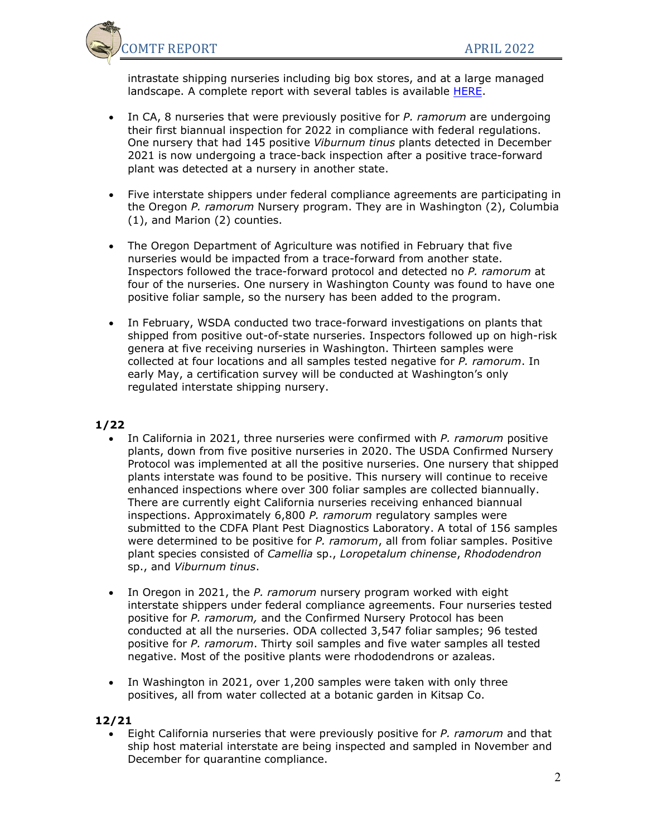

intrastate shipping nurseries including big box stores, and at a large managed landscape. A complete report with several tables is available [HERE.](https://www.suddenoakdeath.org/wp-content/uploads/2022/03/APHIS.P.ram.2021.COMTF-submission-3.24.final_.pdf)

- In CA, 8 nurseries that were previously positive for *P. ramorum* are undergoing their first biannual inspection for 2022 in compliance with federal regulations. One nursery that had 145 positive *Viburnum tinus* plants detected in December 2021 is now undergoing a trace-back inspection after a positive trace-forward plant was detected at a nursery in another state.
- Five interstate shippers under federal compliance agreements are participating in the Oregon *P. ramorum* Nursery program. They are in Washington (2), Columbia (1), and Marion (2) counties.
- The Oregon Department of Agriculture was notified in February that five nurseries would be impacted from a trace-forward from another state. Inspectors followed the trace-forward protocol and detected no *P. ramorum* at four of the nurseries. One nursery in Washington County was found to have one positive foliar sample, so the nursery has been added to the program.
- In February, WSDA conducted two trace-forward investigations on plants that shipped from positive out-of-state nurseries. Inspectors followed up on high-risk genera at five receiving nurseries in Washington. Thirteen samples were collected at four locations and all samples tested negative for *P. ramorum*. In early May, a certification survey will be conducted at Washington's only regulated interstate shipping nursery.

## **1/22**

- In California in 2021, three nurseries were confirmed with *P. ramorum* positive plants, down from five positive nurseries in 2020. The USDA Confirmed Nursery Protocol was implemented at all the positive nurseries. One nursery that shipped plants interstate was found to be positive. This nursery will continue to receive enhanced inspections where over 300 foliar samples are collected biannually. There are currently eight California nurseries receiving enhanced biannual inspections. Approximately 6,800 *P. ramorum* regulatory samples were submitted to the CDFA Plant Pest Diagnostics Laboratory. A total of 156 samples were determined to be positive for *P. ramorum*, all from foliar samples. Positive plant species consisted of *Camellia* sp., *Loropetalum chinense*, *Rhododendron* sp., and *Viburnum tinus*.
- In Oregon in 2021, the *P. ramorum* nursery program worked with eight interstate shippers under federal compliance agreements. Four nurseries tested positive for *P. ramorum,* and the Confirmed Nursery Protocol has been conducted at all the nurseries. ODA collected 3,547 foliar samples; 96 tested positive for *P. ramorum*. Thirty soil samples and five water samples all tested negative. Most of the positive plants were rhododendrons or azaleas.
- In Washington in 2021, over 1,200 samples were taken with only three positives, all from water collected at a botanic garden in Kitsap Co.

## **12/21**

• Eight California nurseries that were previously positive for *P. ramorum* and that ship host material interstate are being inspected and sampled in November and December for quarantine compliance.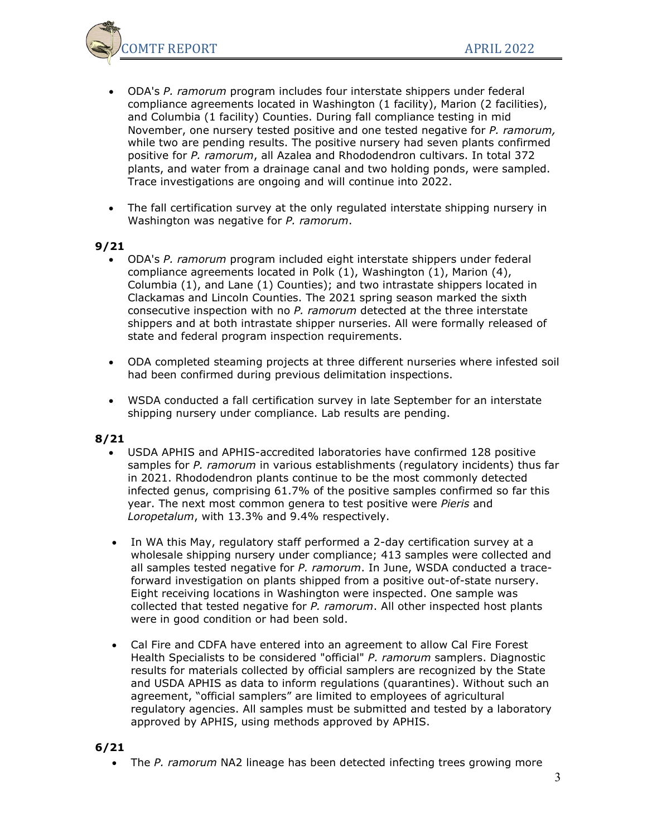

- ODA's *P. ramorum* program includes four interstate shippers under federal compliance agreements located in Washington (1 facility), Marion (2 facilities), and Columbia (1 facility) Counties. During fall compliance testing in mid November, one nursery tested positive and one tested negative for *P. ramorum,*  while two are pending results. The positive nursery had seven plants confirmed positive for *P. ramorum*, all Azalea and Rhododendron cultivars. In total 372 plants, and water from a drainage canal and two holding ponds, were sampled. Trace investigations are ongoing and will continue into 2022.
- The fall certification survey at the only regulated interstate shipping nursery in Washington was negative for *P. ramorum*.

- ODA's *P. ramorum* program included eight interstate shippers under federal compliance agreements located in Polk (1), Washington (1), Marion (4), Columbia (1), and Lane (1) Counties); and two intrastate shippers located in Clackamas and Lincoln Counties. The 2021 spring season marked the sixth consecutive inspection with no *P. ramorum* detected at the three interstate shippers and at both intrastate shipper nurseries. All were formally released of state and federal program inspection requirements.
- ODA completed steaming projects at three different nurseries where infested soil had been confirmed during previous delimitation inspections.
- WSDA conducted a fall certification survey in late September for an interstate shipping nursery under compliance. Lab results are pending.

### **8/21**

- USDA APHIS and APHIS-accredited laboratories have confirmed 128 positive samples for *P. ramorum* in various establishments (regulatory incidents) thus far in 2021. Rhododendron plants continue to be the most commonly detected infected genus, comprising 61.7% of the positive samples confirmed so far this year. The next most common genera to test positive were *Pieris* and *Loropetalum*, with 13.3% and 9.4% respectively.
- In WA this May, regulatory staff performed a 2-day certification survey at a wholesale shipping nursery under compliance; 413 samples were collected and all samples tested negative for *P. ramorum*. In June, WSDA conducted a traceforward investigation on plants shipped from a positive out-of-state nursery. Eight receiving locations in Washington were inspected. One sample was collected that tested negative for *P. ramorum*. All other inspected host plants were in good condition or had been sold.
- Cal Fire and CDFA have entered into an agreement to allow Cal Fire Forest Health Specialists to be considered "official" *P. ramorum* samplers. Diagnostic results for materials collected by official samplers are recognized by the State and USDA APHIS as data to inform regulations (quarantines). Without such an agreement, "official samplers" are limited to employees of agricultural regulatory agencies. All samples must be submitted and tested by a laboratory approved by APHIS, using methods approved by APHIS.

### **6/21**

• The *P. ramorum* NA2 lineage has been detected infecting trees growing more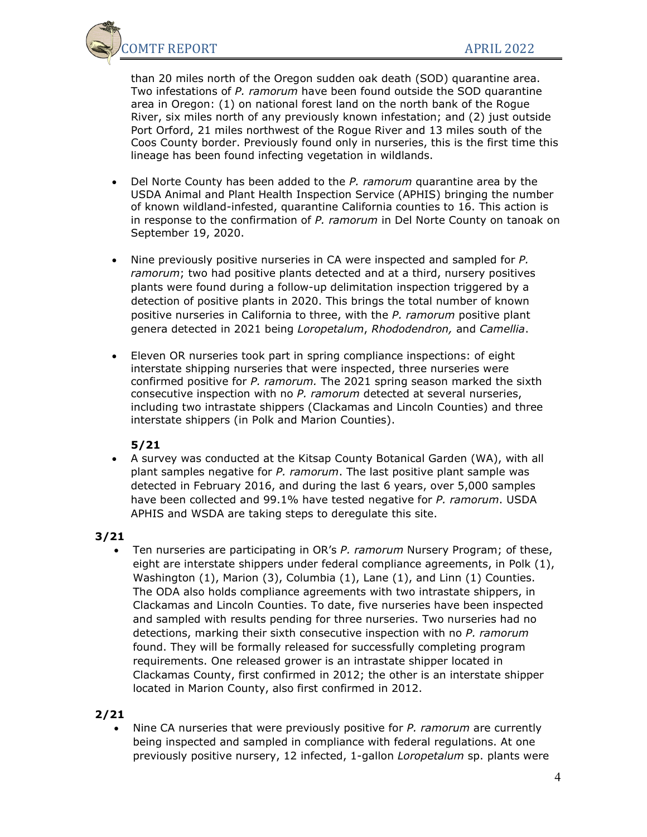OMTF REPORT APRIL 2022

than 20 miles north of the Oregon sudden oak death (SOD) quarantine area. Two infestations of *P. ramorum* have been found outside the SOD quarantine area in Oregon: (1) on national forest land on the north bank of the Rogue River, six miles north of any previously known infestation; and (2) just outside Port Orford, 21 miles northwest of the Rogue River and 13 miles south of the Coos County border. Previously found only in nurseries, this is the first time this lineage has been found infecting vegetation in wildlands.

- Del Norte County has been added to the *P. ramorum* quarantine area by the USDA Animal and Plant Health Inspection Service (APHIS) bringing the number of known wildland-infested, quarantine California counties to 16. This action is in response to the confirmation of *P. ramorum* in Del Norte County on tanoak on September 19, 2020.
- Nine previously positive nurseries in CA were inspected and sampled for *P. ramorum*; two had positive plants detected and at a third, nursery positives plants were found during a follow-up delimitation inspection triggered by a detection of positive plants in 2020. This brings the total number of known positive nurseries in California to three, with the *P. ramorum* positive plant genera detected in 2021 being *Loropetalum*, *Rhododendron,* and *Camellia*.
- Eleven OR nurseries took part in spring compliance inspections: of eight interstate shipping nurseries that were inspected, three nurseries were confirmed positive for *P. ramorum.* The 2021 spring season marked the sixth consecutive inspection with no *P. ramorum* detected at several nurseries, including two intrastate shippers (Clackamas and Lincoln Counties) and three interstate shippers (in Polk and Marion Counties).

## **5/21**

• A survey was conducted at the Kitsap County Botanical Garden (WA), with all plant samples negative for *P. ramorum*. The last positive plant sample was detected in February 2016, and during the last 6 years, over 5,000 samples have been collected and 99.1% have tested negative for *P. ramorum*. USDA APHIS and WSDA are taking steps to deregulate this site.

# **3/21**

• Ten nurseries are participating in OR's *P. ramorum* Nursery Program; of these, eight are interstate shippers under federal compliance agreements, in Polk (1), Washington (1), Marion (3), Columbia (1), Lane (1), and Linn (1) Counties. The ODA also holds compliance agreements with two intrastate shippers, in Clackamas and Lincoln Counties. To date, five nurseries have been inspected and sampled with results pending for three nurseries. Two nurseries had no detections, marking their sixth consecutive inspection with no *P. ramorum* found. They will be formally released for successfully completing program requirements. One released grower is an intrastate shipper located in Clackamas County, first confirmed in 2012; the other is an interstate shipper located in Marion County, also first confirmed in 2012.

# **2/21**

• Nine CA nurseries that were previously positive for *P. ramorum* are currently being inspected and sampled in compliance with federal regulations. At one previously positive nursery, 12 infected, 1-gallon *Loropetalum* sp. plants were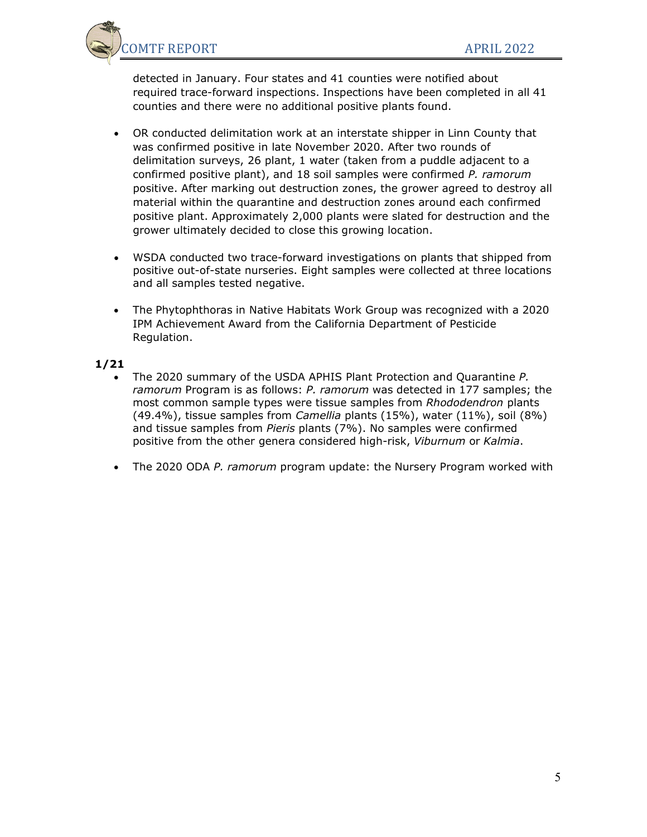

detected in January. Four states and 41 counties were notified about required trace-forward inspections. Inspections have been completed in all 41 counties and there were no additional positive plants found.

- OR conducted delimitation work at an interstate shipper in Linn County that was confirmed positive in late November 2020. After two rounds of delimitation surveys, 26 plant, 1 water (taken from a puddle adjacent to a confirmed positive plant), and 18 soil samples were confirmed *P. ramorum* positive. After marking out destruction zones, the grower agreed to destroy all material within the quarantine and destruction zones around each confirmed positive plant. Approximately 2,000 plants were slated for destruction and the grower ultimately decided to close this growing location.
- WSDA conducted two trace-forward investigations on plants that shipped from positive out-of-state nurseries. Eight samples were collected at three locations and all samples tested negative.
- The Phytophthoras in Native Habitats Work Group was recognized with a 2020 IPM Achievement Award from the California Department of Pesticide Regulation.

- The 2020 summary of the USDA APHIS Plant Protection and Quarantine *P. ramorum* Program is as follows: *P. ramorum* was detected in 177 samples; the most common sample types were tissue samples from *Rhododendron* plants (49.4%), tissue samples from *Camellia* plants (15%), water (11%), soil (8%) and tissue samples from *Pieris* plants (7%). No samples were confirmed positive from the other genera considered high-risk, *Viburnum* or *Kalmia*.
- The 2020 ODA *P. ramorum* program update: the Nursery Program worked with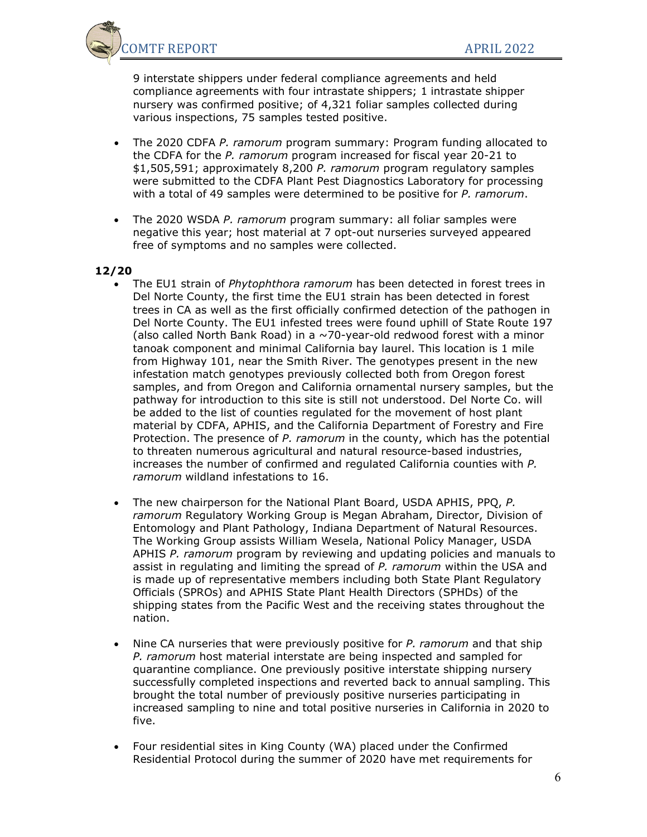

9 interstate shippers under federal compliance agreements and held compliance agreements with four intrastate shippers; 1 intrastate shipper nursery was confirmed positive; of 4,321 foliar samples collected during various inspections, 75 samples tested positive.

- The 2020 CDFA *P. ramorum* program summary: Program funding allocated to the CDFA for the *P. ramorum* program increased for fiscal year 20-21 to \$1,505,591; approximately 8,200 *P. ramorum* program regulatory samples were submitted to the CDFA Plant Pest Diagnostics Laboratory for processing with a total of 49 samples were determined to be positive for *P. ramorum*.
- The 2020 WSDA *P. ramorum* program summary: all foliar samples were negative this year; host material at 7 opt-out nurseries surveyed appeared free of symptoms and no samples were collected.

- The EU1 strain of *Phytophthora ramorum* has been detected in forest trees in Del Norte County, the first time the EU1 strain has been detected in forest trees in CA as well as the first officially confirmed detection of the pathogen in Del Norte County. The EU1 infested trees were found uphill of State Route 197 (also called North Bank Road) in a ~70-year-old redwood forest with a minor tanoak component and minimal California bay laurel. This location is 1 mile from Highway 101, near the Smith River. The genotypes present in the new infestation match genotypes previously collected both from Oregon forest samples, and from Oregon and California ornamental nursery samples, but the pathway for introduction to this site is still not understood. Del Norte Co. will be added to the list of counties regulated for the movement of host plant material by CDFA, APHIS, and the California Department of Forestry and Fire Protection. The presence of *P. ramorum* in the county, which has the potential to threaten numerous agricultural and natural resource-based industries, increases the number of confirmed and regulated California counties with *P. ramorum* wildland infestations to 16.
- The new chairperson for the National Plant Board, USDA APHIS, PPQ, *P. ramorum* Regulatory Working Group is Megan Abraham, Director, Division of Entomology and Plant Pathology, Indiana Department of Natural Resources. The Working Group assists William Wesela, National Policy Manager, USDA APHIS *P. ramorum* program by reviewing and updating policies and manuals to assist in regulating and limiting the spread of *P. ramorum* within the USA and is made up of representative members including both State Plant Regulatory Officials (SPROs) and APHIS State Plant Health Directors (SPHDs) of the shipping states from the Pacific West and the receiving states throughout the nation.
- Nine CA nurseries that were previously positive for *P. ramorum* and that ship *P. ramorum* host material interstate are being inspected and sampled for quarantine compliance. One previously positive interstate shipping nursery successfully completed inspections and reverted back to annual sampling. This brought the total number of previously positive nurseries participating in increased sampling to nine and total positive nurseries in California in 2020 to five.
- Four residential sites in King County (WA) placed under the Confirmed Residential Protocol during the summer of 2020 have met requirements for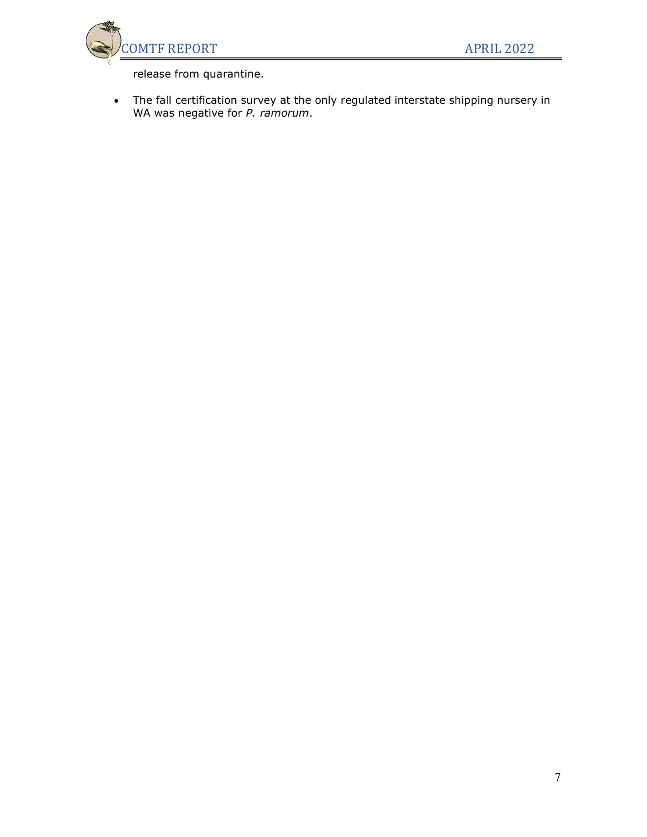

release from quarantine.

• The fall certification survey at the only regulated interstate shipping nursery in WA was negative for *P. ramorum*.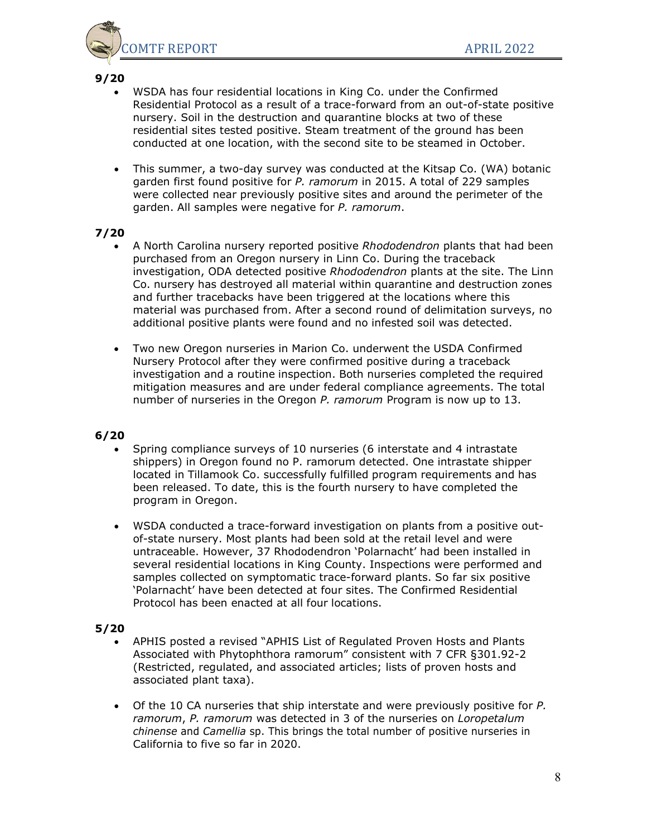

- WSDA has four residential locations in King Co. under the Confirmed Residential Protocol as a result of a trace-forward from an out-of-state positive nursery. Soil in the destruction and quarantine blocks at two of these residential sites tested positive. Steam treatment of the ground has been conducted at one location, with the second site to be steamed in October.
- This summer, a two-day survey was conducted at the Kitsap Co. (WA) botanic garden first found positive for *P. ramorum* in 2015. A total of 229 samples were collected near previously positive sites and around the perimeter of the garden. All samples were negative for *P. ramorum*.

## **7/20**

- A North Carolina nursery reported positive *Rhododendron* plants that had been purchased from an Oregon nursery in Linn Co. During the traceback investigation, ODA detected positive *Rhododendron* plants at the site. The Linn Co. nursery has destroyed all material within quarantine and destruction zones and further tracebacks have been triggered at the locations where this material was purchased from. After a second round of delimitation surveys, no additional positive plants were found and no infested soil was detected.
- Two new Oregon nurseries in Marion Co. underwent the USDA Confirmed Nursery Protocol after they were confirmed positive during a traceback investigation and a routine inspection. Both nurseries completed the required mitigation measures and are under federal compliance agreements. The total number of nurseries in the Oregon *P. ramorum* Program is now up to 13.

## **6/20**

- Spring compliance surveys of 10 nurseries (6 interstate and 4 intrastate shippers) in Oregon found no P. ramorum detected. One intrastate shipper located in Tillamook Co. successfully fulfilled program requirements and has been released. To date, this is the fourth nursery to have completed the program in Oregon.
- WSDA conducted a trace-forward investigation on plants from a positive outof-state nursery. Most plants had been sold at the retail level and were untraceable. However, 37 Rhododendron 'Polarnacht' had been installed in several residential locations in King County. Inspections were performed and samples collected on symptomatic trace-forward plants. So far six positive 'Polarnacht' have been detected at four sites. The Confirmed Residential Protocol has been enacted at all four locations.

- APHIS posted a revised "APHIS List of Regulated Proven Hosts and Plants Associated with Phytophthora ramorum" consistent with 7 CFR §301.92-2 (Restricted, regulated, and associated articles; lists of proven hosts and associated plant taxa).
- Of the 10 CA nurseries that ship interstate and were previously positive for *P. ramorum*, *P. ramorum* was detected in 3 of the nurseries on *Loropetalum chinense* and *Camellia* sp. This brings the total number of positive nurseries in California to five so far in 2020.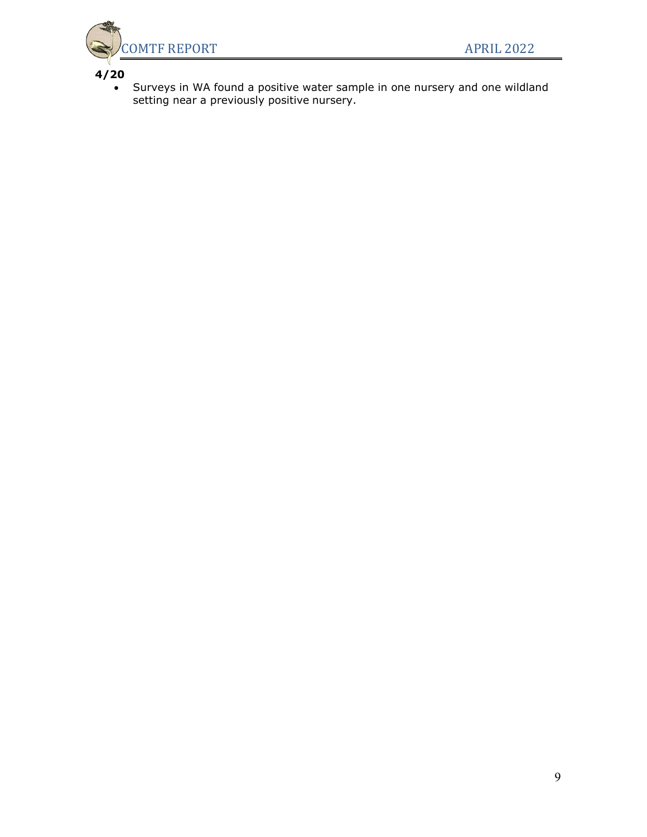

• Surveys in WA found a positive water sample in one nursery and one wildland setting near a previously positive nursery.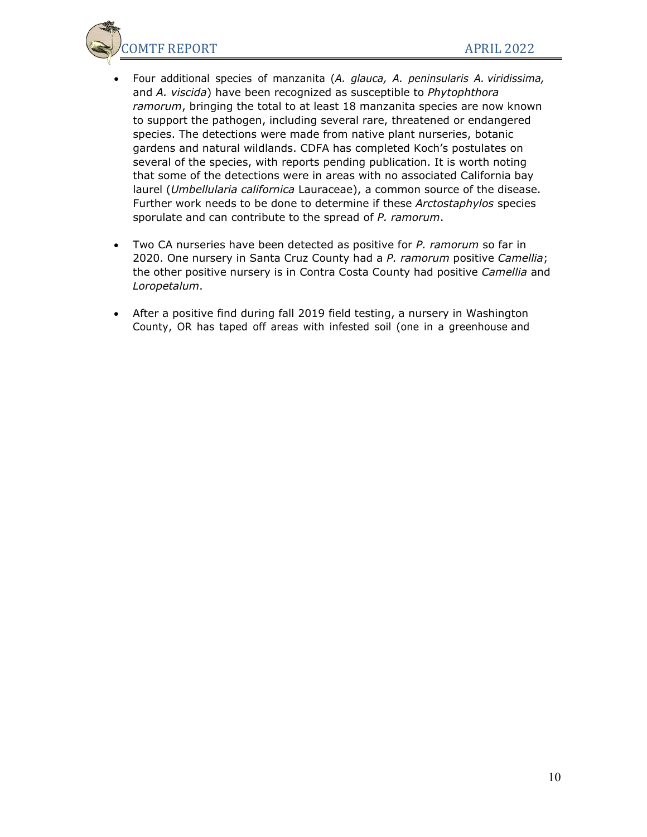OMTF REPORT APRIL 2022

- Four additional species of manzanita (*A. glauca, A. peninsularis A. viridissima,* and *A. viscida*) have been recognized as susceptible to *Phytophthora ramorum*, bringing the total to at least 18 manzanita species are now known to support the pathogen, including several rare, threatened or endangered species. The detections were made from native plant nurseries, botanic gardens and natural wildlands. CDFA has completed Koch's postulates on several of the species, with reports pending publication. It is worth noting that some of the detections were in areas with no associated California bay laurel (*Umbellularia californica* Lauraceae), a common source of the disease. Further work needs to be done to determine if these *Arctostaphylos* species sporulate and can contribute to the spread of *P. ramorum*.
- Two CA nurseries have been detected as positive for *P. ramorum* so far in 2020. One nursery in Santa Cruz County had a *P. ramorum* positive *Camellia*; the other positive nursery is in Contra Costa County had positive *Camellia* and *Loropetalum*.
- After a positive find during fall 2019 field testing, a nursery in Washington County, OR has taped off areas with infested soil (one in a greenhouse and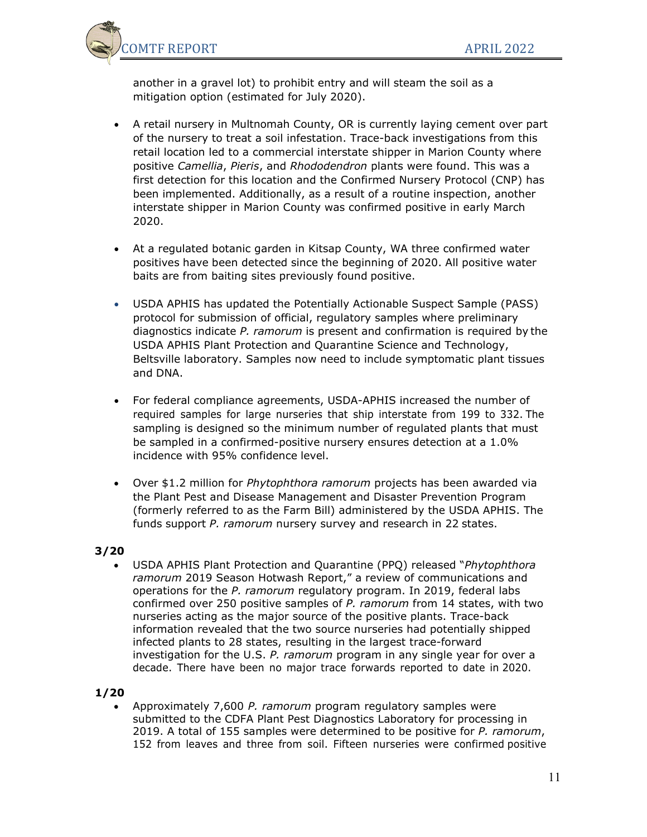

another in a gravel lot) to prohibit entry and will steam the soil as a mitigation option (estimated for July 2020).

- A retail nursery in Multnomah County, OR is currently laying cement over part of the nursery to treat a soil infestation. Trace-back investigations from this retail location led to a commercial interstate shipper in Marion County where positive *Camellia*, *Pieris*, and *Rhododendron* plants were found. This was a first detection for this location and the Confirmed Nursery Protocol (CNP) has been implemented. Additionally, as a result of a routine inspection, another interstate shipper in Marion County was confirmed positive in early March 2020.
- At a regulated botanic garden in Kitsap County, WA three confirmed water positives have been detected since the beginning of 2020. All positive water baits are from baiting sites previously found positive.
- USDA APHIS has updated the Potentially Actionable Suspect Sample (PASS) protocol for submission of official, regulatory samples where preliminary diagnostics indicate *P. ramorum* is present and confirmation is required by the USDA APHIS Plant Protection and Quarantine Science and Technology, Beltsville laboratory. Samples now need to include symptomatic plant tissues and DNA.
- For federal compliance agreements, USDA-APHIS increased the number of required samples for large nurseries that ship interstate from 199 to 332. The sampling is designed so the minimum number of regulated plants that must be sampled in a confirmed-positive nursery ensures detection at a 1.0% incidence with 95% confidence level.
- Over \$1.2 million for *Phytophthora ramorum* projects has been awarded via the Plant Pest and Disease Management and Disaster Prevention Program (formerly referred to as the Farm Bill) administered by the USDA APHIS. The funds support *P. ramorum* nursery survey and research in 22 states.

# **3/20**

• USDA APHIS Plant Protection and Quarantine (PPQ) released "*Phytophthora ramorum* 2019 Season Hotwash Report," a review of communications and operations for the *P. ramorum* regulatory program. In 2019, federal labs confirmed over 250 positive samples of *P. ramorum* from 14 states, with two nurseries acting as the major source of the positive plants. Trace-back information revealed that the two source nurseries had potentially shipped infected plants to 28 states, resulting in the largest trace-forward investigation for the U.S. *P. ramorum* program in any single year for over a decade. There have been no major trace forwards reported to date in 2020.

## **1/20**

• Approximately 7,600 *P. ramorum* program regulatory samples were submitted to the CDFA Plant Pest Diagnostics Laboratory for processing in 2019. A total of 155 samples were determined to be positive for *P. ramorum*, 152 from leaves and three from soil. Fifteen nurseries were confirmed positive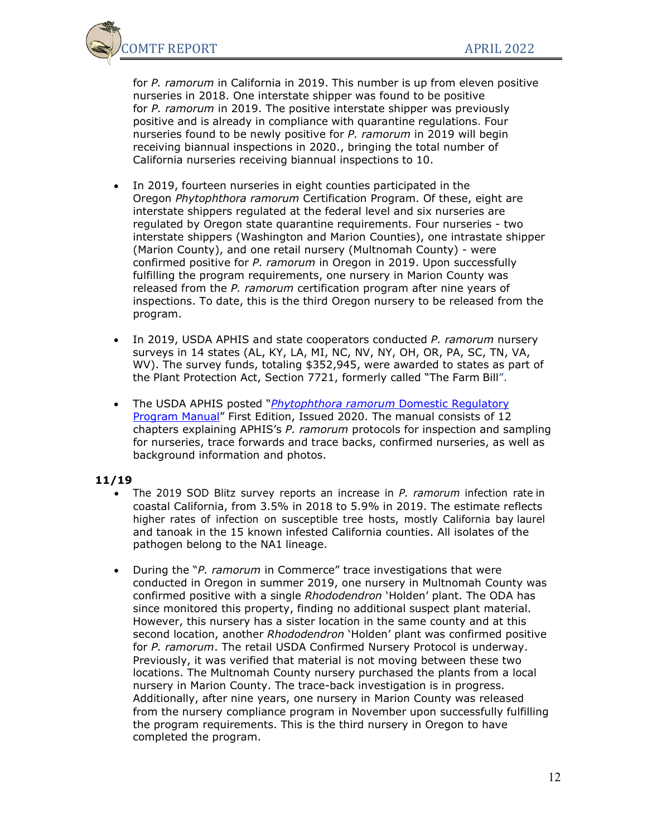

for *P. ramorum* in California in 2019. This number is up from eleven positive nurseries in 2018. One interstate shipper was found to be positive for *P. ramorum* in 2019. The positive interstate shipper was previously positive and is already in compliance with quarantine regulations. Four nurseries found to be newly positive for *P. ramorum* in 2019 will begin receiving biannual inspections in 2020., bringing the total number of California nurseries receiving biannual inspections to 10.

- In 2019, fourteen nurseries in eight counties participated in the Oregon *Phytophthora ramorum* Certification Program. Of these, eight are interstate shippers regulated at the federal level and six nurseries are regulated by Oregon state quarantine requirements. Four nurseries - two interstate shippers (Washington and Marion Counties), one intrastate shipper (Marion County), and one retail nursery (Multnomah County) - were confirmed positive for *P. ramorum* in Oregon in 2019. Upon successfully fulfilling the program requirements, one nursery in Marion County was released from the *P. ramorum* certification program after nine years of inspections. To date, this is the third Oregon nursery to be released from the program.
- In 2019, USDA APHIS and state cooperators conducted *P. ramorum* nursery surveys in 14 states (AL, KY, LA, MI, NC, NV, NY, OH, OR, PA, SC, TN, VA, WV). The survey funds, totaling \$352,945, were awarded to states as part of the Plant Protection Act, Section 7721, formerly called "The Farm Bill".
- The USDA APHIS posted "*[Phytophthora ramorum](https://www.aphis.usda.gov/import_export/plants/manuals/domestic/downloads/p-ramorum.pdf)* Domestic Regulatory [Program Manual"](https://www.aphis.usda.gov/import_export/plants/manuals/domestic/downloads/p-ramorum.pdf) First Edition, Issued 2020. The manual consists of 12 chapters explaining APHIS's *P. ramorum* protocols for inspection and sampling for nurseries, trace forwards and trace backs, confirmed nurseries, as well as background information and photos.

- The 2019 SOD Blitz survey reports an increase in *P. ramorum* infection rate in coastal California, from 3.5% in 2018 to 5.9% in 2019. The estimate reflects higher rates of infection on susceptible tree hosts, mostly California bay laurel and tanoak in the 15 known infested California counties. All isolates of the pathogen belong to the NA1 lineage.
- During the "*P. ramorum* in Commerce" trace investigations that were conducted in Oregon in summer 2019, one nursery in Multnomah County was confirmed positive with a single *Rhododendron* 'Holden' plant. The ODA has since monitored this property, finding no additional suspect plant material. However, this nursery has a sister location in the same county and at this second location, another *Rhododendron* 'Holden' plant was confirmed positive for *P. ramorum*. The retail USDA Confirmed Nursery Protocol is underway. Previously, it was verified that material is not moving between these two locations. The Multnomah County nursery purchased the plants from a local nursery in Marion County. The trace-back investigation is in progress. Additionally, after nine years, one nursery in Marion County was released from the nursery compliance program in November upon successfully fulfilling the program requirements. This is the third nursery in Oregon to have completed the program.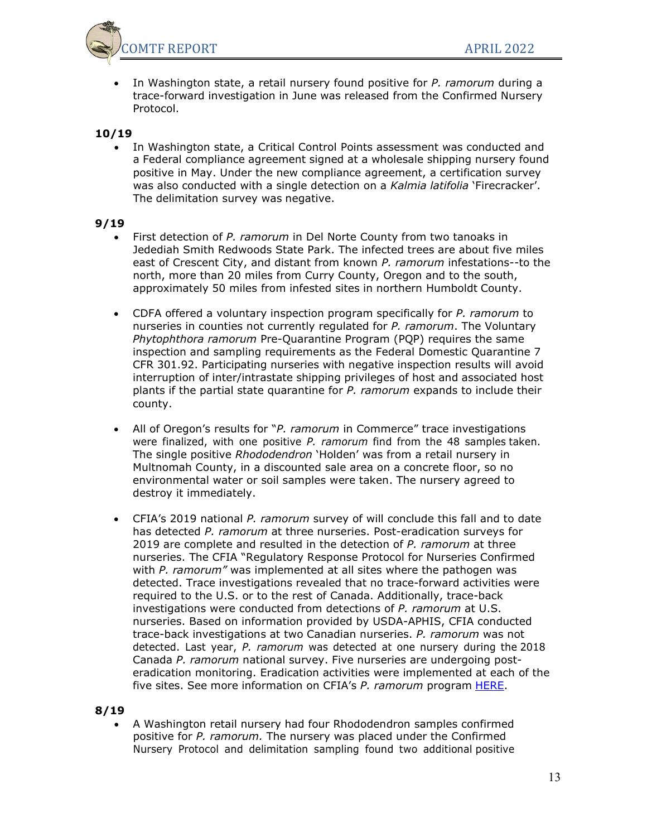

• In Washington state, a retail nursery found positive for *P. ramorum* during a trace-forward investigation in June was released from the Confirmed Nursery Protocol.

## **10/19**

• In Washington state, a Critical Control Points assessment was conducted and a Federal compliance agreement signed at a wholesale shipping nursery found positive in May. Under the new compliance agreement, a certification survey was also conducted with a single detection on a *Kalmia latifolia* 'Firecracker'. The delimitation survey was negative.

### **9/19**

- First detection of *P. ramorum* in Del Norte County from two tanoaks in Jedediah Smith Redwoods State Park. The infected trees are about five miles east of Crescent City, and distant from known *P. ramorum* infestations--to the north, more than 20 miles from Curry County, Oregon and to the south, approximately 50 miles from infested sites in northern Humboldt County.
- CDFA offered a voluntary inspection program specifically for *P. ramorum* to nurseries in counties not currently regulated for *P. ramorum*. The Voluntary *Phytophthora ramorum* Pre-Quarantine Program (PQP) requires the same inspection and sampling requirements as the Federal Domestic Quarantine 7 CFR 301.92. Participating nurseries with negative inspection results will avoid interruption of inter/intrastate shipping privileges of host and associated host plants if the partial state quarantine for *P. ramorum* expands to include their county.
- All of Oregon's results for "*P. ramorum* in Commerce" trace investigations were finalized, with one positive *P. ramorum* find from the 48 samples taken. The single positive *Rhododendron* 'Holden' was from a retail nursery in Multnomah County, in a discounted sale area on a concrete floor, so no environmental water or soil samples were taken. The nursery agreed to destroy it immediately.
- CFIA's 2019 national *P. ramorum* survey of will conclude this fall and to date has detected *P. ramorum* at three nurseries. Post-eradication surveys for 2019 are complete and resulted in the detection of *P. ramorum* at three nurseries. The CFIA "Regulatory Response Protocol for Nurseries Confirmed with *P. ramorum"* was implemented at all sites where the pathogen was detected. Trace investigations revealed that no trace-forward activities were required to the U.S. or to the rest of Canada. Additionally, trace-back investigations were conducted from detections of *P. ramorum* at U.S. nurseries. Based on information provided by USDA-APHIS, CFIA conducted trace-back investigations at two Canadian nurseries. *P. ramorum* was not detected. Last year, *P. ramorum* was detected at one nursery during the 2018 Canada *P. ramorum* national survey. Five nurseries are undergoing posteradication monitoring. Eradication activities were implemented at each of the five sites. See more information on CFIA's *P. ramorum* program [HERE.](https://www.inspection.gc.ca/plants/plant-pests-invasive-species/diseases/sudden-oak-death/eng/1327587864375/1327587972647)

### **8/19**

• A Washington retail nursery had four Rhododendron samples confirmed positive for *P. ramorum.* The nursery was placed under the Confirmed Nursery Protocol and delimitation sampling found two additional positive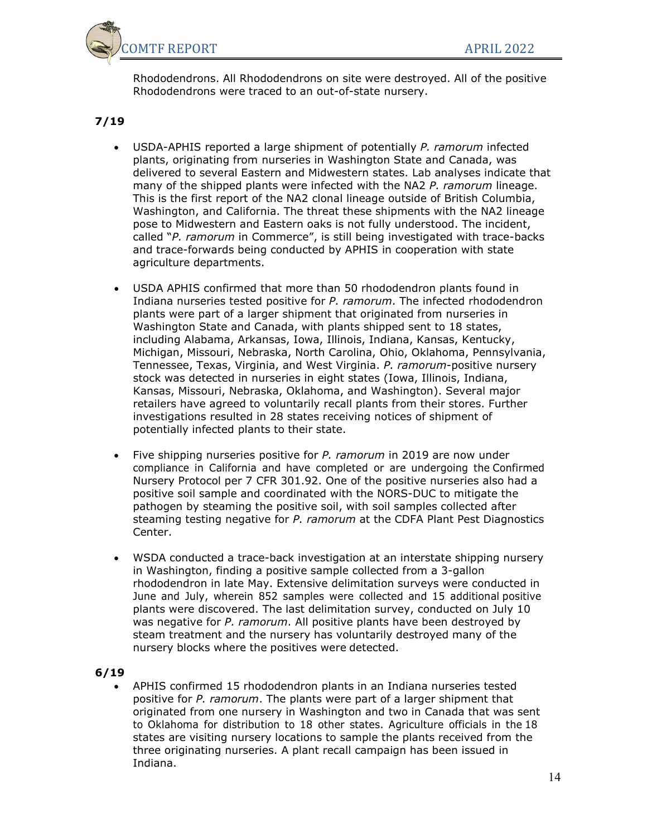

Rhododendrons. All Rhododendrons on site were destroyed. All of the positive Rhododendrons were traced to an out-of-state nursery.

# **7/19**

- USDA-APHIS reported a large shipment of potentially *P. ramorum* infected plants, originating from nurseries in Washington State and Canada, was delivered to several Eastern and Midwestern states. Lab analyses indicate that many of the shipped plants were infected with the NA2 *P. ramorum* lineage. This is the first report of the NA2 clonal lineage outside of British Columbia, Washington, and California. The threat these shipments with the NA2 lineage pose to Midwestern and Eastern oaks is not fully understood. The incident, called "*P. ramorum* in Commerce", is still being investigated with trace-backs and trace-forwards being conducted by APHIS in cooperation with state agriculture departments.
- USDA APHIS confirmed that more than 50 rhododendron plants found in Indiana nurseries tested positive for *P. ramorum*. The infected rhododendron plants were part of a larger shipment that originated from nurseries in Washington State and Canada, with plants shipped sent to 18 states, including Alabama, Arkansas, Iowa, Illinois, Indiana, Kansas, Kentucky, Michigan, Missouri, Nebraska, North Carolina, Ohio, Oklahoma, Pennsylvania, Tennessee, Texas, Virginia, and West Virginia. *P. ramorum*-positive nursery stock was detected in nurseries in eight states (Iowa, Illinois, Indiana, Kansas, Missouri, Nebraska, Oklahoma, and Washington). Several major retailers have agreed to voluntarily recall plants from their stores. Further investigations resulted in 28 states receiving notices of shipment of potentially infected plants to their state.
- Five shipping nurseries positive for *P. ramorum* in 2019 are now under compliance in California and have completed or are undergoing the Confirmed Nursery Protocol per 7 CFR 301.92. One of the positive nurseries also had a positive soil sample and coordinated with the NORS-DUC to mitigate the pathogen by steaming the positive soil, with soil samples collected after steaming testing negative for *P. ramorum* at the CDFA Plant Pest Diagnostics Center.
- WSDA conducted a trace-back investigation at an interstate shipping nursery in Washington, finding a positive sample collected from a 3-gallon rhododendron in late May. Extensive delimitation surveys were conducted in June and July, wherein 852 samples were collected and 15 additional positive plants were discovered. The last delimitation survey, conducted on July 10 was negative for *P. ramorum*. All positive plants have been destroyed by steam treatment and the nursery has voluntarily destroyed many of the nursery blocks where the positives were detected.

## **6/19**

• APHIS confirmed 15 rhododendron plants in an Indiana nurseries tested positive for *P. ramorum*. The plants were part of a larger shipment that originated from one nursery in Washington and two in Canada that was sent to Oklahoma for distribution to 18 other states. Agriculture officials in the 18 states are visiting nursery locations to sample the plants received from the three originating nurseries. A plant recall campaign has been issued in Indiana.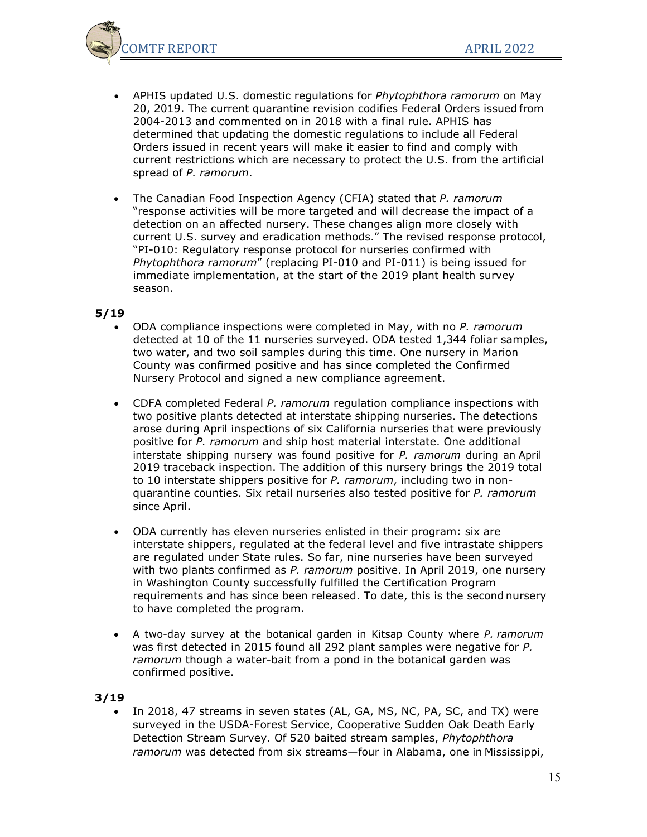

- APHIS updated U.S. domestic regulations for *Phytophthora ramorum* on May 20, 2019. The current quarantine revision codifies Federal Orders issued from 2004-2013 and commented on in 2018 with a final rule. APHIS has determined that updating the domestic regulations to include all Federal Orders issued in recent years will make it easier to find and comply with current restrictions which are necessary to protect the U.S. from the artificial spread of *P. ramorum*.
- The Canadian Food Inspection Agency (CFIA) stated that *P. ramorum* "response activities will be more targeted and will decrease the impact of a detection on an affected nursery. These changes align more closely with current U.S. survey and eradication methods." The revised response protocol, "PI-010: Regulatory response protocol for nurseries confirmed with *Phytophthora ramorum*" (replacing PI-010 and PI-011) is being issued for immediate implementation, at the start of the 2019 plant health survey season.

- ODA compliance inspections were completed in May, with no *P. ramorum* detected at 10 of the 11 nurseries surveyed. ODA tested 1,344 foliar samples, two water, and two soil samples during this time. One nursery in Marion County was confirmed positive and has since completed the Confirmed Nursery Protocol and signed a new compliance agreement.
- CDFA completed Federal *P. ramorum* regulation compliance inspections with two positive plants detected at interstate shipping nurseries. The detections arose during April inspections of six California nurseries that were previously positive for *P. ramorum* and ship host material interstate. One additional interstate shipping nursery was found positive for *P. ramorum* during an April 2019 traceback inspection. The addition of this nursery brings the 2019 total to 10 interstate shippers positive for *P. ramorum*, including two in nonquarantine counties. Six retail nurseries also tested positive for *P. ramorum* since April.
- ODA currently has eleven nurseries enlisted in their program: six are interstate shippers, regulated at the federal level and five intrastate shippers are regulated under State rules. So far, nine nurseries have been surveyed with two plants confirmed as *P. ramorum* positive. In April 2019, one nursery in Washington County successfully fulfilled the Certification Program requirements and has since been released. To date, this is the second nursery to have completed the program.
- A two-day survey at the botanical garden in Kitsap County where *P. ramorum* was first detected in 2015 found all 292 plant samples were negative for *P. ramorum* though a water-bait from a pond in the botanical garden was confirmed positive.

### **3/19**

In 2018, 47 streams in seven states (AL, GA, MS, NC, PA, SC, and TX) were surveyed in the USDA-Forest Service, Cooperative Sudden Oak Death Early Detection Stream Survey. Of 520 baited stream samples, *Phytophthora ramorum* was detected from six streams—four in Alabama, one in Mississippi,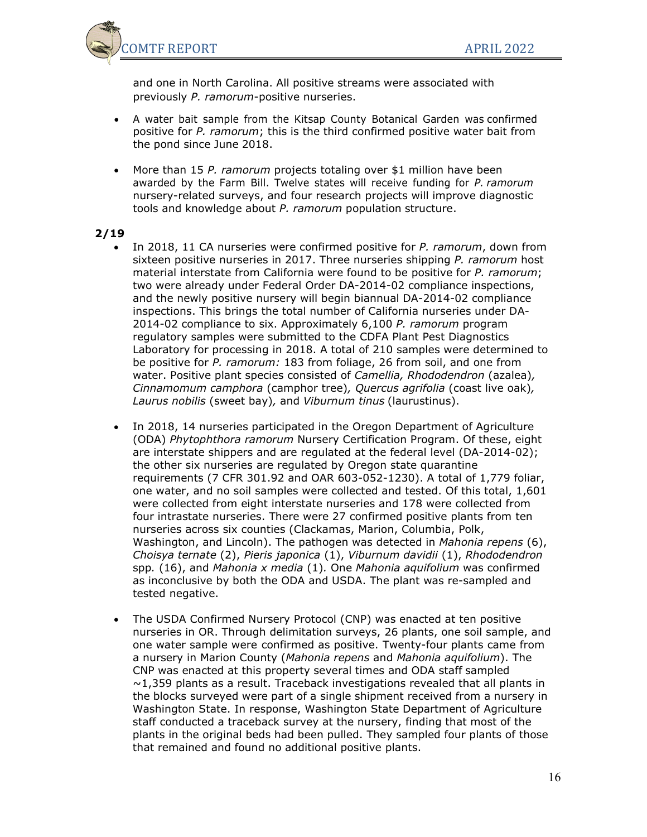

and one in North Carolina. All positive streams were associated with previously *P. ramorum*-positive nurseries.

- A water bait sample from the Kitsap County Botanical Garden was confirmed positive for *P. ramorum*; this is the third confirmed positive water bait from the pond since June 2018.
- More than 15 *P. ramorum* projects totaling over \$1 million have been awarded by the Farm Bill. Twelve states will receive funding for *P. ramorum* nursery-related surveys, and four research projects will improve diagnostic tools and knowledge about *P. ramorum* population structure.

- In 2018, 11 CA nurseries were confirmed positive for *P. ramorum*, down from sixteen positive nurseries in 2017. Three nurseries shipping *P. ramorum* host material interstate from California were found to be positive for *P. ramorum*; two were already under Federal Order DA-2014-02 compliance inspections, and the newly positive nursery will begin biannual DA-2014-02 compliance inspections. This brings the total number of California nurseries under DA-2014-02 compliance to six. Approximately 6,100 *P. ramorum* program regulatory samples were submitted to the CDFA Plant Pest Diagnostics Laboratory for processing in 2018. A total of 210 samples were determined to be positive for *P. ramorum:* 183 from foliage, 26 from soil, and one from water. Positive plant species consisted of *Camellia, Rhododendron* (azalea)*, Cinnamomum camphora* (camphor tree)*, Quercus agrifolia* (coast live oak)*, Laurus nobilis* (sweet bay)*,* and *Viburnum tinus* (laurustinus).
- In 2018, 14 nurseries participated in the Oregon Department of Agriculture (ODA) *Phytophthora ramorum* Nursery Certification Program. Of these, eight are interstate shippers and are regulated at the federal level (DA-2014-02); the other six nurseries are regulated by Oregon state quarantine requirements (7 CFR 301.92 and OAR 603-052-1230). A total of 1,779 foliar, one water, and no soil samples were collected and tested. Of this total, 1,601 were collected from eight interstate nurseries and 178 were collected from four intrastate nurseries. There were 27 confirmed positive plants from ten nurseries across six counties (Clackamas, Marion, Columbia, Polk, Washington, and Lincoln). The pathogen was detected in *Mahonia repens* (6), *Choisya ternate* (2), *Pieris japonica* (1), *Viburnum davidii* (1), *Rhododendron* spp*.* (16), and *Mahonia x media* (1)*.* One *Mahonia aquifolium* was confirmed as inconclusive by both the ODA and USDA. The plant was re-sampled and tested negative.
- The USDA Confirmed Nursery Protocol (CNP) was enacted at ten positive nurseries in OR. Through delimitation surveys, 26 plants, one soil sample, and one water sample were confirmed as positive. Twenty-four plants came from a nursery in Marion County (*Mahonia repens* and *Mahonia aquifolium*). The CNP was enacted at this property several times and ODA staff sampled  $\sim$ 1,359 plants as a result. Traceback investigations revealed that all plants in the blocks surveyed were part of a single shipment received from a nursery in Washington State. In response, Washington State Department of Agriculture staff conducted a traceback survey at the nursery, finding that most of the plants in the original beds had been pulled. They sampled four plants of those that remained and found no additional positive plants.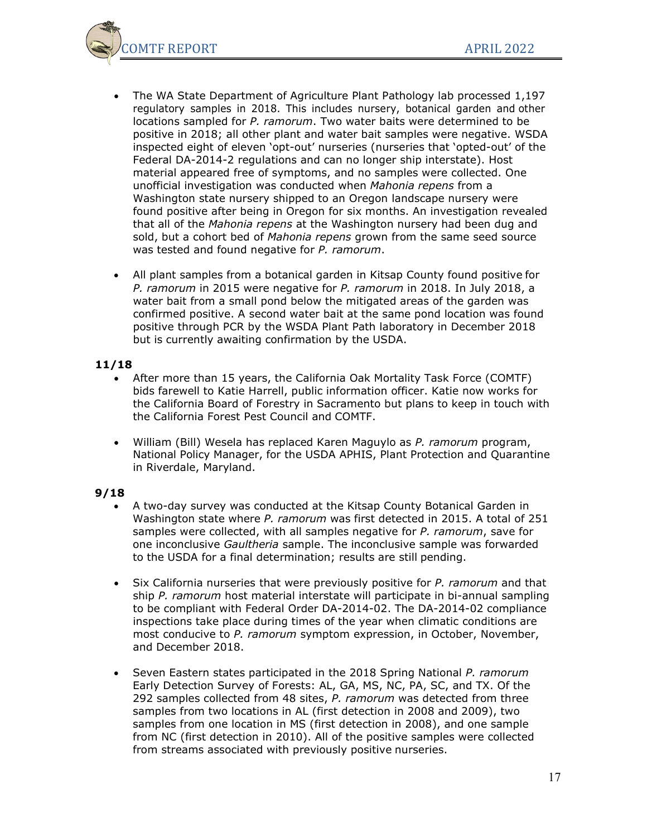

- The WA State Department of Agriculture Plant Pathology lab processed 1,197 regulatory samples in 2018. This includes nursery, botanical garden and other locations sampled for *P. ramorum*. Two water baits were determined to be positive in 2018; all other plant and water bait samples were negative. WSDA inspected eight of eleven 'opt-out' nurseries (nurseries that 'opted-out' of the Federal DA-2014-2 regulations and can no longer ship interstate). Host material appeared free of symptoms, and no samples were collected. One unofficial investigation was conducted when *Mahonia repens* from a Washington state nursery shipped to an Oregon landscape nursery were found positive after being in Oregon for six months. An investigation revealed that all of the *Mahonia repens* at the Washington nursery had been dug and sold, but a cohort bed of *Mahonia repens* grown from the same seed source was tested and found negative for *P. ramorum*.
- All plant samples from a botanical garden in Kitsap County found positive for *P. ramorum* in 2015 were negative for *P. ramorum* in 2018. In July 2018, a water bait from a small pond below the mitigated areas of the garden was confirmed positive. A second water bait at the same pond location was found positive through PCR by the WSDA Plant Path laboratory in December 2018 but is currently awaiting confirmation by the USDA.

- After more than 15 years, the California Oak Mortality Task Force (COMTF) bids farewell to Katie Harrell, public information officer. Katie now works for the California Board of Forestry in Sacramento but plans to keep in touch with the California Forest Pest Council and COMTF.
- William (Bill) Wesela has replaced Karen Maguylo as *P. ramorum* program, National Policy Manager, for the USDA APHIS, Plant Protection and Quarantine in Riverdale, Maryland.

- A two-day survey was conducted at the Kitsap County Botanical Garden in Washington state where *P. ramorum* was first detected in 2015. A total of 251 samples were collected, with all samples negative for *P. ramorum*, save for one inconclusive *Gaultheria* sample. The inconclusive sample was forwarded to the USDA for a final determination; results are still pending.
- Six California nurseries that were previously positive for *P. ramorum* and that ship *P. ramorum* host material interstate will participate in bi-annual sampling to be compliant with Federal Order DA-2014-02. The DA-2014-02 compliance inspections take place during times of the year when climatic conditions are most conducive to *P. ramorum* symptom expression, in October, November, and December 2018.
- Seven Eastern states participated in the 2018 Spring National *P. ramorum* Early Detection Survey of Forests: AL, GA, MS, NC, PA, SC, and TX. Of the 292 samples collected from 48 sites, *P. ramorum* was detected from three samples from two locations in AL (first detection in 2008 and 2009), two samples from one location in MS (first detection in 2008), and one sample from NC (first detection in 2010). All of the positive samples were collected from streams associated with previously positive nurseries.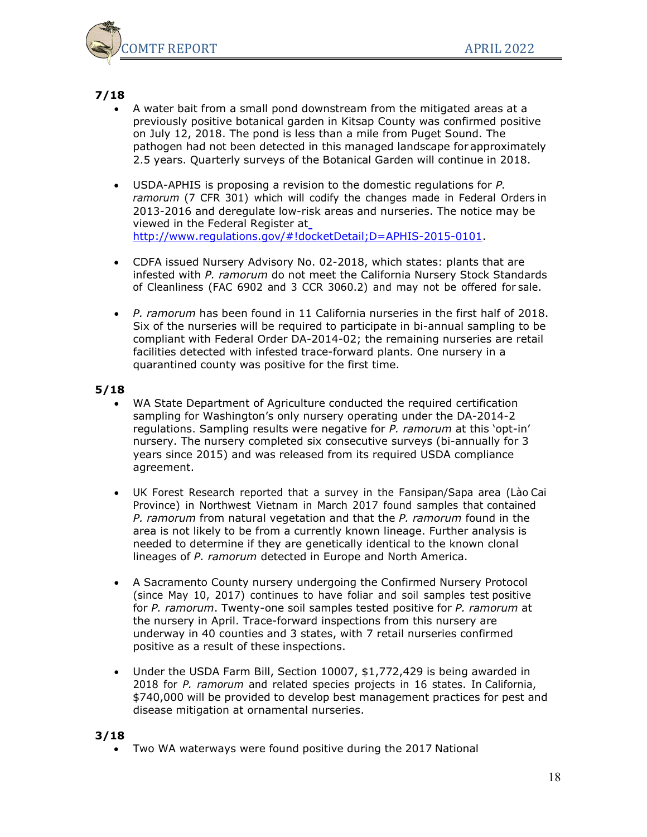

- A water bait from a small pond downstream from the mitigated areas at a previously positive botanical garden in Kitsap County was confirmed positive on July 12, 2018. The pond is less than a mile from Puget Sound. The pathogen had not been detected in this managed landscape for approximately 2.5 years. Quarterly surveys of the Botanical Garden will continue in 2018.
- USDA-APHIS is proposing a revision to the domestic regulations for *P. ramorum* (7 CFR 301) which will codify the changes made in Federal Orders in 2013-2016 and deregulate low-risk areas and nurseries. The notice may be viewed in the Federal Register at [http://www.regulations.gov/#!docketDetail;D=APHIS-2015-0101.](http://www.regulations.gov/#!docketDetail%3BD%3DAPHIS-2015-0101)
- CDFA issued Nursery Advisory No. 02-2018, which states: plants that are infested with *P. ramorum* do not meet the California Nursery Stock Standards of Cleanliness (FAC 6902 and 3 CCR 3060.2) and may not be offered for sale.
- *P. ramorum* has been found in 11 California nurseries in the first half of 2018. Six of the nurseries will be required to participate in bi-annual sampling to be compliant with Federal Order DA-2014-02; the remaining nurseries are retail facilities detected with infested trace-forward plants. One nursery in a quarantined county was positive for the first time.

### **5/18**

- WA State Department of Agriculture conducted the required certification sampling for Washington's only nursery operating under the DA-2014-2 regulations. Sampling results were negative for *P. ramorum* at this 'opt-in' nursery. The nursery completed six consecutive surveys (bi-annually for 3 years since 2015) and was released from its required USDA compliance agreement.
- UK Forest Research reported that a survey in the Fansipan/Sapa area (Lào Cai Province) in Northwest Vietnam in March 2017 found samples that contained *P. ramorum* from natural vegetation and that the *P. ramorum* found in the area is not likely to be from a currently known lineage. Further analysis is needed to determine if they are genetically identical to the known clonal lineages of *P. ramorum* detected in Europe and North America.
- A Sacramento County nursery undergoing the Confirmed Nursery Protocol (since May 10, 2017) continues to have foliar and soil samples test positive for *P. ramorum*. Twenty-one soil samples tested positive for *P. ramorum* at the nursery in April. Trace-forward inspections from this nursery are underway in 40 counties and 3 states, with 7 retail nurseries confirmed positive as a result of these inspections.
- Under the USDA Farm Bill, Section 10007, \$1,772,429 is being awarded in 2018 for *P. ramorum* and related species projects in 16 states. In California, \$740,000 will be provided to develop best management practices for pest and disease mitigation at ornamental nurseries.

## **3/18**

• Two WA waterways were found positive during the 2017 National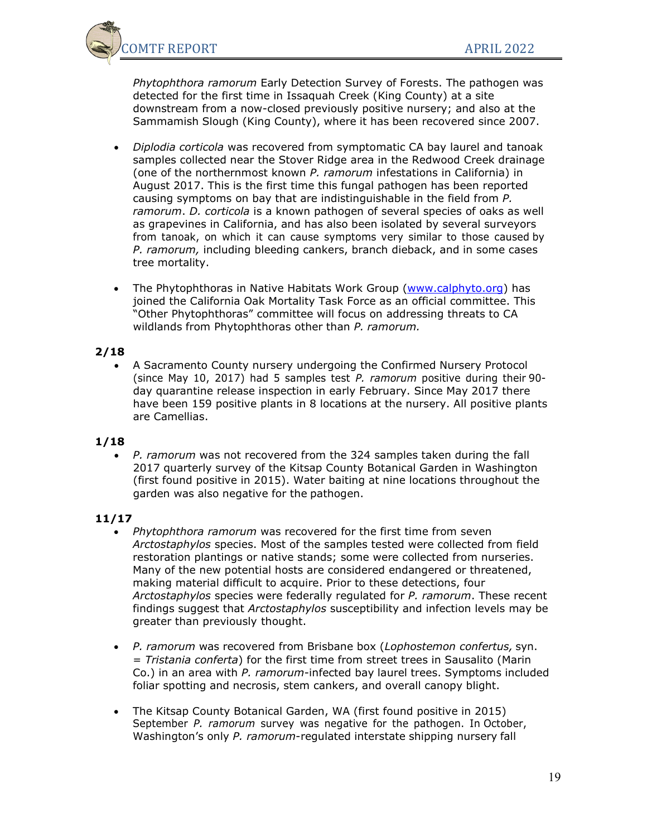

*Phytophthora ramorum* Early Detection Survey of Forests. The pathogen was detected for the first time in Issaquah Creek (King County) at a site downstream from a now-closed previously positive nursery; and also at the Sammamish Slough (King County), where it has been recovered since 2007.

- *Diplodia corticola* was recovered from symptomatic CA bay laurel and tanoak samples collected near the Stover Ridge area in the Redwood Creek drainage (one of the northernmost known *P. ramorum* infestations in California) in August 2017. This is the first time this fungal pathogen has been reported causing symptoms on bay that are indistinguishable in the field from *P. ramorum*. *D. corticola* is a known pathogen of several species of oaks as well as grapevines in California, and has also been isolated by several surveyors from tanoak, on which it can cause symptoms very similar to those caused by *P. ramorum,* including bleeding cankers, branch dieback, and in some cases tree mortality.
- The Phytophthoras in Native Habitats Work Group [\(www.calphyto.org\)](http://www.calphyto.org/) has joined the California Oak Mortality Task Force as an official committee. This "Other Phytophthoras" committee will focus on addressing threats to CA wildlands from Phytophthoras other than *P. ramorum.*

### **2/18**

• A Sacramento County nursery undergoing the Confirmed Nursery Protocol (since May 10, 2017) had 5 samples test *P. ramorum* positive during their 90 day quarantine release inspection in early February. Since May 2017 there have been 159 positive plants in 8 locations at the nursery. All positive plants are Camellias.

## **1/18**

• *P. ramorum* was not recovered from the 324 samples taken during the fall 2017 quarterly survey of the Kitsap County Botanical Garden in Washington (first found positive in 2015). Water baiting at nine locations throughout the garden was also negative for the pathogen.

- *Phytophthora ramorum* was recovered for the first time from seven *Arctostaphylos* species. Most of the samples tested were collected from field restoration plantings or native stands; some were collected from nurseries. Many of the new potential hosts are considered endangered or threatened, making material difficult to acquire. Prior to these detections, four *Arctostaphylos* species were federally regulated for *P. ramorum*. These recent findings suggest that *Arctostaphylos* susceptibility and infection levels may be greater than previously thought.
- *P. ramorum* was recovered from Brisbane box (*Lophostemon confertus,* syn. = *Tristania conferta*) for the first time from street trees in Sausalito (Marin Co.) in an area with *P. ramorum*-infected bay laurel trees. Symptoms included foliar spotting and necrosis, stem cankers, and overall canopy blight.
- The Kitsap County Botanical Garden, WA (first found positive in 2015) September *P. ramorum* survey was negative for the pathogen. In October, Washington's only *P. ramorum*-regulated interstate shipping nursery fall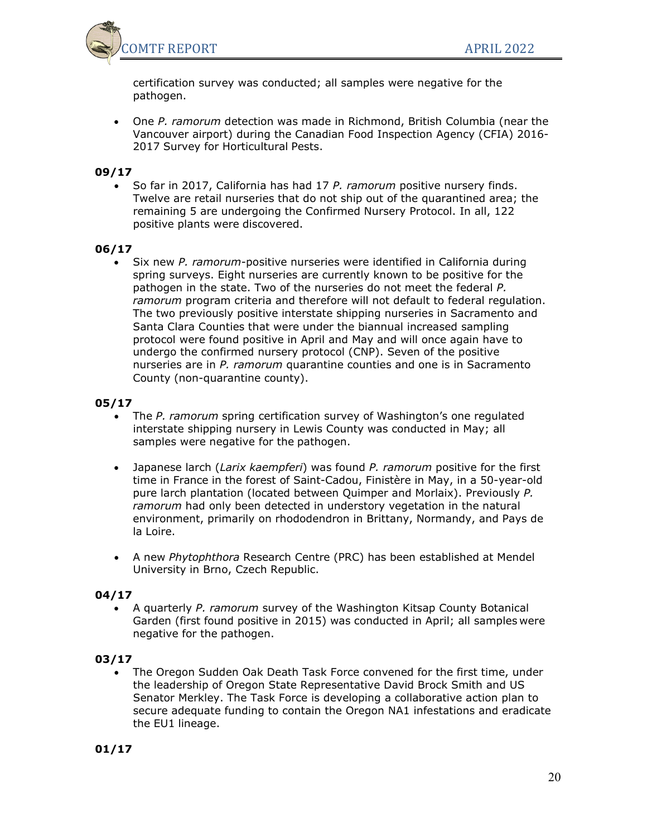

certification survey was conducted; all samples were negative for the pathogen.

• One *P. ramorum* detection was made in Richmond, British Columbia (near the Vancouver airport) during the Canadian Food Inspection Agency (CFIA) 2016- 2017 Survey for Horticultural Pests.

## **09/17**

• So far in 2017, California has had 17 *P. ramorum* positive nursery finds. Twelve are retail nurseries that do not ship out of the quarantined area; the remaining 5 are undergoing the Confirmed Nursery Protocol. In all, 122 positive plants were discovered.

## **06/17**

• Six new *P. ramorum-*positive nurseries were identified in California during spring surveys. Eight nurseries are currently known to be positive for the pathogen in the state. Two of the nurseries do not meet the federal *P. ramorum* program criteria and therefore will not default to federal regulation. The two previously positive interstate shipping nurseries in Sacramento and Santa Clara Counties that were under the biannual increased sampling protocol were found positive in April and May and will once again have to undergo the confirmed nursery protocol (CNP). Seven of the positive nurseries are in *P. ramorum* quarantine counties and one is in Sacramento County (non-quarantine county).

### **05/17**

- The *P. ramorum* spring certification survey of Washington's one regulated interstate shipping nursery in Lewis County was conducted in May; all samples were negative for the pathogen.
- Japanese larch (*Larix kaempferi*) was found *P. ramorum* positive for the first time in France in the forest of Saint-Cadou, Finistère in May, in a 50-year-old pure larch plantation (located between Quimper and Morlaix). Previously *P. ramorum* had only been detected in understory vegetation in the natural environment, primarily on rhododendron in Brittany, Normandy, and Pays de la Loire.
- A new *Phytophthora* Research Centre (PRC) has been established at Mendel University in Brno, Czech Republic.

### **04/17**

• A quarterly *P. ramorum* survey of the Washington Kitsap County Botanical Garden (first found positive in 2015) was conducted in April; all samples were negative for the pathogen.

## **03/17**

• The Oregon Sudden Oak Death Task Force convened for the first time, under the leadership of Oregon State Representative David Brock Smith and US Senator Merkley. The Task Force is developing a collaborative action plan to secure adequate funding to contain the Oregon NA1 infestations and eradicate the EU1 lineage.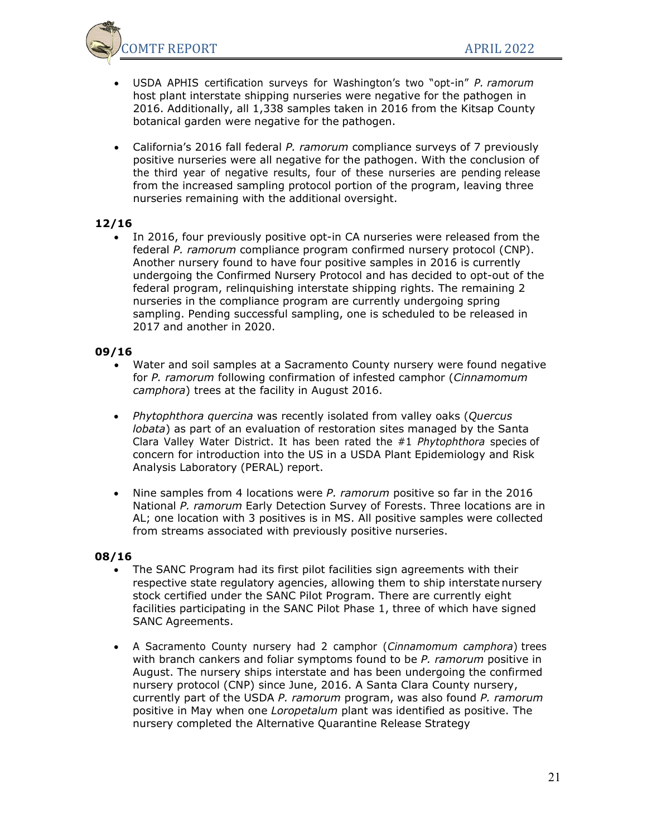

- USDA APHIS certification surveys for Washington's two "opt-in" *P. ramorum* host plant interstate shipping nurseries were negative for the pathogen in 2016. Additionally, all 1,338 samples taken in 2016 from the Kitsap County botanical garden were negative for the pathogen.
- California's 2016 fall federal *P. ramorum* compliance surveys of 7 previously positive nurseries were all negative for the pathogen. With the conclusion of the third year of negative results, four of these nurseries are pending release from the increased sampling protocol portion of the program, leaving three nurseries remaining with the additional oversight.

• In 2016, four previously positive opt-in CA nurseries were released from the federal *P. ramorum* compliance program confirmed nursery protocol (CNP). Another nursery found to have four positive samples in 2016 is currently undergoing the Confirmed Nursery Protocol and has decided to opt-out of the federal program, relinquishing interstate shipping rights. The remaining 2 nurseries in the compliance program are currently undergoing spring sampling. Pending successful sampling, one is scheduled to be released in 2017 and another in 2020.

#### **09/16**

- Water and soil samples at a Sacramento County nursery were found negative for *P. ramorum* following confirmation of infested camphor (*Cinnamomum camphora*) trees at the facility in August 2016.
- *Phytophthora quercina* was recently isolated from valley oaks (*Quercus lobata*) as part of an evaluation of restoration sites managed by the Santa Clara Valley Water District. It has been rated the #1 *Phytophthora* species of concern for introduction into the US in a USDA Plant Epidemiology and Risk Analysis Laboratory (PERAL) report.
- Nine samples from 4 locations were *P. ramorum* positive so far in the 2016 National *P. ramorum* Early Detection Survey of Forests. Three locations are in AL; one location with 3 positives is in MS. All positive samples were collected from streams associated with previously positive nurseries.

- The SANC Program had its first pilot facilities sign agreements with their respective state regulatory agencies, allowing them to ship interstate nursery stock certified under the SANC Pilot Program. There are currently eight facilities participating in the SANC Pilot Phase 1, three of which have signed SANC Agreements.
- A Sacramento County nursery had 2 camphor (*Cinnamomum camphora*) trees with branch cankers and foliar symptoms found to be *P. ramorum* positive in August. The nursery ships interstate and has been undergoing the confirmed nursery protocol (CNP) since June, 2016. A Santa Clara County nursery, currently part of the USDA *P. ramorum* program, was also found *P. ramorum* positive in May when one *Loropetalum* plant was identified as positive. The nursery completed the Alternative Quarantine Release Strategy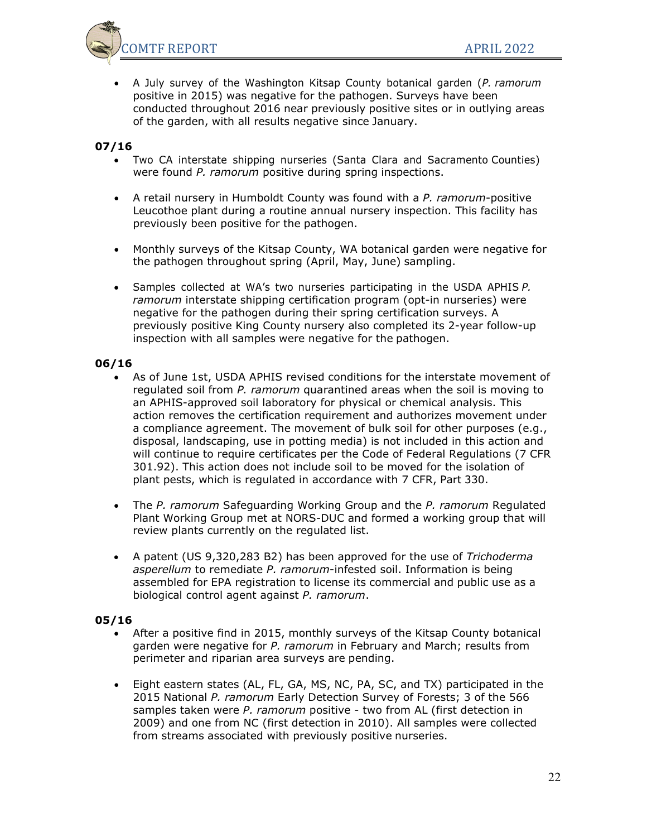

• A July survey of the Washington Kitsap County botanical garden (*P. ramorum* positive in 2015) was negative for the pathogen. Surveys have been conducted throughout 2016 near previously positive sites or in outlying areas of the garden, with all results negative since January.

## **07/16**

- Two CA interstate shipping nurseries (Santa Clara and Sacramento Counties) were found *P. ramorum* positive during spring inspections.
- A retail nursery in Humboldt County was found with a *P. ramorum*-positive Leucothoe plant during a routine annual nursery inspection. This facility has previously been positive for the pathogen.
- Monthly surveys of the Kitsap County, WA botanical garden were negative for the pathogen throughout spring (April, May, June) sampling.
- Samples collected at WA's two nurseries participating in the USDA APHIS *P. ramorum* interstate shipping certification program (opt-in nurseries) were negative for the pathogen during their spring certification surveys. A previously positive King County nursery also completed its 2-year follow-up inspection with all samples were negative for the pathogen.

### **06/16**

- As of June 1st, USDA APHIS revised conditions for the interstate movement of regulated soil from *P. ramorum* quarantined areas when the soil is moving to an APHIS-approved soil laboratory for physical or chemical analysis. This action removes the certification requirement and authorizes movement under a compliance agreement. The movement of bulk soil for other purposes (e.g., disposal, landscaping, use in potting media) is not included in this action and will continue to require certificates per the Code of Federal Regulations (7 CFR 301.92). This action does not include soil to be moved for the isolation of plant pests, which is regulated in accordance with 7 CFR, Part 330.
- The *P. ramorum* Safeguarding Working Group and the *P. ramorum* Regulated Plant Working Group met at NORS-DUC and formed a working group that will review plants currently on the regulated list.
- A patent (US 9,320,283 B2) has been approved for the use of *Trichoderma asperellum* to remediate *P. ramorum*-infested soil. Information is being assembled for EPA registration to license its commercial and public use as a biological control agent against *P. ramorum*.

- After a positive find in 2015, monthly surveys of the Kitsap County botanical garden were negative for *P. ramorum* in February and March; results from perimeter and riparian area surveys are pending.
- Eight eastern states (AL, FL, GA, MS, NC, PA, SC, and TX) participated in the 2015 National *P. ramorum* Early Detection Survey of Forests; 3 of the 566 samples taken were *P. ramorum* positive - two from AL (first detection in 2009) and one from NC (first detection in 2010). All samples were collected from streams associated with previously positive nurseries.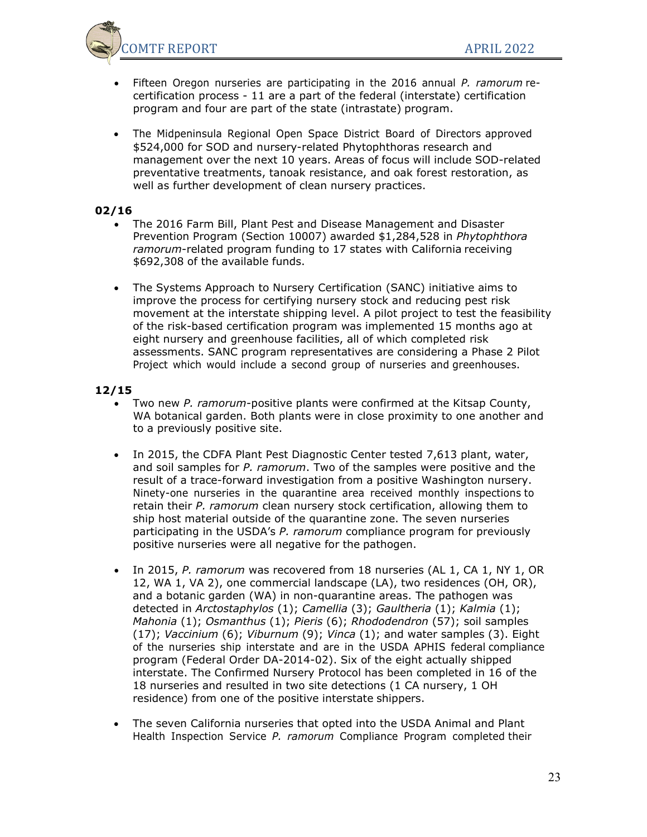

- Fifteen Oregon nurseries are participating in the 2016 annual *P. ramorum* recertification process - 11 are a part of the federal (interstate) certification program and four are part of the state (intrastate) program.
- The Midpeninsula Regional Open Space District Board of Directors approved \$524,000 for SOD and nursery-related Phytophthoras research and management over the next 10 years. Areas of focus will include SOD-related preventative treatments, tanoak resistance, and oak forest restoration, as well as further development of clean nursery practices.

- The 2016 Farm Bill, Plant Pest and Disease Management and Disaster Prevention Program (Section 10007) awarded \$1,284,528 in *Phytophthora ramorum*-related program funding to 17 states with California receiving \$692,308 of the available funds.
- The Systems Approach to Nursery Certification (SANC) initiative aims to improve the process for certifying nursery stock and reducing pest risk movement at the interstate shipping level. A pilot project to test the feasibility of the risk-based certification program was implemented 15 months ago at eight nursery and greenhouse facilities, all of which completed risk assessments. SANC program representatives are considering a Phase 2 Pilot Project which would include a second group of nurseries and greenhouses.

- Two new *P. ramorum*-positive plants were confirmed at the Kitsap County, WA botanical garden. Both plants were in close proximity to one another and to a previously positive site.
- In 2015, the CDFA Plant Pest Diagnostic Center tested 7,613 plant, water, and soil samples for *P. ramorum*. Two of the samples were positive and the result of a trace-forward investigation from a positive Washington nursery. Ninety-one nurseries in the quarantine area received monthly inspections to retain their *P. ramorum* clean nursery stock certification, allowing them to ship host material outside of the quarantine zone. The seven nurseries participating in the USDA's *P. ramorum* compliance program for previously positive nurseries were all negative for the pathogen.
- In 2015, *P. ramorum* was recovered from 18 nurseries (AL 1, CA 1, NY 1, OR 12, WA 1, VA 2), one commercial landscape (LA), two residences (OH, OR), and a botanic garden (WA) in non-quarantine areas. The pathogen was detected in *Arctostaphylos* (1); *Camellia* (3); *Gaultheria* (1); *Kalmia* (1); *Mahonia* (1); *Osmanthus* (1); *Pieris* (6); *Rhododendron* (57); soil samples (17); *Vaccinium* (6); *Viburnum* (9); *Vinca* (1); and water samples (3). Eight of the nurseries ship interstate and are in the USDA APHIS federal compliance program (Federal Order DA-2014-02). Six of the eight actually shipped interstate. The Confirmed Nursery Protocol has been completed in 16 of the 18 nurseries and resulted in two site detections (1 CA nursery, 1 OH residence) from one of the positive interstate shippers.
- The seven California nurseries that opted into the USDA Animal and Plant Health Inspection Service *P. ramorum* Compliance Program completed their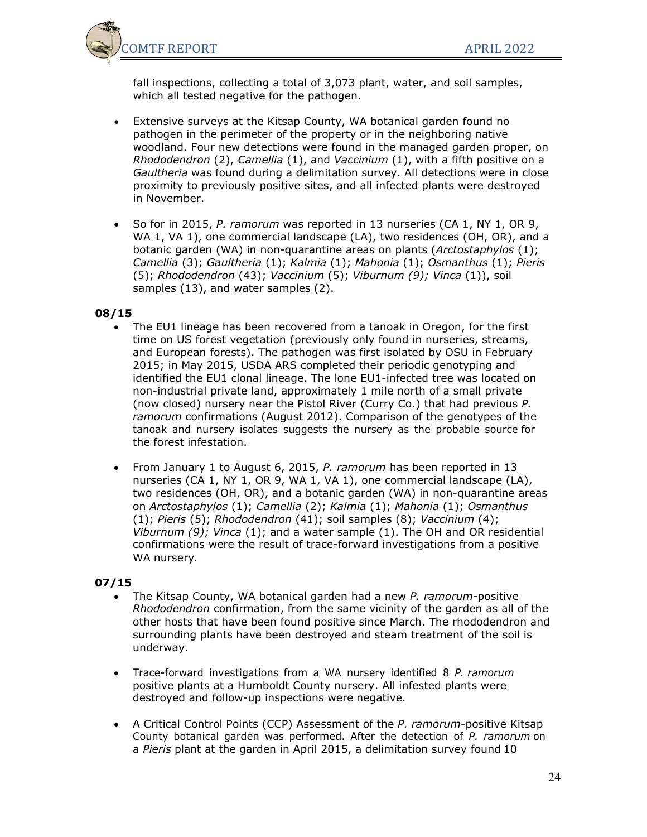

fall inspections, collecting a total of 3,073 plant, water, and soil samples, which all tested negative for the pathogen.

- Extensive surveys at the Kitsap County, WA botanical garden found no pathogen in the perimeter of the property or in the neighboring native woodland. Four new detections were found in the managed garden proper, on *Rhododendron* (2), *Camellia* (1), and *Vaccinium* (1), with a fifth positive on a *Gaultheria* was found during a delimitation survey. All detections were in close proximity to previously positive sites, and all infected plants were destroyed in November.
- So for in 2015, *P. ramorum* was reported in 13 nurseries (CA 1, NY 1, OR 9, WA 1, VA 1), one commercial landscape (LA), two residences (OH, OR), and a botanic garden (WA) in non-quarantine areas on plants (*Arctostaphylos* (1); *Camellia* (3); *Gaultheria* (1); *Kalmia* (1); *Mahonia* (1); *Osmanthus* (1); *Pieris* (5); *Rhododendron* (43); *Vaccinium* (5); *Viburnum (9); Vinca* (1)), soil samples (13), and water samples (2).

## **08/15**

- The EU1 lineage has been recovered from a tanoak in Oregon, for the first time on US forest vegetation (previously only found in nurseries, streams, and European forests). The pathogen was first isolated by OSU in February 2015; in May 2015, USDA ARS completed their periodic genotyping and identified the EU1 clonal lineage. The lone EU1-infected tree was located on non-industrial private land, approximately 1 mile north of a small private (now closed) nursery near the Pistol River (Curry Co.) that had previous *P. ramorum* confirmations (August 2012). Comparison of the genotypes of the tanoak and nursery isolates suggests the nursery as the probable source for the forest infestation.
- From January 1 to August 6, 2015, *P. ramorum* has been reported in 13 nurseries (CA 1, NY 1, OR 9, WA 1, VA 1), one commercial landscape (LA), two residences (OH, OR), and a botanic garden (WA) in non-quarantine areas on *Arctostaphylos* (1); *Camellia* (2); *Kalmia* (1); *Mahonia* (1); *Osmanthus* (1); *Pieris* (5); *Rhododendron* (41); soil samples (8); *Vaccinium* (4); *Viburnum (9); Vinca* (1); and a water sample (1). The OH and OR residential confirmations were the result of trace-forward investigations from a positive WA nursery*.*

- The Kitsap County, WA botanical garden had a new *P. ramorum*-positive *Rhododendron* confirmation, from the same vicinity of the garden as all of the other hosts that have been found positive since March. The rhododendron and surrounding plants have been destroyed and steam treatment of the soil is underway.
- Trace-forward investigations from a WA nursery identified 8 *P. ramorum* positive plants at a Humboldt County nursery. All infested plants were destroyed and follow-up inspections were negative.
- A Critical Control Points (CCP) Assessment of the *P. ramorum*-positive Kitsap County botanical garden was performed. After the detection of *P. ramorum* on a *Pieris* plant at the garden in April 2015, a delimitation survey found 10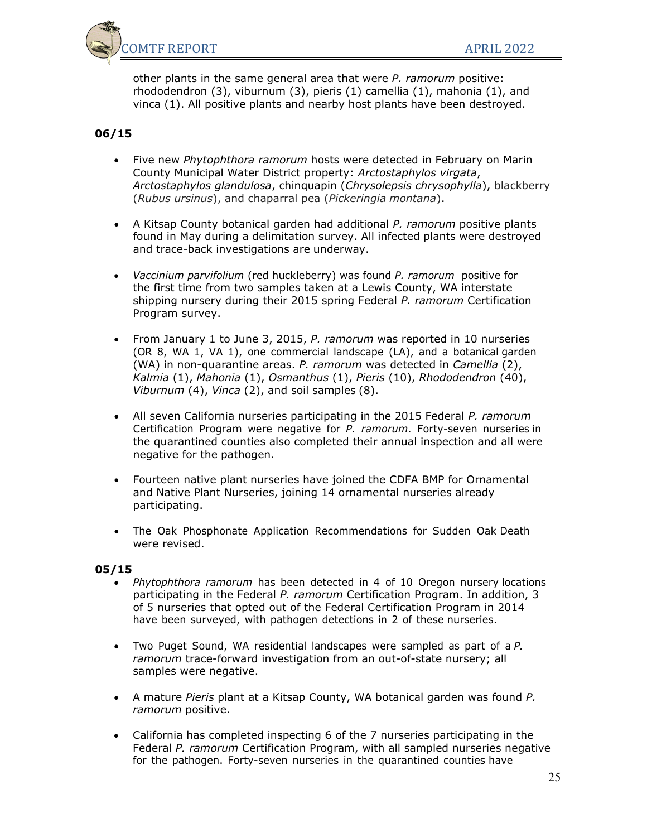

other plants in the same general area that were *P. ramorum* positive: rhododendron (3), viburnum (3), pieris (1) camellia (1), mahonia (1), and vinca (1). All positive plants and nearby host plants have been destroyed.

## **06/15**

- Five new *Phytophthora ramorum* hosts were detected in February on Marin County Municipal Water District property: *Arctostaphylos virgata*, *Arctostaphylos glandulosa*, chinquapin (*Chrysolepsis chrysophylla*), blackberry (*Rubus ursinus*), and chaparral pea (*Pickeringia montana*).
- A Kitsap County botanical garden had additional *P. ramorum* positive plants found in May during a delimitation survey. All infected plants were destroyed and trace-back investigations are underway.
- *Vaccinium parvifolium* (red huckleberry) was found *P. ramorum* positive for the first time from two samples taken at a Lewis County, WA interstate shipping nursery during their 2015 spring Federal *P. ramorum* Certification Program survey.
- From January 1 to June 3, 2015, *P. ramorum* was reported in 10 nurseries (OR 8, WA 1, VA 1), one commercial landscape (LA), and a botanical garden (WA) in non-quarantine areas. *P. ramorum* was detected in *Camellia* (2), *Kalmia* (1), *Mahonia* (1), *Osmanthus* (1), *Pieris* (10), *Rhododendron* (40), *Viburnum* (4), *Vinca* (2), and soil samples (8).
- All seven California nurseries participating in the 2015 Federal *P. ramorum* Certification Program were negative for *P. ramorum*. Forty-seven nurseries in the quarantined counties also completed their annual inspection and all were negative for the pathogen.
- Fourteen native plant nurseries have joined the CDFA BMP for Ornamental and Native Plant Nurseries, joining 14 ornamental nurseries already participating.
- The Oak Phosphonate Application Recommendations for Sudden Oak Death were revised.

- *Phytophthora ramorum* has been detected in 4 of 10 Oregon nursery locations participating in the Federal *P. ramorum* Certification Program. In addition, 3 of 5 nurseries that opted out of the Federal Certification Program in 2014 have been surveyed, with pathogen detections in 2 of these nurseries.
- Two Puget Sound, WA residential landscapes were sampled as part of a *P. ramorum* trace-forward investigation from an out-of-state nursery; all samples were negative.
- A mature *Pieris* plant at a Kitsap County, WA botanical garden was found *P. ramorum* positive.
- California has completed inspecting 6 of the 7 nurseries participating in the Federal *P. ramorum* Certification Program, with all sampled nurseries negative for the pathogen. Forty-seven nurseries in the quarantined counties have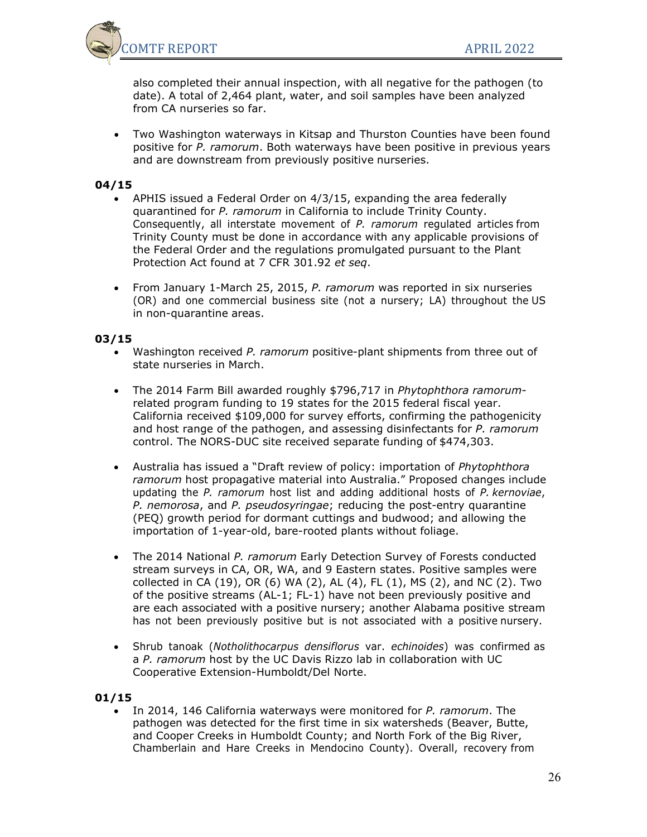

also completed their annual inspection, with all negative for the pathogen (to date). A total of 2,464 plant, water, and soil samples have been analyzed from CA nurseries so far.

• Two Washington waterways in Kitsap and Thurston Counties have been found positive for *P. ramorum*. Both waterways have been positive in previous years and are downstream from previously positive nurseries.

### **04/15**

- APHIS issued a Federal Order on 4/3/15, expanding the area federally quarantined for *P. ramorum* in California to include Trinity County. Consequently, all interstate movement of *P. ramorum* regulated articles from Trinity County must be done in accordance with any applicable provisions of the Federal Order and the regulations promulgated pursuant to the Plant Protection Act found at 7 CFR 301.92 *et seq*.
- From January 1-March 25, 2015, *P. ramorum* was reported in six nurseries (OR) and one commercial business site (not a nursery; LA) throughout the US in non-quarantine areas.

#### **03/15**

- Washington received *P. ramorum* positive-plant shipments from three out of state nurseries in March.
- The 2014 Farm Bill awarded roughly \$796,717 in *Phytophthora ramorum*related program funding to 19 states for the 2015 federal fiscal year. California received \$109,000 for survey efforts, confirming the pathogenicity and host range of the pathogen, and assessing disinfectants for *P. ramorum* control. The NORS-DUC site received separate funding of \$474,303.
- Australia has issued a "Draft review of policy: importation of *Phytophthora ramorum* host propagative material into Australia." Proposed changes include updating the *P. ramorum* host list and adding additional hosts of *P. kernoviae*, *P. nemorosa*, and *P. pseudosyringae*; reducing the post-entry quarantine (PEQ) growth period for dormant cuttings and budwood; and allowing the importation of 1-year-old, bare-rooted plants without foliage.
- The 2014 National *P. ramorum* Early Detection Survey of Forests conducted stream surveys in CA, OR, WA, and 9 Eastern states. Positive samples were collected in CA (19), OR (6) WA (2), AL (4), FL (1), MS (2), and NC (2). Two of the positive streams (AL-1; FL-1) have not been previously positive and are each associated with a positive nursery; another Alabama positive stream has not been previously positive but is not associated with a positive nursery.
- Shrub tanoak (*Notholithocarpus densiflorus* var. *echinoides*) was confirmed as a *P. ramorum* host by the UC Davis Rizzo lab in collaboration with UC Cooperative Extension-Humboldt/Del Norte.

#### **01/15**

• In 2014, 146 California waterways were monitored for *P. ramorum*. The pathogen was detected for the first time in six watersheds (Beaver, Butte, and Cooper Creeks in Humboldt County; and North Fork of the Big River, Chamberlain and Hare Creeks in Mendocino County). Overall, recovery from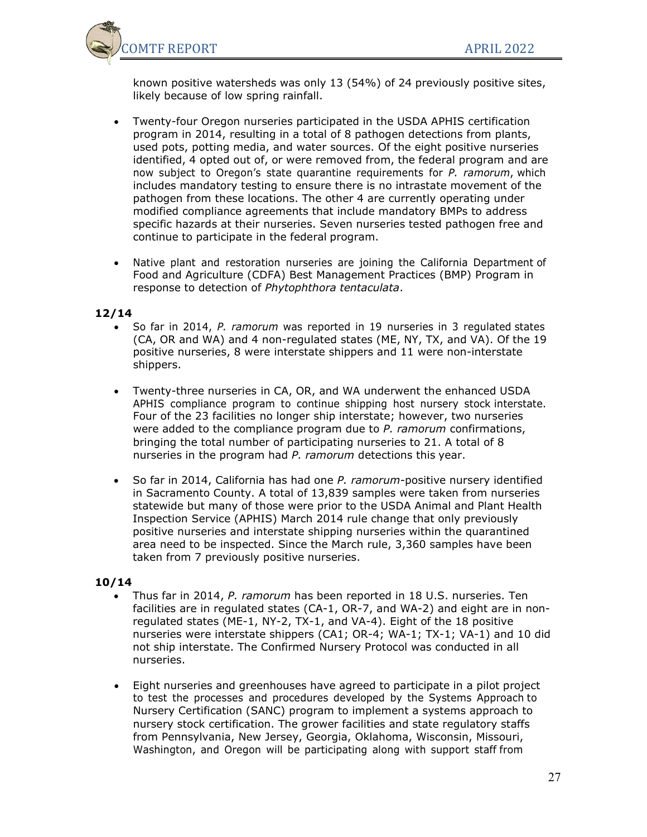

known positive watersheds was only 13 (54%) of 24 previously positive sites, likely because of low spring rainfall.

- Twenty-four Oregon nurseries participated in the USDA APHIS certification program in 2014, resulting in a total of 8 pathogen detections from plants, used pots, potting media, and water sources. Of the eight positive nurseries identified, 4 opted out of, or were removed from, the federal program and are now subject to Oregon's state quarantine requirements for *P. ramorum*, which includes mandatory testing to ensure there is no intrastate movement of the pathogen from these locations. The other 4 are currently operating under modified compliance agreements that include mandatory BMPs to address specific hazards at their nurseries. Seven nurseries tested pathogen free and continue to participate in the federal program.
- Native plant and restoration nurseries are joining the California Department of Food and Agriculture (CDFA) Best Management Practices (BMP) Program in response to detection of *Phytophthora tentaculata*.

### **12/14**

- So far in 2014, *P. ramorum* was reported in 19 nurseries in 3 regulated states (CA, OR and WA) and 4 non-regulated states (ME, NY, TX, and VA). Of the 19 positive nurseries, 8 were interstate shippers and 11 were non-interstate shippers.
- Twenty-three nurseries in CA, OR, and WA underwent the enhanced USDA APHIS compliance program to continue shipping host nursery stock interstate. Four of the 23 facilities no longer ship interstate; however, two nurseries were added to the compliance program due to *P. ramorum* confirmations, bringing the total number of participating nurseries to 21. A total of 8 nurseries in the program had *P. ramorum* detections this year.
- So far in 2014, California has had one *P. ramorum*-positive nursery identified in Sacramento County. A total of 13,839 samples were taken from nurseries statewide but many of those were prior to the USDA Animal and Plant Health Inspection Service (APHIS) March 2014 rule change that only previously positive nurseries and interstate shipping nurseries within the quarantined area need to be inspected. Since the March rule, 3,360 samples have been taken from 7 previously positive nurseries.

- Thus far in 2014, *P. ramorum* has been reported in 18 U.S. nurseries. Ten facilities are in regulated states (CA-1, OR-7, and WA-2) and eight are in nonregulated states (ME-1, NY-2, TX-1, and VA-4). Eight of the 18 positive nurseries were interstate shippers (CA1; OR-4; WA-1; TX-1; VA-1) and 10 did not ship interstate. The Confirmed Nursery Protocol was conducted in all nurseries.
- Eight nurseries and greenhouses have agreed to participate in a pilot project to test the processes and procedures developed by the Systems Approach to Nursery Certification (SANC) program to implement a systems approach to nursery stock certification. The grower facilities and state regulatory staffs from Pennsylvania, New Jersey, Georgia, Oklahoma, Wisconsin, Missouri, Washington, and Oregon will be participating along with support staff from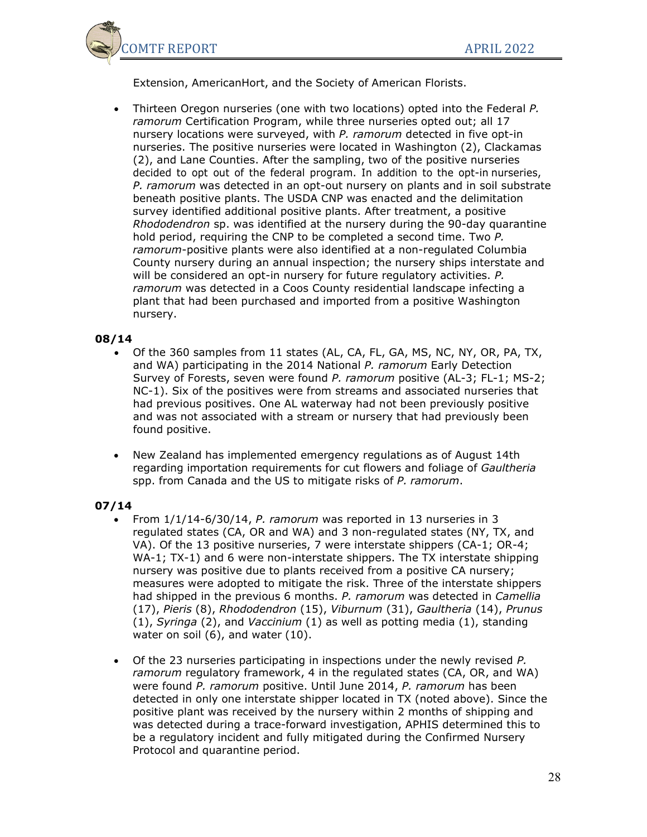

Extension, AmericanHort, and the Society of American Florists.

• Thirteen Oregon nurseries (one with two locations) opted into the Federal *P. ramorum* Certification Program, while three nurseries opted out; all 17 nursery locations were surveyed, with *P. ramorum* detected in five opt-in nurseries. The positive nurseries were located in Washington (2), Clackamas (2), and Lane Counties. After the sampling, two of the positive nurseries decided to opt out of the federal program. In addition to the opt-in nurseries, *P. ramorum* was detected in an opt-out nursery on plants and in soil substrate beneath positive plants. The USDA CNP was enacted and the delimitation survey identified additional positive plants. After treatment, a positive *Rhododendron* sp. was identified at the nursery during the 90-day quarantine hold period, requiring the CNP to be completed a second time. Two *P. ramorum*-positive plants were also identified at a non-regulated Columbia County nursery during an annual inspection; the nursery ships interstate and will be considered an opt-in nursery for future regulatory activities. *P. ramorum* was detected in a Coos County residential landscape infecting a plant that had been purchased and imported from a positive Washington nursery.

### **08/14**

- Of the 360 samples from 11 states (AL, CA, FL, GA, MS, NC, NY, OR, PA, TX, and WA) participating in the 2014 National *P. ramorum* Early Detection Survey of Forests, seven were found *P. ramorum* positive (AL-3; FL-1; MS-2; NC-1). Six of the positives were from streams and associated nurseries that had previous positives. One AL waterway had not been previously positive and was not associated with a stream or nursery that had previously been found positive.
- New Zealand has implemented emergency regulations as of August 14th regarding importation requirements for cut flowers and foliage of *Gaultheria* spp. from Canada and the US to mitigate risks of *P. ramorum*.

- From 1/1/14-6/30/14, *P. ramorum* was reported in 13 nurseries in 3 regulated states (CA, OR and WA) and 3 non-regulated states (NY, TX, and VA). Of the 13 positive nurseries, 7 were interstate shippers (CA-1; OR-4; WA-1; TX-1) and 6 were non-interstate shippers. The TX interstate shipping nursery was positive due to plants received from a positive CA nursery; measures were adopted to mitigate the risk. Three of the interstate shippers had shipped in the previous 6 months. *P. ramorum* was detected in *Camellia* (17), *Pieris* (8), *Rhododendron* (15), *Viburnum* (31), *Gaultheria* (14), *Prunus* (1), *Syringa* (2), and *Vaccinium* (1) as well as potting media (1), standing water on soil (6), and water (10).
- Of the 23 nurseries participating in inspections under the newly revised *P. ramorum* regulatory framework, 4 in the regulated states (CA, OR, and WA) were found *P. ramorum* positive. Until June 2014, *P. ramorum* has been detected in only one interstate shipper located in TX (noted above). Since the positive plant was received by the nursery within 2 months of shipping and was detected during a trace-forward investigation, APHIS determined this to be a regulatory incident and fully mitigated during the Confirmed Nursery Protocol and quarantine period.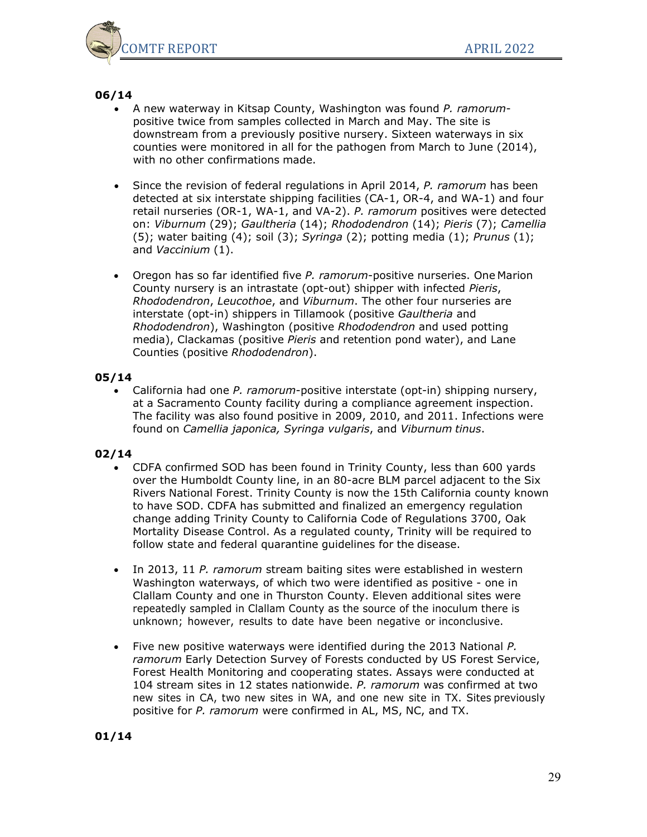

- A new waterway in Kitsap County, Washington was found *P. ramorum*positive twice from samples collected in March and May. The site is downstream from a previously positive nursery. Sixteen waterways in six counties were monitored in all for the pathogen from March to June (2014), with no other confirmations made.
- Since the revision of federal regulations in April 2014, *P. ramorum* has been detected at six interstate shipping facilities (CA-1, OR-4, and WA-1) and four retail nurseries (OR-1, WA-1, and VA-2). *P. ramorum* positives were detected on: *Viburnum* (29); *Gaultheria* (14); *Rhododendron* (14); *Pieris* (7); *Camellia* (5); water baiting (4); soil (3); *Syringa* (2); potting media (1); *Prunus* (1); and *Vaccinium* (1).
- Oregon has so far identified five *P. ramorum*-positive nurseries. One Marion County nursery is an intrastate (opt-out) shipper with infected *Pieris*, *Rhododendron*, *Leucothoe*, and *Viburnum*. The other four nurseries are interstate (opt-in) shippers in Tillamook (positive *Gaultheria* and *Rhododendron*), Washington (positive *Rhododendron* and used potting media), Clackamas (positive *Pieris* and retention pond water), and Lane Counties (positive *Rhododendron*).

### **05/14**

• California had one *P. ramorum*-positive interstate (opt-in) shipping nursery, at a Sacramento County facility during a compliance agreement inspection. The facility was also found positive in 2009, 2010, and 2011. Infections were found on *Camellia japonica, Syringa vulgaris*, and *Viburnum tinus*.

### **02/14**

- CDFA confirmed SOD has been found in Trinity County, less than 600 yards over the Humboldt County line, in an 80-acre BLM parcel adjacent to the Six Rivers National Forest. Trinity County is now the 15th California county known to have SOD. CDFA has submitted and finalized an emergency regulation change adding Trinity County to California Code of Regulations 3700, Oak Mortality Disease Control. As a regulated county, Trinity will be required to follow state and federal quarantine guidelines for the disease.
- In 2013, 11 *P. ramorum* stream baiting sites were established in western Washington waterways, of which two were identified as positive - one in Clallam County and one in Thurston County. Eleven additional sites were repeatedly sampled in Clallam County as the source of the inoculum there is unknown; however, results to date have been negative or inconclusive.
- Five new positive waterways were identified during the 2013 National *P. ramorum* Early Detection Survey of Forests conducted by US Forest Service, Forest Health Monitoring and cooperating states. Assays were conducted at 104 stream sites in 12 states nationwide. *P. ramorum* was confirmed at two new sites in CA, two new sites in WA, and one new site in TX. Sites previously positive for *P. ramorum* were confirmed in AL, MS, NC, and TX.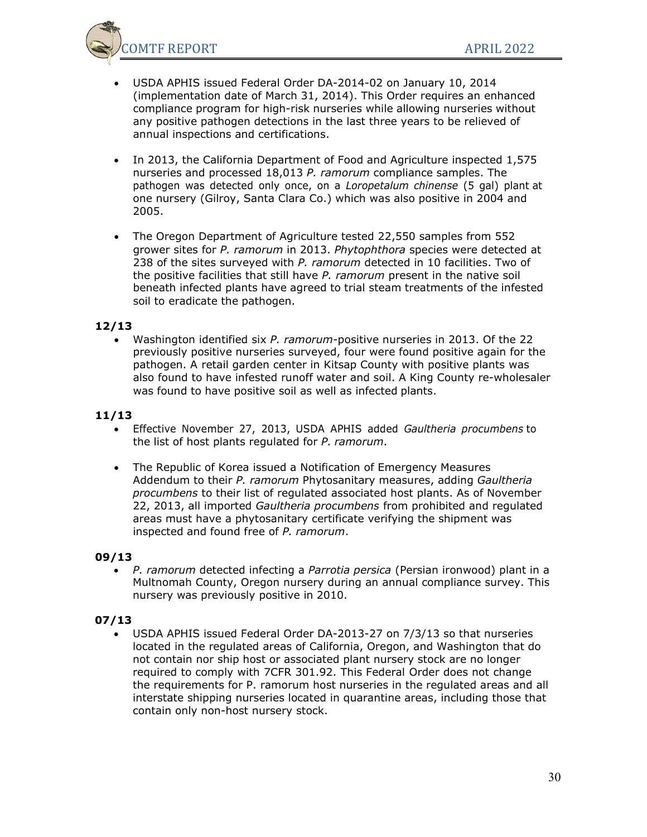

- USDA APHIS issued Federal Order DA-2014-02 on January 10, 2014 (implementation date of March 31, 2014). This Order requires an enhanced compliance program for high-risk nurseries while allowing nurseries without any positive pathogen detections in the last three years to be relieved of annual inspections and certifications.
- In 2013, the California Department of Food and Agriculture inspected 1,575 nurseries and processed 18,013 *P. ramorum* compliance samples. The pathogen was detected only once, on a *Loropetalum chinense* (5 gal) plant at one nursery (Gilroy, Santa Clara Co.) which was also positive in 2004 and 2005.
- The Oregon Department of Agriculture tested 22,550 samples from 552 grower sites for *P. ramorum* in 2013. *Phytophthora* species were detected at 238 of the sites surveyed with *P. ramorum* detected in 10 facilities. Two of the positive facilities that still have *P. ramorum* present in the native soil beneath infected plants have agreed to trial steam treatments of the infested soil to eradicate the pathogen.

• Washington identified six *P. ramorum*-positive nurseries in 2013. Of the 22 previously positive nurseries surveyed, four were found positive again for the pathogen. A retail garden center in Kitsap County with positive plants was also found to have infested runoff water and soil. A King County re-wholesaler was found to have positive soil as well as infected plants.

### **11/13**

- Effective November 27, 2013, USDA APHIS added *Gaultheria procumbens* to the list of host plants regulated for *P. ramorum*.
- The Republic of Korea issued a Notification of Emergency Measures Addendum to their *P. ramorum* Phytosanitary measures, adding *Gaultheria procumbens* to their list of regulated associated host plants. As of November 22, 2013, all imported *Gaultheria procumbens* from prohibited and regulated areas must have a phytosanitary certificate verifying the shipment was inspected and found free of *P. ramorum*.

### **09/13**

• *P. ramorum* detected infecting a *Parrotia persica* (Persian ironwood) plant in a Multnomah County, Oregon nursery during an annual compliance survey. This nursery was previously positive in 2010.

## **07/13**

• USDA APHIS issued Federal Order DA-2013-27 on 7/3/13 so that nurseries located in the regulated areas of California, Oregon, and Washington that do not contain nor ship host or associated plant nursery stock are no longer required to comply with 7CFR 301.92. This Federal Order does not change the requirements for P. ramorum host nurseries in the regulated areas and all interstate shipping nurseries located in quarantine areas, including those that contain only non-host nursery stock.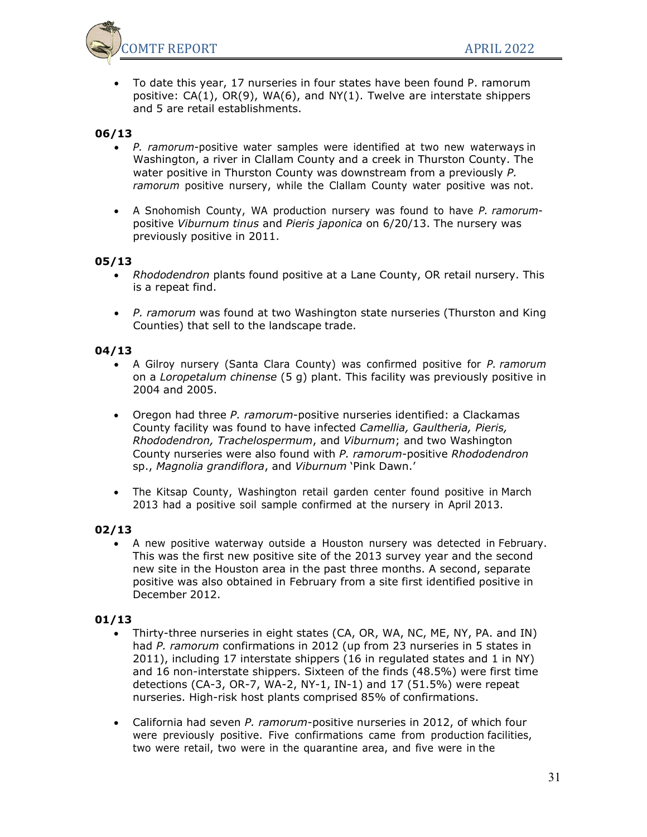

• To date this year, 17 nurseries in four states have been found P. ramorum positive:  $CA(1)$ ,  $OR(9)$ ,  $WA(6)$ , and  $NY(1)$ . Twelve are interstate shippers and 5 are retail establishments.

## **06/13**

- *P. ramorum*-positive water samples were identified at two new waterways in Washington, a river in Clallam County and a creek in Thurston County. The water positive in Thurston County was downstream from a previously *P. ramorum* positive nursery, while the Clallam County water positive was not.
- A Snohomish County, WA production nursery was found to have *P. ramorum*positive *Viburnum tinus* and *Pieris japonica* on 6/20/13. The nursery was previously positive in 2011.

#### **05/13**

- *Rhododendron* plants found positive at a Lane County, OR retail nursery. This is a repeat find.
- *P. ramorum* was found at two Washington state nurseries (Thurston and King Counties) that sell to the landscape trade.

#### **04/13**

- A Gilroy nursery (Santa Clara County) was confirmed positive for *P. ramorum* on a *Loropetalum chinense* (5 g) plant. This facility was previously positive in 2004 and 2005.
- Oregon had three *P. ramorum*-positive nurseries identified: a Clackamas County facility was found to have infected *Camellia, Gaultheria, Pieris, Rhododendron, Trachelospermum*, and *Viburnum*; and two Washington County nurseries were also found with *P. ramorum*-positive *Rhododendron* sp., *Magnolia grandiflora*, and *Viburnum* 'Pink Dawn.'
- The Kitsap County, Washington retail garden center found positive in March 2013 had a positive soil sample confirmed at the nursery in April 2013.

### **02/13**

• A new positive waterway outside a Houston nursery was detected in February. This was the first new positive site of the 2013 survey year and the second new site in the Houston area in the past three months. A second, separate positive was also obtained in February from a site first identified positive in December 2012.

- Thirty-three nurseries in eight states (CA, OR, WA, NC, ME, NY, PA. and IN) had *P. ramorum* confirmations in 2012 (up from 23 nurseries in 5 states in 2011), including 17 interstate shippers (16 in regulated states and 1 in NY) and 16 non-interstate shippers. Sixteen of the finds (48.5%) were first time detections (CA-3, OR-7, WA-2, NY-1, IN-1) and 17 (51.5%) were repeat nurseries. High-risk host plants comprised 85% of confirmations.
- California had seven *P. ramorum*-positive nurseries in 2012, of which four were previously positive. Five confirmations came from production facilities, two were retail, two were in the quarantine area, and five were in the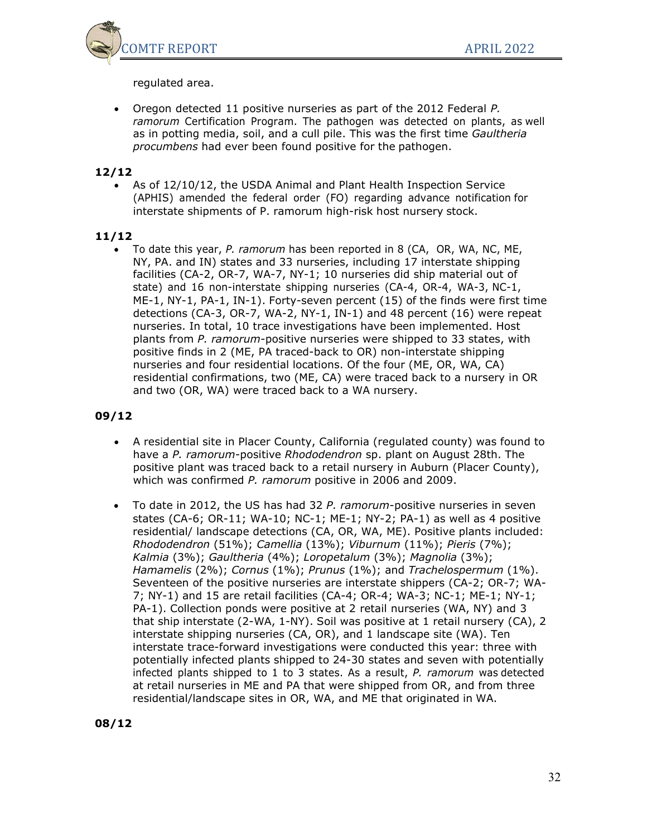

regulated area.

• Oregon detected 11 positive nurseries as part of the 2012 Federal *P. ramorum* Certification Program. The pathogen was detected on plants, as well as in potting media, soil, and a cull pile. This was the first time *Gaultheria procumbens* had ever been found positive for the pathogen.

## **12/12**

• As of 12/10/12, the USDA Animal and Plant Health Inspection Service (APHIS) amended the federal order (FO) regarding advance notification for interstate shipments of P. ramorum high-risk host nursery stock.

### **11/12**

• To date this year, *P. ramorum* has been reported in 8 (CA, OR, WA, NC, ME, NY, PA. and IN) states and 33 nurseries, including 17 interstate shipping facilities (CA-2, OR-7, WA-7, NY-1; 10 nurseries did ship material out of state) and 16 non-interstate shipping nurseries (CA-4, OR-4, WA-3, NC-1, ME-1, NY-1, PA-1, IN-1). Forty-seven percent (15) of the finds were first time detections (CA-3, OR-7, WA-2, NY-1, IN-1) and 48 percent (16) were repeat nurseries. In total, 10 trace investigations have been implemented. Host plants from *P. ramorum*-positive nurseries were shipped to 33 states, with positive finds in 2 (ME, PA traced-back to OR) non-interstate shipping nurseries and four residential locations. Of the four (ME, OR, WA, CA) residential confirmations, two (ME, CA) were traced back to a nursery in OR and two (OR, WA) were traced back to a WA nursery.

- A residential site in Placer County, California (regulated county) was found to have a *P. ramorum*-positive *Rhododendron* sp. plant on August 28th. The positive plant was traced back to a retail nursery in Auburn (Placer County), which was confirmed *P. ramorum* positive in 2006 and 2009.
- To date in 2012, the US has had 32 *P. ramorum*-positive nurseries in seven states (CA-6; OR-11; WA-10; NC-1; ME-1; NY-2; PA-1) as well as 4 positive residential/ landscape detections (CA, OR, WA, ME). Positive plants included: *Rhododendron* (51%); *Camellia* (13%); *Viburnum* (11%); *Pieris* (7%); *Kalmia* (3%); *Gaultheria* (4%); *Loropetalum* (3%); *Magnolia* (3%); *Hamamelis* (2%); *Cornus* (1%); *Prunus* (1%); and *Trachelospermum* (1%). Seventeen of the positive nurseries are interstate shippers (CA-2; OR-7; WA-7; NY-1) and 15 are retail facilities (CA-4; OR-4; WA-3; NC-1; ME-1; NY-1; PA-1). Collection ponds were positive at 2 retail nurseries (WA, NY) and 3 that ship interstate (2-WA, 1-NY). Soil was positive at 1 retail nursery (CA), 2 interstate shipping nurseries (CA, OR), and 1 landscape site (WA). Ten interstate trace-forward investigations were conducted this year: three with potentially infected plants shipped to 24-30 states and seven with potentially infected plants shipped to 1 to 3 states. As a result, *P. ramorum* was detected at retail nurseries in ME and PA that were shipped from OR, and from three residential/landscape sites in OR, WA, and ME that originated in WA.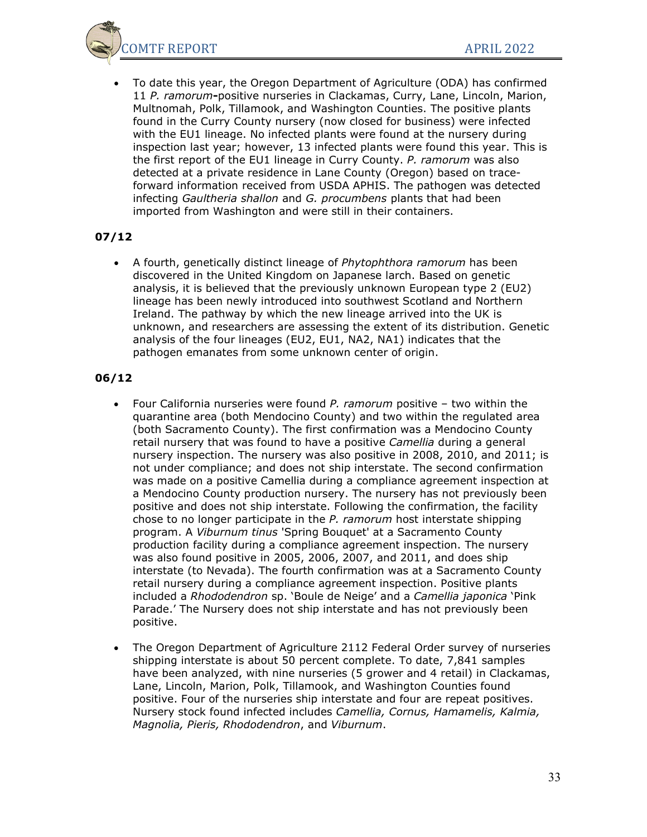

• To date this year, the Oregon Department of Agriculture (ODA) has confirmed 11 *P. ramorum***-**positive nurseries in Clackamas, Curry, Lane, Lincoln, Marion, Multnomah, Polk, Tillamook, and Washington Counties. The positive plants found in the Curry County nursery (now closed for business) were infected with the EU1 lineage. No infected plants were found at the nursery during inspection last year; however, 13 infected plants were found this year. This is the first report of the EU1 lineage in Curry County. *P. ramorum* was also detected at a private residence in Lane County (Oregon) based on traceforward information received from USDA APHIS. The pathogen was detected infecting *Gaultheria shallon* and *G. procumbens* plants that had been imported from Washington and were still in their containers.

## **07/12**

• A fourth, genetically distinct lineage of *Phytophthora ramorum* has been discovered in the United Kingdom on Japanese larch. Based on genetic analysis, it is believed that the previously unknown European type 2 (EU2) lineage has been newly introduced into southwest Scotland and Northern Ireland. The pathway by which the new lineage arrived into the UK is unknown, and researchers are assessing the extent of its distribution. Genetic analysis of the four lineages (EU2, EU1, NA2, NA1) indicates that the pathogen emanates from some unknown center of origin.

- Four California nurseries were found *P. ramorum* positive two within the quarantine area (both Mendocino County) and two within the regulated area (both Sacramento County). The first confirmation was a Mendocino County retail nursery that was found to have a positive *Camellia* during a general nursery inspection. The nursery was also positive in 2008, 2010, and 2011; is not under compliance; and does not ship interstate. The second confirmation was made on a positive Camellia during a compliance agreement inspection at a Mendocino County production nursery. The nursery has not previously been positive and does not ship interstate. Following the confirmation, the facility chose to no longer participate in the *P. ramorum* host interstate shipping program. A *Viburnum tinus* 'Spring Bouquet' at a Sacramento County production facility during a compliance agreement inspection. The nursery was also found positive in 2005, 2006, 2007, and 2011, and does ship interstate (to Nevada). The fourth confirmation was at a Sacramento County retail nursery during a compliance agreement inspection. Positive plants included a *Rhododendron* sp. 'Boule de Neige' and a *Camellia japonica* 'Pink Parade.' The Nursery does not ship interstate and has not previously been positive.
- The Oregon Department of Agriculture 2112 Federal Order survey of nurseries shipping interstate is about 50 percent complete. To date, 7,841 samples have been analyzed, with nine nurseries (5 grower and 4 retail) in Clackamas, Lane, Lincoln, Marion, Polk, Tillamook, and Washington Counties found positive. Four of the nurseries ship interstate and four are repeat positives. Nursery stock found infected includes *Camellia, Cornus, Hamamelis, Kalmia, Magnolia, Pieris, Rhododendron*, and *Viburnum*.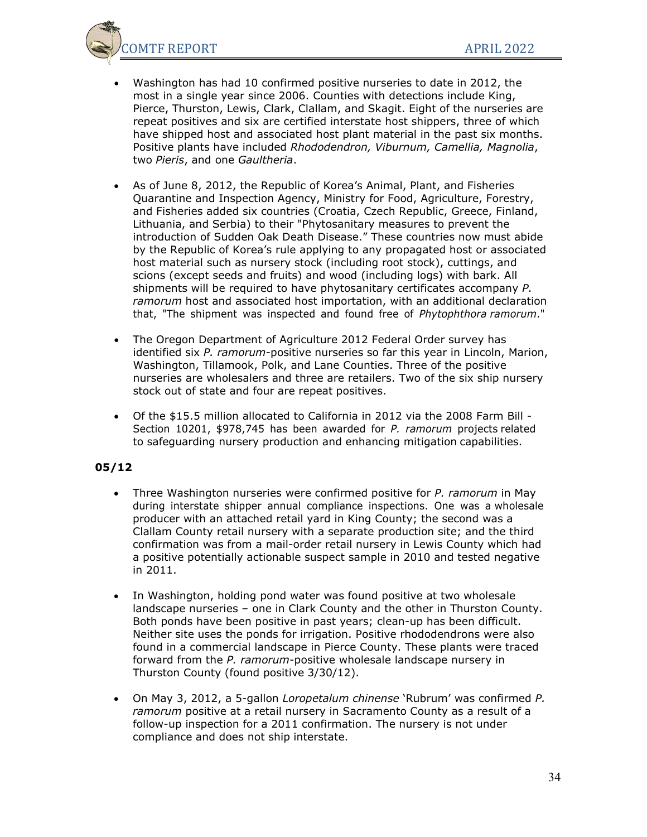

- Washington has had 10 confirmed positive nurseries to date in 2012, the most in a single year since 2006. Counties with detections include King, Pierce, Thurston, Lewis, Clark, Clallam, and Skagit. Eight of the nurseries are repeat positives and six are certified interstate host shippers, three of which have shipped host and associated host plant material in the past six months. Positive plants have included *Rhododendron, Viburnum, Camellia, Magnolia*, two *Pieris*, and one *Gaultheria*.
- As of June 8, 2012, the Republic of Korea's Animal, Plant, and Fisheries Quarantine and Inspection Agency, Ministry for Food, Agriculture, Forestry, and Fisheries added six countries (Croatia, Czech Republic, Greece, Finland, Lithuania, and Serbia) to their "Phytosanitary measures to prevent the introduction of Sudden Oak Death Disease." These countries now must abide by the Republic of Korea's rule applying to any propagated host or associated host material such as nursery stock (including root stock), cuttings, and scions (except seeds and fruits) and wood (including logs) with bark. All shipments will be required to have phytosanitary certificates accompany *P. ramorum* host and associated host importation, with an additional declaration that, "The shipment was inspected and found free of *Phytophthora ramorum*."
- The Oregon Department of Agriculture 2012 Federal Order survey has identified six *P. ramorum*-positive nurseries so far this year in Lincoln, Marion, Washington, Tillamook, Polk, and Lane Counties. Three of the positive nurseries are wholesalers and three are retailers. Two of the six ship nursery stock out of state and four are repeat positives.
- Of the \$15.5 million allocated to California in 2012 via the 2008 Farm Bill Section 10201, \$978,745 has been awarded for *P. ramorum* projects related to safeguarding nursery production and enhancing mitigation capabilities.

- Three Washington nurseries were confirmed positive for *P. ramorum* in May during interstate shipper annual compliance inspections. One was a wholesale producer with an attached retail yard in King County; the second was a Clallam County retail nursery with a separate production site; and the third confirmation was from a mail-order retail nursery in Lewis County which had a positive potentially actionable suspect sample in 2010 and tested negative in 2011.
- In Washington, holding pond water was found positive at two wholesale landscape nurseries – one in Clark County and the other in Thurston County. Both ponds have been positive in past years; clean-up has been difficult. Neither site uses the ponds for irrigation. Positive rhododendrons were also found in a commercial landscape in Pierce County. These plants were traced forward from the *P. ramorum*-positive wholesale landscape nursery in Thurston County (found positive 3/30/12).
- On May 3, 2012, a 5-gallon *Loropetalum chinense* 'Rubrum' was confirmed *P. ramorum* positive at a retail nursery in Sacramento County as a result of a follow-up inspection for a 2011 confirmation. The nursery is not under compliance and does not ship interstate.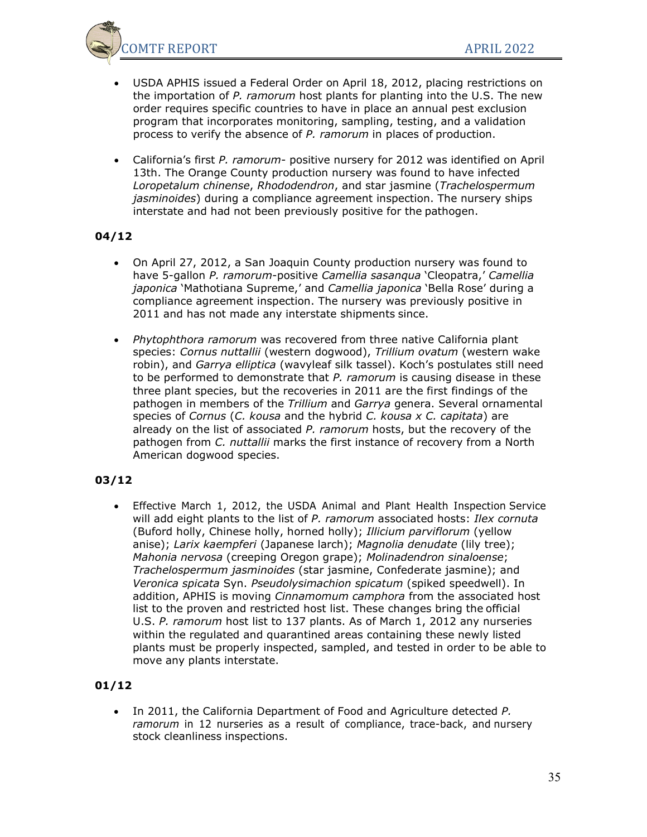

- USDA APHIS issued a Federal Order on April 18, 2012, placing restrictions on the importation of *P. ramorum* host plants for planting into the U.S. The new order requires specific countries to have in place an annual pest exclusion program that incorporates monitoring, sampling, testing, and a validation process to verify the absence of *P. ramorum* in places of production.
- California's first *P. ramorum* positive nursery for 2012 was identified on April 13th. The Orange County production nursery was found to have infected *Loropetalum chinense*, *Rhododendron*, and star jasmine (*Trachelospermum jasminoides*) during a compliance agreement inspection. The nursery ships interstate and had not been previously positive for the pathogen.

- On April 27, 2012, a San Joaquin County production nursery was found to have 5-gallon *P. ramorum*-positive *Camellia sasanqua* 'Cleopatra,' *Camellia japonica* 'Mathotiana Supreme,' and *Camellia japonica* 'Bella Rose' during a compliance agreement inspection. The nursery was previously positive in 2011 and has not made any interstate shipments since.
- *Phytophthora ramorum* was recovered from three native California plant species: *Cornus nuttallii* (western dogwood), *Trillium ovatum* (western wake robin), and *Garrya elliptica* (wavyleaf silk tassel). Koch's postulates still need to be performed to demonstrate that *P. ramorum* is causing disease in these three plant species, but the recoveries in 2011 are the first findings of the pathogen in members of the *Trillium* and *Garrya* genera. Several ornamental species of *Cornus* (*C. kousa* and the hybrid *C. kousa x C. capitata*) are already on the list of associated *P. ramorum* hosts, but the recovery of the pathogen from *C. nuttallii* marks the first instance of recovery from a North American dogwood species.

## **03/12**

• Effective March 1, 2012, the USDA Animal and Plant Health Inspection Service will add eight plants to the list of *P. ramorum* associated hosts: *Ilex cornuta* (Buford holly, Chinese holly, horned holly); *Illicium parviflorum* (yellow anise); *Larix kaempferi* (Japanese larch); *Magnolia denudate* (lily tree); *Mahonia nervosa* (creeping Oregon grape); *Molinadendron sinaloense*; *Trachelospermum jasminoides* (star jasmine, Confederate jasmine); and *Veronica spicata* Syn. *Pseudolysimachion spicatum* (spiked speedwell). In addition, APHIS is moving *Cinnamomum camphora* from the associated host list to the proven and restricted host list. These changes bring the official U.S. *P. ramorum* host list to 137 plants. As of March 1, 2012 any nurseries within the regulated and quarantined areas containing these newly listed plants must be properly inspected, sampled, and tested in order to be able to move any plants interstate.

# **01/12**

• In 2011, the California Department of Food and Agriculture detected *P. ramorum* in 12 nurseries as a result of compliance, trace-back, and nursery stock cleanliness inspections.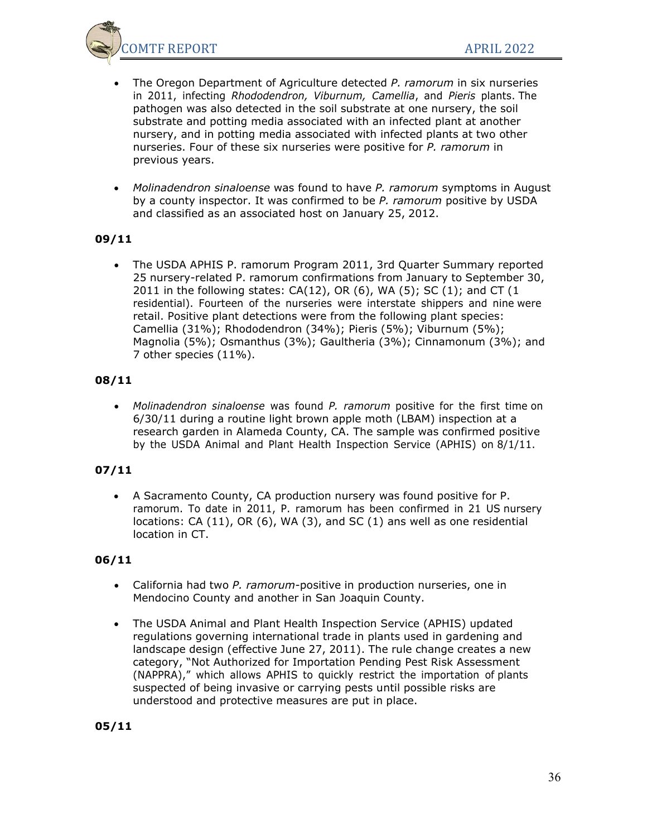OMTF REPORT APRIL 2022

- The Oregon Department of Agriculture detected *P. ramorum* in six nurseries in 2011, infecting *Rhododendron, Viburnum, Camellia*, and *Pieris* plants. The pathogen was also detected in the soil substrate at one nursery, the soil substrate and potting media associated with an infected plant at another nursery, and in potting media associated with infected plants at two other nurseries. Four of these six nurseries were positive for *P. ramorum* in previous years.
- *Molinadendron sinaloense* was found to have *P. ramorum* symptoms in August by a county inspector. It was confirmed to be *P. ramorum* positive by USDA and classified as an associated host on January 25, 2012.

# **09/11**

• The USDA APHIS P. ramorum Program 2011, 3rd Quarter Summary reported 25 nursery-related P. ramorum confirmations from January to September 30, 2011 in the following states: CA(12), OR (6), WA (5); SC (1); and CT (1 residential). Fourteen of the nurseries were interstate shippers and nine were retail. Positive plant detections were from the following plant species: Camellia (31%); Rhododendron (34%); Pieris (5%); Viburnum (5%); Magnolia (5%); Osmanthus (3%); Gaultheria (3%); Cinnamonum (3%); and 7 other species (11%).

## **08/11**

• *Molinadendron sinaloense* was found *P. ramorum* positive for the first time on 6/30/11 during a routine light brown apple moth (LBAM) inspection at a research garden in Alameda County, CA. The sample was confirmed positive by the USDA Animal and Plant Health Inspection Service (APHIS) on 8/1/11.

# **07/11**

• A Sacramento County, CA production nursery was found positive for P. ramorum. To date in 2011, P. ramorum has been confirmed in 21 US nursery locations: CA (11), OR (6), WA (3), and SC (1) ans well as one residential location in CT.

## **06/11**

- California had two *P. ramorum*-positive in production nurseries, one in Mendocino County and another in San Joaquin County.
- The USDA Animal and Plant Health Inspection Service (APHIS) updated regulations governing international trade in plants used in gardening and landscape design (effective June 27, 2011). The rule change creates a new category, "Not Authorized for Importation Pending Pest Risk Assessment (NAPPRA)," which allows APHIS to quickly restrict the importation of plants suspected of being invasive or carrying pests until possible risks are understood and protective measures are put in place.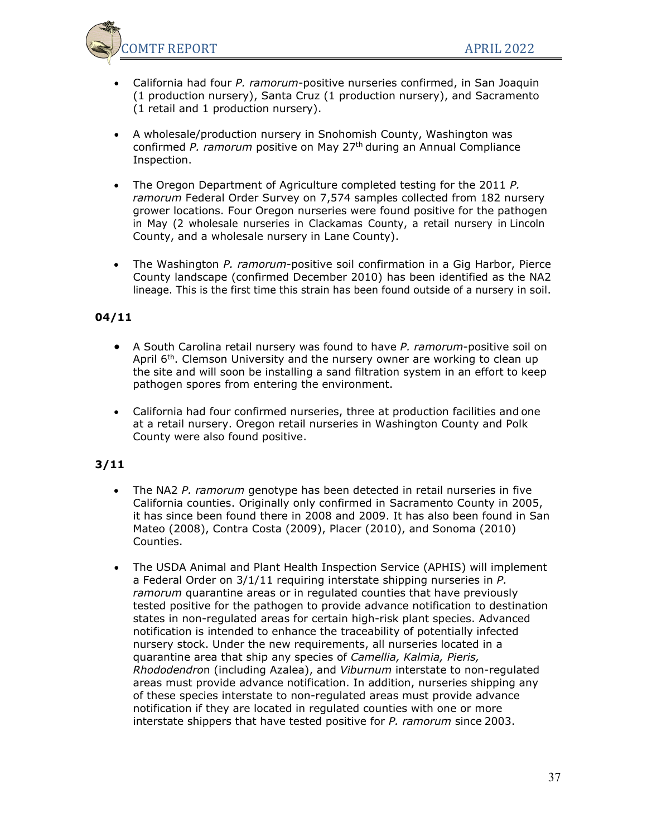

- California had four *P. ramorum*-positive nurseries confirmed, in San Joaquin (1 production nursery), Santa Cruz (1 production nursery), and Sacramento (1 retail and 1 production nursery).
- A wholesale/production nursery in Snohomish County, Washington was confirmed *P. ramorum* positive on May 27th during an Annual Compliance Inspection.
- The Oregon Department of Agriculture completed testing for the 2011 *P. ramorum* Federal Order Survey on 7,574 samples collected from 182 nursery grower locations. Four Oregon nurseries were found positive for the pathogen in May (2 wholesale nurseries in Clackamas County, a retail nursery in Lincoln County, and a wholesale nursery in Lane County).
- The Washington *P. ramorum*-positive soil confirmation in a Gig Harbor, Pierce County landscape (confirmed December 2010) has been identified as the NA2 lineage. This is the first time this strain has been found outside of a nursery in soil.

## **04/11**

- A South Carolina retail nursery was found to have *P. ramorum*-positive soil on April 6<sup>th</sup>. Clemson University and the nursery owner are working to clean up the site and will soon be installing a sand filtration system in an effort to keep pathogen spores from entering the environment.
- California had four confirmed nurseries, three at production facilities and one at a retail nursery. Oregon retail nurseries in Washington County and Polk County were also found positive.

- The NA2 *P. ramorum* genotype has been detected in retail nurseries in five California counties. Originally only confirmed in Sacramento County in 2005, it has since been found there in 2008 and 2009. It has also been found in San Mateo (2008), Contra Costa (2009), Placer (2010), and Sonoma (2010) Counties.
- The USDA Animal and Plant Health Inspection Service (APHIS) will implement a Federal Order on 3/1/11 requiring interstate shipping nurseries in *P. ramorum* quarantine areas or in regulated counties that have previously tested positive for the pathogen to provide advance notification to destination states in non-regulated areas for certain high-risk plant species. Advanced notification is intended to enhance the traceability of potentially infected nursery stock. Under the new requirements, all nurseries located in a quarantine area that ship any species of *Camellia, Kalmia, Pieris, Rhododendro*n (including Azalea), and *Viburnum* interstate to non-regulated areas must provide advance notification. In addition, nurseries shipping any of these species interstate to non-regulated areas must provide advance notification if they are located in regulated counties with one or more interstate shippers that have tested positive for *P. ramorum* since 2003.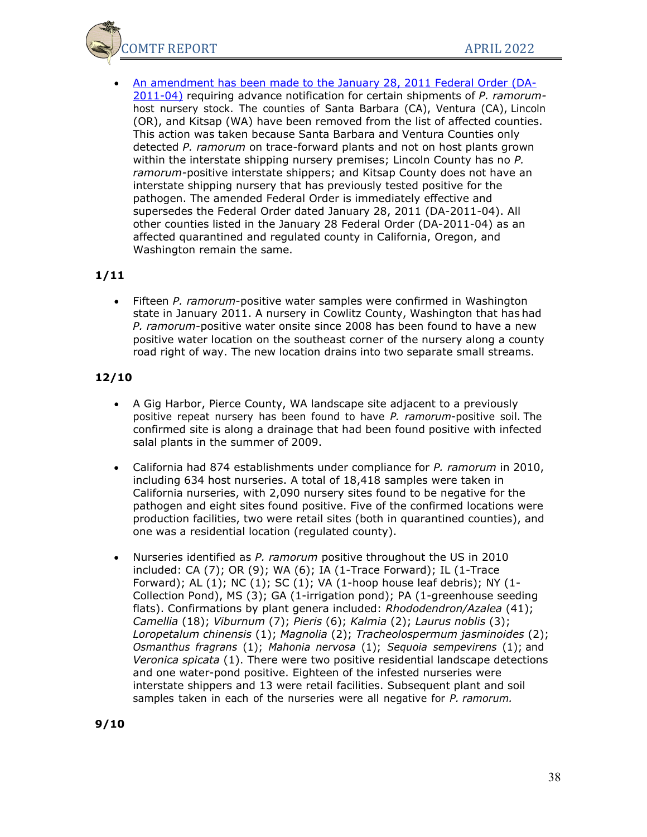OMTF REPORT APRIL 2022

• [An amendment has been made to the January 28, 2011 Federal Order \(DA-](http://www.suddenoakdeath.org/wp-content/uploads/2011/03/SPRO_DA-2011-10-P.Ram.pdf)[2011-04\)](http://www.suddenoakdeath.org/wp-content/uploads/2011/03/SPRO_DA-2011-10-P.Ram.pdf) requiring advance notification for certain shipments of *P. ramorum*host nursery stock. The counties of Santa Barbara (CA), Ventura (CA), Lincoln (OR), and Kitsap (WA) have been removed from the list of affected counties. This action was taken because Santa Barbara and Ventura Counties only detected *P. ramorum* on trace-forward plants and not on host plants grown within the interstate shipping nursery premises; Lincoln County has no *P. ramorum-*positive interstate shippers; and Kitsap County does not have an interstate shipping nursery that has previously tested positive for the pathogen. The amended Federal Order is immediately effective and supersedes the Federal Order dated January 28, 2011 (DA-2011-04). All other counties listed in the January 28 Federal Order (DA-2011-04) as an affected quarantined and regulated county in California, Oregon, and Washington remain the same.

### **1/11**

• Fifteen *P. ramorum*-positive water samples were confirmed in Washington state in January 2011. A nursery in Cowlitz County, Washington that has had *P. ramorum*-positive water onsite since 2008 has been found to have a new positive water location on the southeast corner of the nursery along a county road right of way. The new location drains into two separate small streams.

- A Gig Harbor, Pierce County, WA landscape site adjacent to a previously positive repeat nursery has been found to have *P. ramorum*-positive soil. The confirmed site is along a drainage that had been found positive with infected salal plants in the summer of 2009.
- California had 874 establishments under compliance for *P. ramorum* in 2010, including 634 host nurseries. A total of 18,418 samples were taken in California nurseries, with 2,090 nursery sites found to be negative for the pathogen and eight sites found positive. Five of the confirmed locations were production facilities, two were retail sites (both in quarantined counties), and one was a residential location (regulated county).
- Nurseries identified as *P. ramorum* positive throughout the US in 2010 included: CA (7); OR (9); WA (6); IA (1-Trace Forward); IL (1-Trace Forward); AL  $(1)$ ; NC  $(1)$ ; SC  $(1)$ ; VA  $(1)$ -hoop house leaf debris); NY  $(1)$ -Collection Pond), MS (3); GA (1-irrigation pond); PA (1-greenhouse seeding flats). Confirmations by plant genera included: *Rhododendron/Azalea* (41); *Camellia* (18); *Viburnum* (7); *Pieris* (6); *Kalmia* (2); *Laurus noblis* (3); *Loropetalum chinensis* (1); *Magnolia* (2); *Tracheolospermum jasminoides* (2); *Osmanthus fragrans* (1); *Mahonia nervosa* (1); *Sequoia sempevirens* (1); and *Veronica spicata* (1). There were two positive residential landscape detections and one water-pond positive. Eighteen of the infested nurseries were interstate shippers and 13 were retail facilities. Subsequent plant and soil samples taken in each of the nurseries were all negative for *P. ramorum.*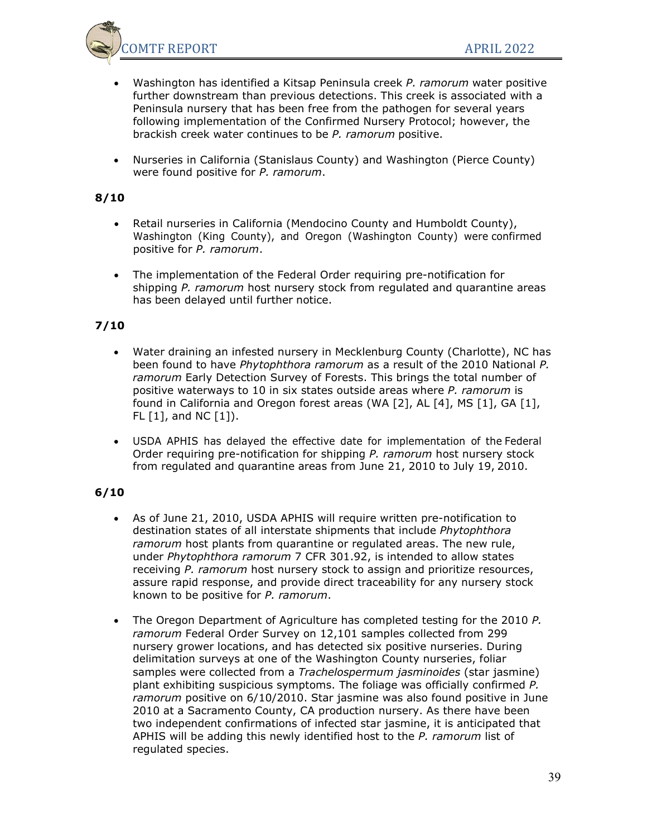

- Washington has identified a Kitsap Peninsula creek *P. ramorum* water positive further downstream than previous detections. This creek is associated with a Peninsula nursery that has been free from the pathogen for several years following implementation of the Confirmed Nursery Protocol; however, the brackish creek water continues to be *P. ramorum* positive.
- Nurseries in California (Stanislaus County) and Washington (Pierce County) were found positive for *P. ramorum*.

## **8/10**

- Retail nurseries in California (Mendocino County and Humboldt County), Washington (King County), and Oregon (Washington County) were confirmed positive for *P. ramorum*.
- The implementation of the Federal Order requiring pre-notification for shipping *P. ramorum* host nursery stock from regulated and quarantine areas has been delayed until further notice.

## **7/10**

- Water draining an infested nursery in Mecklenburg County (Charlotte), NC has been found to have *Phytophthora ramorum* as a result of the 2010 National *P. ramorum* Early Detection Survey of Forests. This brings the total number of positive waterways to 10 in six states outside areas where *P. ramorum* is found in California and Oregon forest areas (WA [2], AL [4], MS [1], GA [1],  $FL [1]$ , and NC  $[1]$ ).
- USDA APHIS has delayed the effective date for implementation of the Federal Order requiring pre-notification for shipping *P. ramorum* host nursery stock from regulated and quarantine areas from June 21, 2010 to July 19, 2010.

- As of June 21, 2010, USDA APHIS will require written pre-notification to destination states of all interstate shipments that include *Phytophthora ramorum* host plants from quarantine or regulated areas. The new rule, under *Phytophthora ramorum* 7 CFR 301.92, is intended to allow states receiving *P. ramorum* host nursery stock to assign and prioritize resources, assure rapid response, and provide direct traceability for any nursery stock known to be positive for *P. ramorum*.
- The Oregon Department of Agriculture has completed testing for the 2010 *P. ramorum* Federal Order Survey on 12,101 samples collected from 299 nursery grower locations, and has detected six positive nurseries. During delimitation surveys at one of the Washington County nurseries, foliar samples were collected from a *Trachelospermum jasminoides* (star jasmine) plant exhibiting suspicious symptoms. The foliage was officially confirmed *P. ramorum* positive on 6/10/2010. Star jasmine was also found positive in June 2010 at a Sacramento County, CA production nursery. As there have been two independent confirmations of infected star jasmine, it is anticipated that APHIS will be adding this newly identified host to the *P. ramorum* list of regulated species.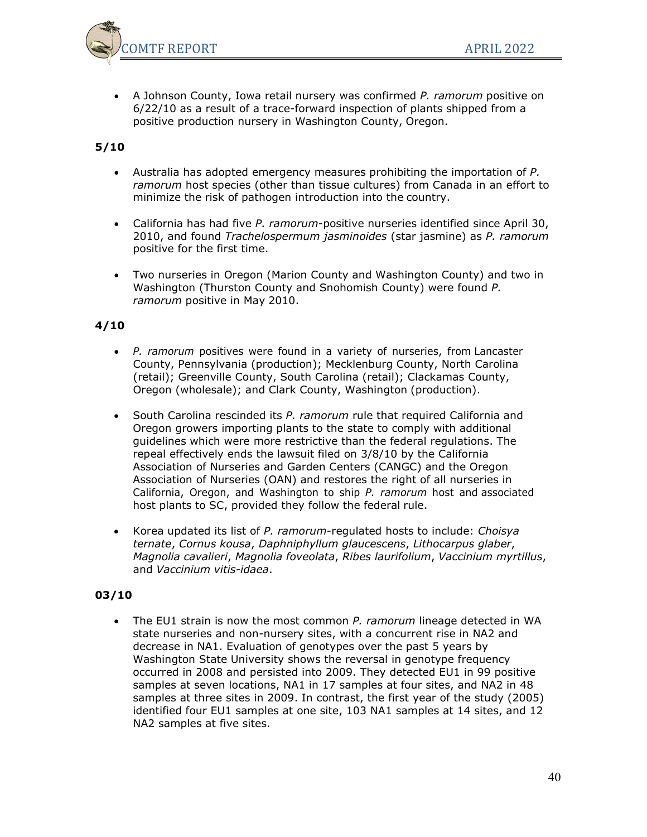

• A Johnson County, Iowa retail nursery was confirmed *P. ramorum* positive on 6/22/10 as a result of a trace-forward inspection of plants shipped from a positive production nursery in Washington County, Oregon.

## **5/10**

- Australia has adopted emergency measures prohibiting the importation of *P. ramorum* host species (other than tissue cultures) from Canada in an effort to minimize the risk of pathogen introduction into the country.
- California has had five *P. ramorum*-positive nurseries identified since April 30, 2010, and found *Trachelospermum jasminoides* (star jasmine) as *P. ramorum* positive for the first time.
- Two nurseries in Oregon (Marion County and Washington County) and two in Washington (Thurston County and Snohomish County) were found *P. ramorum* positive in May 2010.

## **4/10**

- *P. ramorum* positives were found in a variety of nurseries, from Lancaster County, Pennsylvania (production); Mecklenburg County, North Carolina (retail); Greenville County, South Carolina (retail); Clackamas County, Oregon (wholesale); and Clark County, Washington (production).
- South Carolina rescinded its *P. ramorum* rule that required California and Oregon growers importing plants to the state to comply with additional guidelines which were more restrictive than the federal regulations. The repeal effectively ends the lawsuit filed on 3/8/10 by the California Association of Nurseries and Garden Centers (CANGC) and the Oregon Association of Nurseries (OAN) and restores the right of all nurseries in California, Oregon, and Washington to ship *P. ramorum* host and associated host plants to SC, provided they follow the federal rule.
- Korea updated its list of *P. ramorum*-regulated hosts to include: *Choisya ternate*, *Cornus kousa*, *Daphniphyllum glaucescens*, *Lithocarpus glaber*, *Magnolia cavalieri*, *Magnolia foveolata*, *Ribes laurifolium*, *Vaccinium myrtillus*, and *Vaccinium vitis-idaea*.

#### **03/10**

• The EU1 strain is now the most common *P. ramorum* lineage detected in WA state nurseries and non-nursery sites, with a concurrent rise in NA2 and decrease in NA1. Evaluation of genotypes over the past 5 years by Washington State University shows the reversal in genotype frequency occurred in 2008 and persisted into 2009. They detected EU1 in 99 positive samples at seven locations, NA1 in 17 samples at four sites, and NA2 in 48 samples at three sites in 2009. In contrast, the first year of the study (2005) identified four EU1 samples at one site, 103 NA1 samples at 14 sites, and 12 NA2 samples at five sites.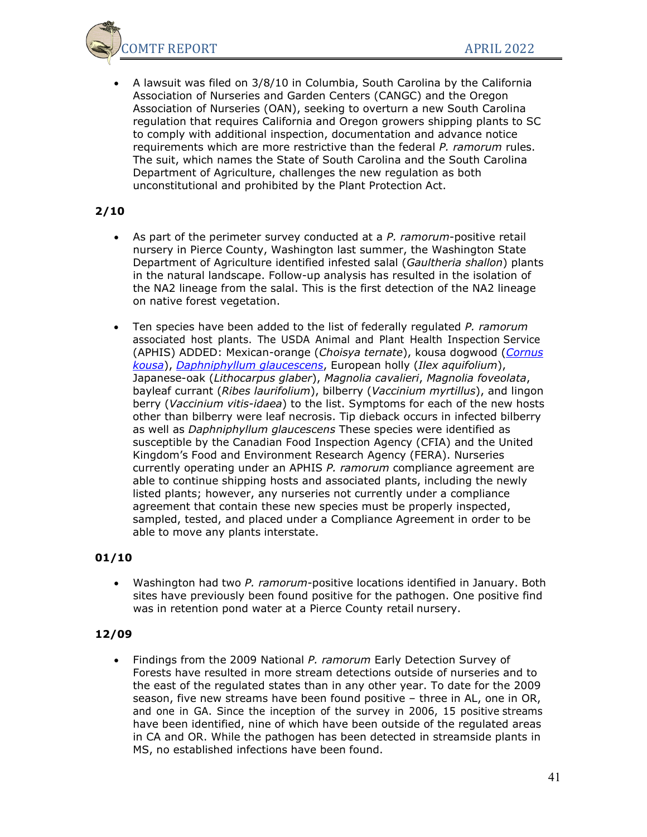

• A lawsuit was filed on 3/8/10 in Columbia, South Carolina by the California Association of Nurseries and Garden Centers (CANGC) and the Oregon Association of Nurseries (OAN), seeking to overturn a new South Carolina regulation that requires California and Oregon growers shipping plants to SC to comply with additional inspection, documentation and advance notice requirements which are more restrictive than the federal *P. ramorum* rules. The suit, which names the State of South Carolina and the South Carolina Department of Agriculture, challenges the new regulation as both unconstitutional and prohibited by the Plant Protection Act.

### **2/10**

- As part of the perimeter survey conducted at a *P. ramorum*-positive retail nursery in Pierce County, Washington last summer, the Washington State Department of Agriculture identified infested salal (*Gaultheria shallon*) plants in the natural landscape. Follow-up analysis has resulted in the isolation of the NA2 lineage from the salal. This is the first detection of the NA2 lineage on native forest vegetation.
- Ten species have been added to the list of federally regulated *P. ramorum* associated host plants. The USDA Animal and Plant Health Inspection Service (APHIS) ADDED: Mexican-orange (*Choisya ternate*), kousa dogwood (*[Cornus](http://www.suddenoakdeath.org/pdf/Monthly%20Reports/Mar2010/Cornus_kousa_photos.pdf) [kousa](http://www.suddenoakdeath.org/pdf/Monthly%20Reports/Mar2010/Cornus_kousa_photos.pdf)*), *[Daphniphyllum glaucescens](http://www.suddenoakdeath.org/pdf/Monthly%20Reports/Mar2010/Daphniphyllum_glaucescens_photos.pdf)*, European holly (*Ilex aquifolium*), Japanese-oak (*Lithocarpus glaber*), *Magnolia cavalieri*, *Magnolia foveolata*, bayleaf currant (*Ribes laurifolium*), bilberry (*Vaccinium myrtillus*), and lingon berry (*Vaccinium vitis-idaea*) to the list. Symptoms for each of the new hosts other than bilberry were leaf necrosis. Tip dieback occurs in infected bilberry as well as *Daphniphyllum glaucescens* These species were identified as susceptible by the Canadian Food Inspection Agency (CFIA) and the United Kingdom's Food and Environment Research Agency (FERA). Nurseries currently operating under an APHIS *P. ramorum* compliance agreement are able to continue shipping hosts and associated plants, including the newly listed plants; however, any nurseries not currently under a compliance agreement that contain these new species must be properly inspected, sampled, tested, and placed under a Compliance Agreement in order to be able to move any plants interstate.

#### **01/10**

• Washington had two *P. ramorum*-positive locations identified in January. Both sites have previously been found positive for the pathogen. One positive find was in retention pond water at a Pierce County retail nursery.

#### **12/09**

• Findings from the 2009 National *P. ramorum* Early Detection Survey of Forests have resulted in more stream detections outside of nurseries and to the east of the regulated states than in any other year. To date for the 2009 season, five new streams have been found positive – three in AL, one in OR, and one in GA. Since the inception of the survey in 2006, 15 positive streams have been identified, nine of which have been outside of the regulated areas in CA and OR. While the pathogen has been detected in streamside plants in MS, no established infections have been found.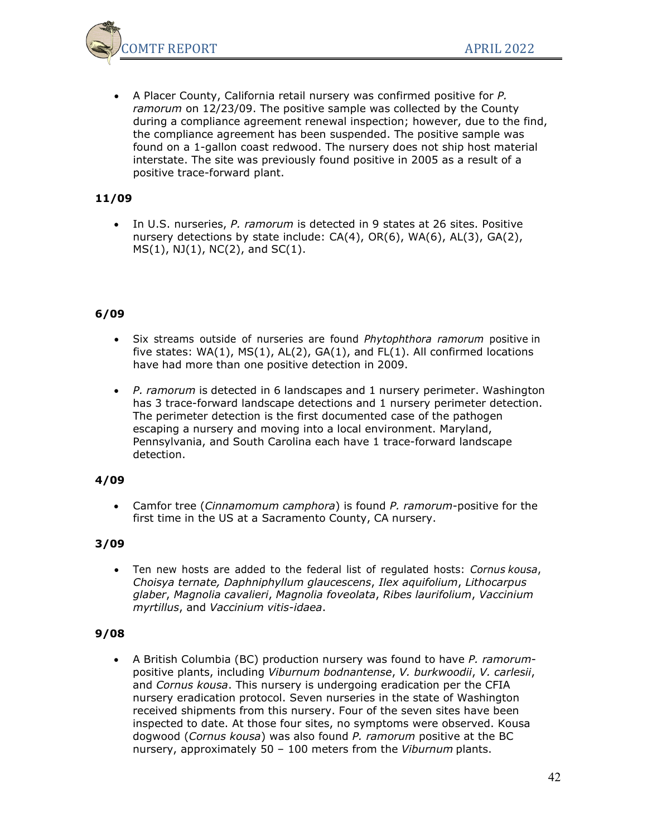

• A Placer County, California retail nursery was confirmed positive for *P. ramorum* on 12/23/09. The positive sample was collected by the County during a compliance agreement renewal inspection; however, due to the find, the compliance agreement has been suspended. The positive sample was found on a 1-gallon coast redwood. The nursery does not ship host material interstate. The site was previously found positive in 2005 as a result of a positive trace-forward plant.

## **11/09**

• In U.S. nurseries, *P. ramorum* is detected in 9 states at 26 sites. Positive nursery detections by state include: CA(4), OR(6), WA(6), AL(3), GA(2),  $MS(1)$ ,  $NJ(1)$ ,  $NC(2)$ , and  $SC(1)$ .

## **6/09**

- Six streams outside of nurseries are found *Phytophthora ramorum* positive in five states:  $WA(1)$ ,  $MS(1)$ ,  $AL(2)$ ,  $GA(1)$ , and  $FL(1)$ . All confirmed locations have had more than one positive detection in 2009.
- *P. ramorum* is detected in 6 landscapes and 1 nursery perimeter. Washington has 3 trace-forward landscape detections and 1 nursery perimeter detection. The perimeter detection is the first documented case of the pathogen escaping a nursery and moving into a local environment. Maryland, Pennsylvania, and South Carolina each have 1 trace-forward landscape detection.

## **4/09**

• Camfor tree (*Cinnamomum camphora*) is found *P. ramorum*-positive for the first time in the US at a Sacramento County, CA nursery.

## **3/09**

• Ten new hosts are added to the federal list of regulated hosts: *Cornus kousa*, *Choisya ternate, Daphniphyllum glaucescens*, *Ilex aquifolium*, *Lithocarpus glaber*, *Magnolia cavalieri*, *Magnolia foveolata*, *Ribes laurifolium*, *Vaccinium myrtillus*, and *Vaccinium vitis-idaea*.

#### **9/08**

• A British Columbia (BC) production nursery was found to have *P. ramorum*positive plants, including *Viburnum bodnantense*, *V. burkwoodii*, *V. carlesii*, and *Cornus kousa*. This nursery is undergoing eradication per the CFIA nursery eradication protocol. Seven nurseries in the state of Washington received shipments from this nursery. Four of the seven sites have been inspected to date. At those four sites, no symptoms were observed. Kousa dogwood (*Cornus kousa*) was also found *P. ramorum* positive at the BC nursery, approximately 50 – 100 meters from the *Viburnum* plants.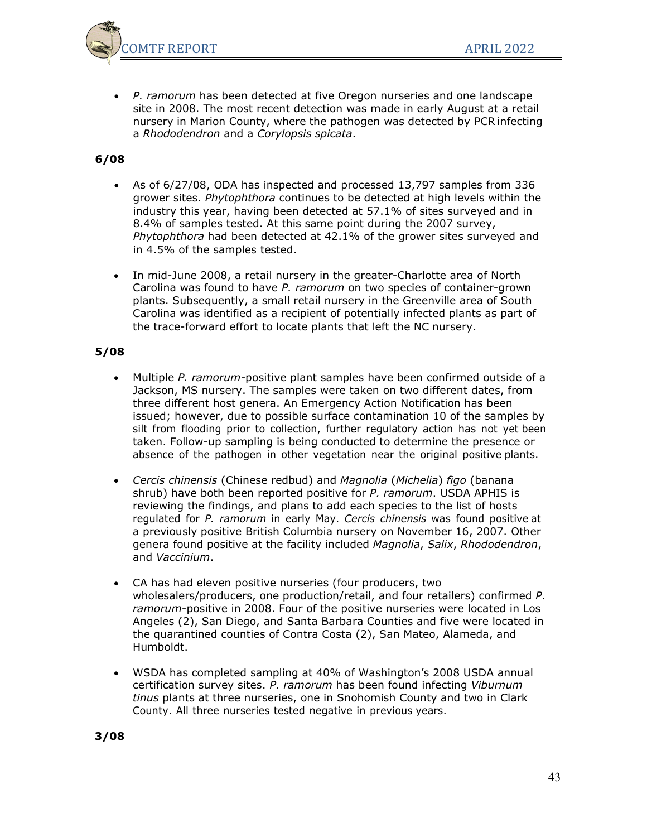

• *P. ramorum* has been detected at five Oregon nurseries and one landscape site in 2008. The most recent detection was made in early August at a retail nursery in Marion County, where the pathogen was detected by PCR infecting a *Rhododendron* and a *Corylopsis spicata*.

## **6/08**

- As of 6/27/08, ODA has inspected and processed 13,797 samples from 336 grower sites. *Phytophthora* continues to be detected at high levels within the industry this year, having been detected at 57.1% of sites surveyed and in 8.4% of samples tested. At this same point during the 2007 survey, *Phytophthora* had been detected at 42.1% of the grower sites surveyed and in 4.5% of the samples tested.
- In mid-June 2008, a retail nursery in the greater-Charlotte area of North Carolina was found to have *P. ramorum* on two species of container-grown plants. Subsequently, a small retail nursery in the Greenville area of South Carolina was identified as a recipient of potentially infected plants as part of the trace-forward effort to locate plants that left the NC nursery.

- Multiple *P. ramorum-*positive plant samples have been confirmed outside of a Jackson, MS nursery. The samples were taken on two different dates, from three different host genera. An Emergency Action Notification has been issued; however, due to possible surface contamination 10 of the samples by silt from flooding prior to collection, further regulatory action has not yet been taken. Follow-up sampling is being conducted to determine the presence or absence of the pathogen in other vegetation near the original positive plants.
- *Cercis chinensis* (Chinese redbud) and *Magnolia* (*Michelia*) *figo* (banana shrub) have both been reported positive for *P. ramorum*. USDA APHIS is reviewing the findings, and plans to add each species to the list of hosts regulated for *P. ramorum* in early May. *Cercis chinensis* was found positive at a previously positive British Columbia nursery on November 16, 2007. Other genera found positive at the facility included *Magnolia*, *Salix*, *Rhododendron*, and *Vaccinium*.
- CA has had eleven positive nurseries (four producers, two wholesalers/producers, one production/retail, and four retailers) confirmed *P. ramorum*-positive in 2008. Four of the positive nurseries were located in Los Angeles (2), San Diego, and Santa Barbara Counties and five were located in the quarantined counties of Contra Costa (2), San Mateo, Alameda, and Humboldt.
- WSDA has completed sampling at 40% of Washington's 2008 USDA annual certification survey sites. *P. ramorum* has been found infecting *Viburnum tinus* plants at three nurseries, one in Snohomish County and two in Clark County. All three nurseries tested negative in previous years.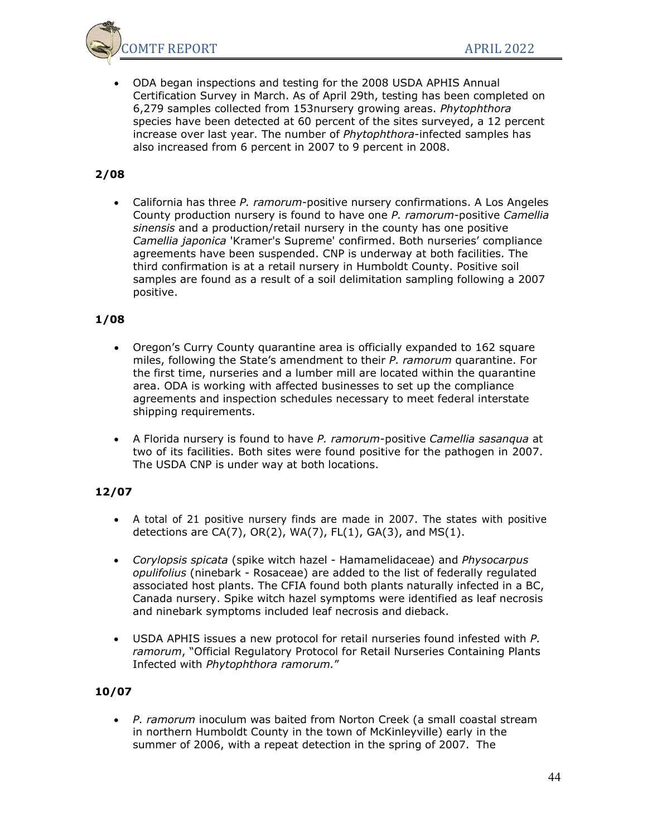

• ODA began inspections and testing for the 2008 USDA APHIS Annual Certification Survey in March. As of April 29th, testing has been completed on 6,279 samples collected from 153nursery growing areas. *Phytophthora* species have been detected at 60 percent of the sites surveyed, a 12 percent increase over last year. The number of *Phytophthora*-infected samples has also increased from 6 percent in 2007 to 9 percent in 2008.

# **2/08**

• California has three *P. ramorum*-positive nursery confirmations. A Los Angeles County production nursery is found to have one *P. ramorum*-positive *Camellia sinensis* and a production/retail nursery in the county has one positive *Camellia japonica* 'Kramer's Supreme' confirmed. Both nurseries' compliance agreements have been suspended. CNP is underway at both facilities. The third confirmation is at a retail nursery in Humboldt County. Positive soil samples are found as a result of a soil delimitation sampling following a 2007 positive.

## **1/08**

- Oregon's Curry County quarantine area is officially expanded to 162 square miles, following the State's amendment to their *P. ramorum* quarantine. For the first time, nurseries and a lumber mill are located within the quarantine area. ODA is working with affected businesses to set up the compliance agreements and inspection schedules necessary to meet federal interstate shipping requirements.
- A Florida nursery is found to have *P. ramorum*-positive *Camellia sasanqua* at two of its facilities. Both sites were found positive for the pathogen in 2007. The USDA CNP is under way at both locations.

## **12/07**

- A total of 21 positive nursery finds are made in 2007. The states with positive detections are CA(7),  $OR(2)$ ,  $WA(7)$ ,  $FL(1)$ ,  $GA(3)$ , and  $MS(1)$ .
- *Corylopsis spicata* (spike witch hazel Hamamelidaceae) and *Physocarpus opulifolius* (ninebark - Rosaceae) are added to the list of federally regulated associated host plants. The CFIA found both plants naturally infected in a BC, Canada nursery. Spike witch hazel symptoms were identified as leaf necrosis and ninebark symptoms included leaf necrosis and dieback.
- USDA APHIS issues a new protocol for retail nurseries found infested with *P. ramorum*, "Official Regulatory Protocol for Retail Nurseries Containing Plants Infected with *Phytophthora ramorum.*"

## **10/07**

• *P. ramorum* inoculum was baited from Norton Creek (a small coastal stream in northern Humboldt County in the town of McKinleyville) early in the summer of 2006, with a repeat detection in the spring of 2007. The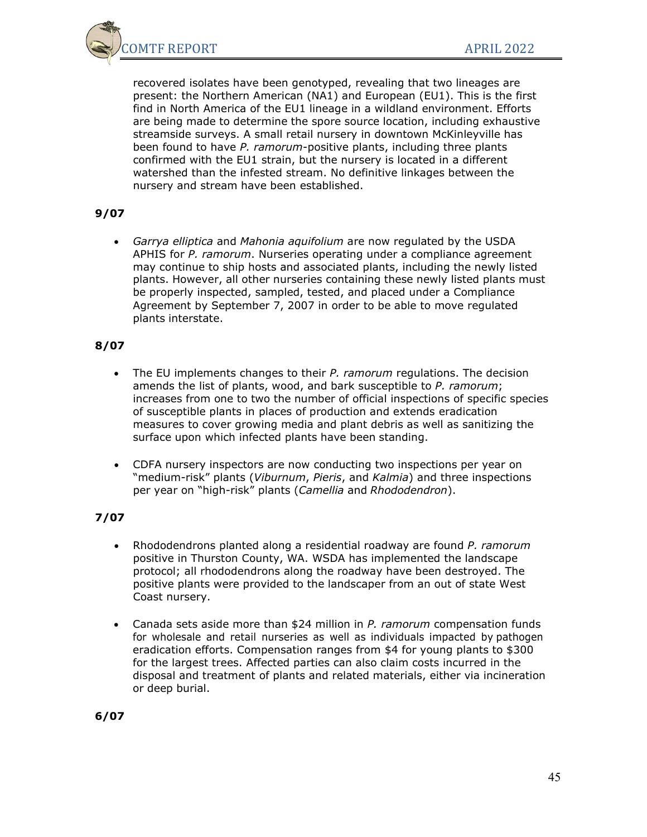

recovered isolates have been genotyped, revealing that two lineages are present: the Northern American (NA1) and European (EU1). This is the first find in North America of the EU1 lineage in a wildland environment. Efforts are being made to determine the spore source location, including exhaustive streamside surveys. A small retail nursery in downtown McKinleyville has been found to have *P. ramorum*-positive plants, including three plants confirmed with the EU1 strain, but the nursery is located in a different watershed than the infested stream. No definitive linkages between the nursery and stream have been established.

## **9/07**

• *Garrya elliptica* and *Mahonia aquifolium* are now regulated by the USDA APHIS for *P. ramorum*. Nurseries operating under a compliance agreement may continue to ship hosts and associated plants, including the newly listed plants. However, all other nurseries containing these newly listed plants must be properly inspected, sampled, tested, and placed under a Compliance Agreement by September 7, 2007 in order to be able to move regulated plants interstate.

## **8/07**

- The EU implements changes to their *P. ramorum* regulations. The decision amends the list of plants, wood, and bark susceptible to *P. ramorum*; increases from one to two the number of official inspections of specific species of susceptible plants in places of production and extends eradication measures to cover growing media and plant debris as well as sanitizing the surface upon which infected plants have been standing.
- CDFA nursery inspectors are now conducting two inspections per year on "medium-risk" plants (*Viburnum*, *Pieris*, and *Kalmia*) and three inspections per year on "high-risk" plants (*Camellia* and *Rhododendron*).

## **7/07**

- Rhododendrons planted along a residential roadway are found *P. ramorum* positive in Thurston County, WA. WSDA has implemented the landscape protocol; all rhododendrons along the roadway have been destroyed. The positive plants were provided to the landscaper from an out of state West Coast nursery.
- Canada sets aside more than \$24 million in *P. ramorum* compensation funds for wholesale and retail nurseries as well as individuals impacted by pathogen eradication efforts. Compensation ranges from \$4 for young plants to \$300 for the largest trees. Affected parties can also claim costs incurred in the disposal and treatment of plants and related materials, either via incineration or deep burial.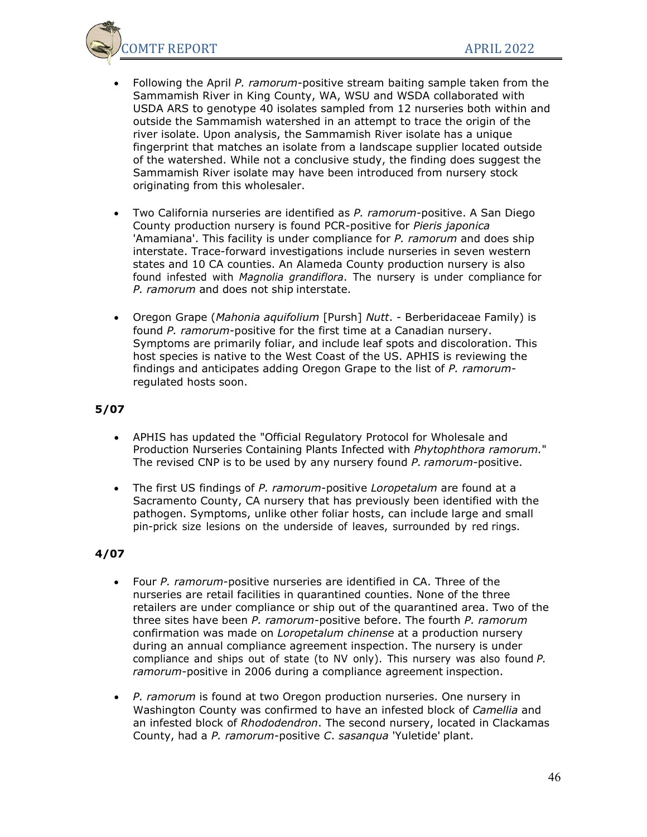

- Following the April *P. ramorum*-positive stream baiting sample taken from the Sammamish River in King County, WA, WSU and WSDA collaborated with USDA ARS to genotype 40 isolates sampled from 12 nurseries both within and outside the Sammamish watershed in an attempt to trace the origin of the river isolate. Upon analysis, the Sammamish River isolate has a unique fingerprint that matches an isolate from a landscape supplier located outside of the watershed. While not a conclusive study, the finding does suggest the Sammamish River isolate may have been introduced from nursery stock originating from this wholesaler.
- Two California nurseries are identified as *P. ramorum*-positive. A San Diego County production nursery is found PCR-positive for *Pieris japonica* 'Amamiana'. This facility is under compliance for *P. ramorum* and does ship interstate. Trace-forward investigations include nurseries in seven western states and 10 CA counties. An Alameda County production nursery is also found infested with *Magnolia grandiflora*. The nursery is under compliance for *P. ramorum* and does not ship interstate.
- Oregon Grape (*Mahonia aquifolium* [Pursh] *Nutt*. Berberidaceae Family) is found *P. ramorum*-positive for the first time at a Canadian nursery. Symptoms are primarily foliar, and include leaf spots and discoloration. This host species is native to the West Coast of the US. APHIS is reviewing the findings and anticipates adding Oregon Grape to the list of *P. ramorum*regulated hosts soon.

### **5/07**

- APHIS has updated the "Official Regulatory Protocol for Wholesale and Production Nurseries Containing Plants Infected with *Phytophthora ramorum.*" The revised CNP is to be used by any nursery found *P. ramorum-*positive.
- The first US findings of *P. ramorum*-positive *Loropetalum* are found at a Sacramento County, CA nursery that has previously been identified with the pathogen. Symptoms, unlike other foliar hosts, can include large and small pin-prick size lesions on the underside of leaves, surrounded by red rings.

- Four *P. ramorum*-positive nurseries are identified in CA. Three of the nurseries are retail facilities in quarantined counties. None of the three retailers are under compliance or ship out of the quarantined area. Two of the three sites have been *P. ramorum-*positive before. The fourth *P. ramorum* confirmation was made on *Loropetalum chinense* at a production nursery during an annual compliance agreement inspection. The nursery is under compliance and ships out of state (to NV only). This nursery was also found *P. ramorum*-positive in 2006 during a compliance agreement inspection.
- *P. ramorum* is found at two Oregon production nurseries. One nursery in Washington County was confirmed to have an infested block of *Camellia* and an infested block of *Rhododendron*. The second nursery, located in Clackamas County, had a *P. ramorum*-positive *C*. *sasanqua* 'Yuletide' plant.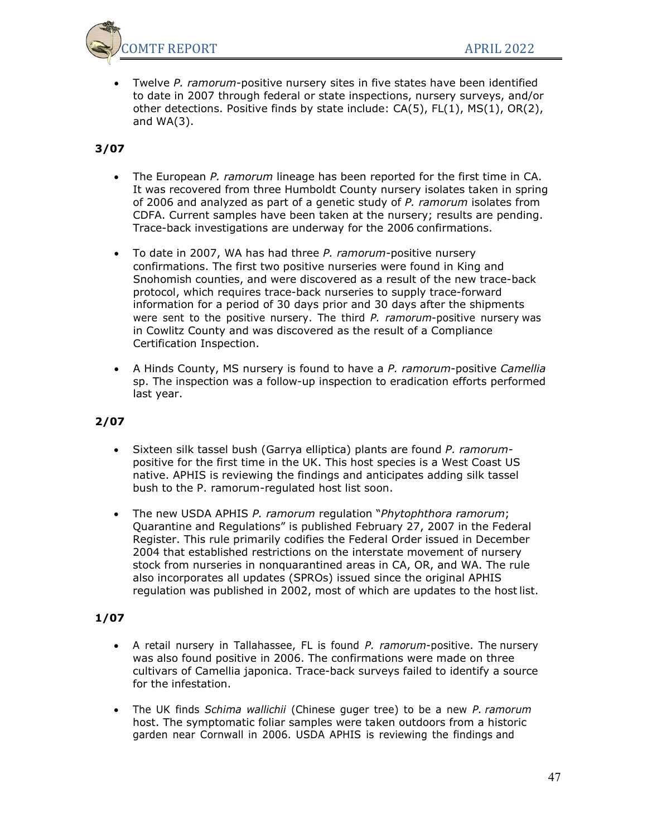

• Twelve *P. ramorum*-positive nursery sites in five states have been identified to date in 2007 through federal or state inspections, nursery surveys, and/or other detections. Positive finds by state include: CA(5), FL(1), MS(1), OR(2), and WA(3).

# **3/07**

- The European *P. ramorum* lineage has been reported for the first time in CA. It was recovered from three Humboldt County nursery isolates taken in spring of 2006 and analyzed as part of a genetic study of *P. ramorum* isolates from CDFA. Current samples have been taken at the nursery; results are pending. Trace-back investigations are underway for the 2006 confirmations.
- To date in 2007, WA has had three *P. ramorum*-positive nursery confirmations. The first two positive nurseries were found in King and Snohomish counties, and were discovered as a result of the new trace-back protocol, which requires trace-back nurseries to supply trace-forward information for a period of 30 days prior and 30 days after the shipments were sent to the positive nursery. The third *P. ramorum*-positive nursery was in Cowlitz County and was discovered as the result of a Compliance Certification Inspection.
- A Hinds County, MS nursery is found to have a *P. ramorum*-positive *Camellia* sp. The inspection was a follow-up inspection to eradication efforts performed last year.

## **2/07**

- Sixteen silk tassel bush (Garrya elliptica) plants are found *P. ramorum*positive for the first time in the UK. This host species is a West Coast US native. APHIS is reviewing the findings and anticipates adding silk tassel bush to the P. ramorum-regulated host list soon.
- The new USDA APHIS *P. ramorum* regulation "*Phytophthora ramorum*; Quarantine and Regulations" is published February 27, 2007 in the Federal Register. This rule primarily codifies the Federal Order issued in December 2004 that established restrictions on the interstate movement of nursery stock from nurseries in nonquarantined areas in CA, OR, and WA. The rule also incorporates all updates (SPROs) issued since the original APHIS regulation was published in 2002, most of which are updates to the hostlist.

- A retail nursery in Tallahassee, FL is found *P. ramorum*-positive. The nursery was also found positive in 2006. The confirmations were made on three cultivars of Camellia japonica. Trace-back surveys failed to identify a source for the infestation.
- The UK finds *Schima wallichii* (Chinese guger tree) to be a new *P. ramorum* host. The symptomatic foliar samples were taken outdoors from a historic garden near Cornwall in 2006. USDA APHIS is reviewing the findings and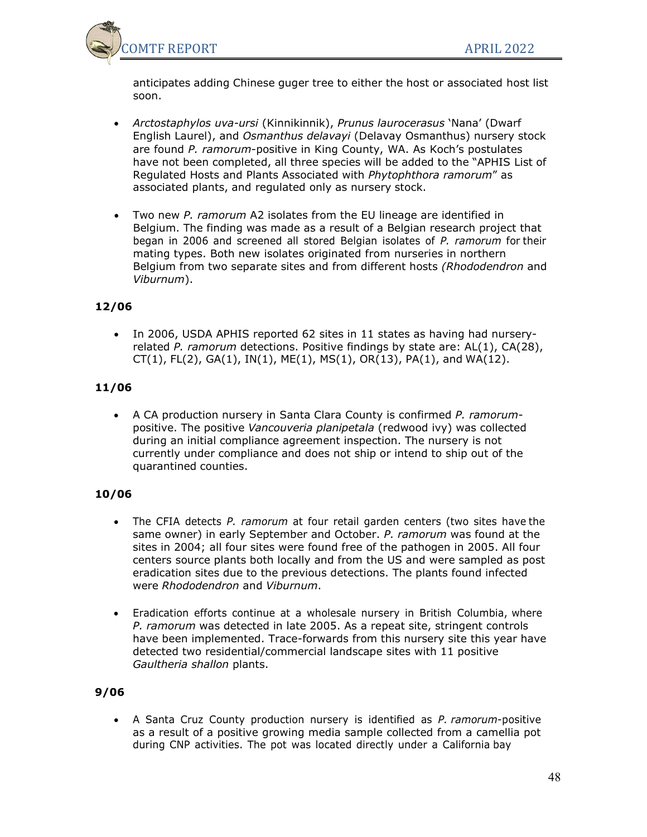

anticipates adding Chinese guger tree to either the host or associated host list soon.

- *Arctostaphylos uva-ursi* (Kinnikinnik), *Prunus laurocerasus* 'Nana' (Dwarf English Laurel), and *Osmanthus delavayi* (Delavay Osmanthus) nursery stock are found *P. ramorum*-positive in King County, WA. As Koch's postulates have not been completed, all three species will be added to the "APHIS List of Regulated Hosts and Plants Associated with *Phytophthora ramorum*" as associated plants, and regulated only as nursery stock.
- Two new *P. ramorum* A2 isolates from the EU lineage are identified in Belgium. The finding was made as a result of a Belgian research project that began in 2006 and screened all stored Belgian isolates of *P. ramorum* for their mating types. Both new isolates originated from nurseries in northern Belgium from two separate sites and from different hosts *(Rhododendron* and *Viburnum*).

## **12/06**

• In 2006, USDA APHIS reported 62 sites in 11 states as having had nurseryrelated *P. ramorum* detections. Positive findings by state are: AL(1), CA(28),  $CT(1)$ ,  $FL(2)$ ,  $GA(1)$ ,  $IN(1)$ ,  $ME(1)$ ,  $MS(1)$ ,  $OR(13)$ ,  $PA(1)$ , and  $WA(12)$ .

## **11/06**

• A CA production nursery in Santa Clara County is confirmed *P. ramorum*positive. The positive *Vancouveria planipetala* (redwood ivy) was collected during an initial compliance agreement inspection. The nursery is not currently under compliance and does not ship or intend to ship out of the quarantined counties.

## **10/06**

- The CFIA detects *P. ramorum* at four retail garden centers (two sites have the same owner) in early September and October. *P. ramorum* was found at the sites in 2004; all four sites were found free of the pathogen in 2005. All four centers source plants both locally and from the US and were sampled as post eradication sites due to the previous detections. The plants found infected were *Rhododendron* and *Viburnum*.
- Eradication efforts continue at a wholesale nursery in British Columbia, where *P. ramorum* was detected in late 2005. As a repeat site, stringent controls have been implemented. Trace-forwards from this nursery site this year have detected two residential/commercial landscape sites with 11 positive *Gaultheria shallon* plants.

## **9/06**

• A Santa Cruz County production nursery is identified as *P. ramorum*-positive as a result of a positive growing media sample collected from a camellia pot during CNP activities. The pot was located directly under a California bay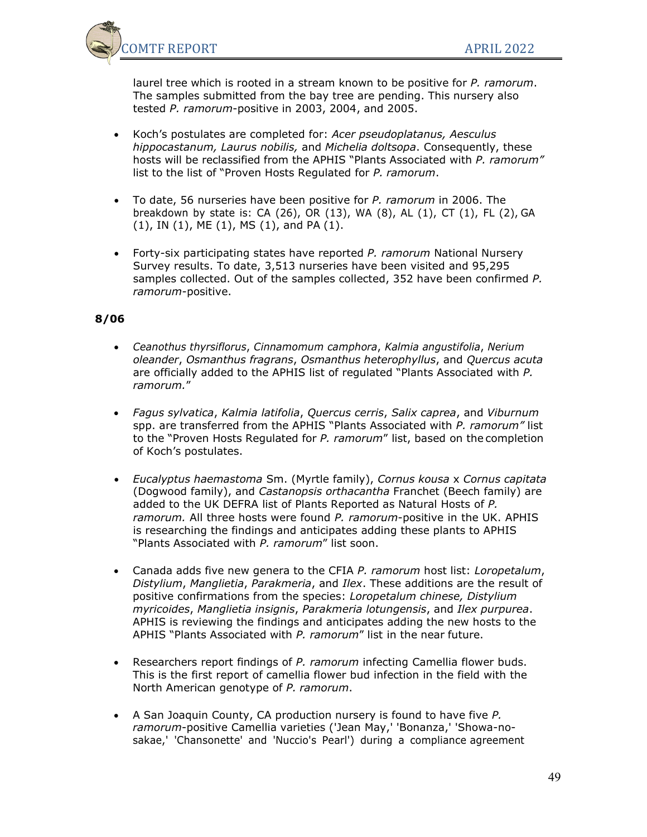

laurel tree which is rooted in a stream known to be positive for *P. ramorum*. The samples submitted from the bay tree are pending. This nursery also tested *P. ramorum*-positive in 2003, 2004, and 2005.

- Koch's postulates are completed for: *Acer pseudoplatanus, Aesculus hippocastanum, Laurus nobilis,* and *Michelia doltsopa*. Consequently, these hosts will be reclassified from the APHIS "Plants Associated with *P. ramorum"* list to the list of "Proven Hosts Regulated for *P. ramorum*.
- To date, 56 nurseries have been positive for *P. ramorum* in 2006. The breakdown by state is: CA (26), OR (13), WA (8), AL (1), CT (1), FL (2), GA (1), IN (1), ME (1), MS (1), and PA (1).
- Forty-six participating states have reported *P. ramorum* National Nursery Survey results. To date, 3,513 nurseries have been visited and 95,295 samples collected. Out of the samples collected, 352 have been confirmed *P. ramorum*-positive.

- *Ceanothus thyrsiflorus*, *Cinnamomum camphora*, *Kalmia angustifolia*, *Nerium oleander*, *Osmanthus fragrans*, *Osmanthus heterophyllus*, and *Quercus acuta* are officially added to the APHIS list of regulated "Plants Associated with *P. ramorum.*"
- *Fagus sylvatica*, *Kalmia latifolia*, *Quercus cerris*, *Salix caprea*, and *Viburnum* spp. are transferred from the APHIS "Plants Associated with *P. ramorum"* list to the "Proven Hosts Regulated for *P. ramorum*" list, based on the completion of Koch's postulates.
- *Eucalyptus haemastoma* Sm. (Myrtle family), *Cornus kousa* x *Cornus capitata* (Dogwood family), and *Castanopsis orthacantha* Franchet (Beech family) are added to the UK DEFRA list of Plants Reported as Natural Hosts of *P. ramorum.* All three hosts were found *P. ramorum*-positive in the UK. APHIS is researching the findings and anticipates adding these plants to APHIS "Plants Associated with *P. ramorum*" list soon.
- Canada adds five new genera to the CFIA *P. ramorum* host list: *Loropetalum*, *Distylium*, *Manglietia*, *Parakmeria*, and *Ilex*. These additions are the result of positive confirmations from the species: *Loropetalum chinese, Distylium myricoides*, *Manglietia insignis*, *Parakmeria lotungensis*, and *Ilex purpurea*. APHIS is reviewing the findings and anticipates adding the new hosts to the APHIS "Plants Associated with *P. ramorum*" list in the near future.
- Researchers report findings of *P. ramorum* infecting Camellia flower buds. This is the first report of camellia flower bud infection in the field with the North American genotype of *P. ramorum*.
- A San Joaquin County, CA production nursery is found to have five *P. ramorum*-positive Camellia varieties ('Jean May,' 'Bonanza,' 'Showa-nosakae,' 'Chansonette' and 'Nuccio's Pearl') during a compliance agreement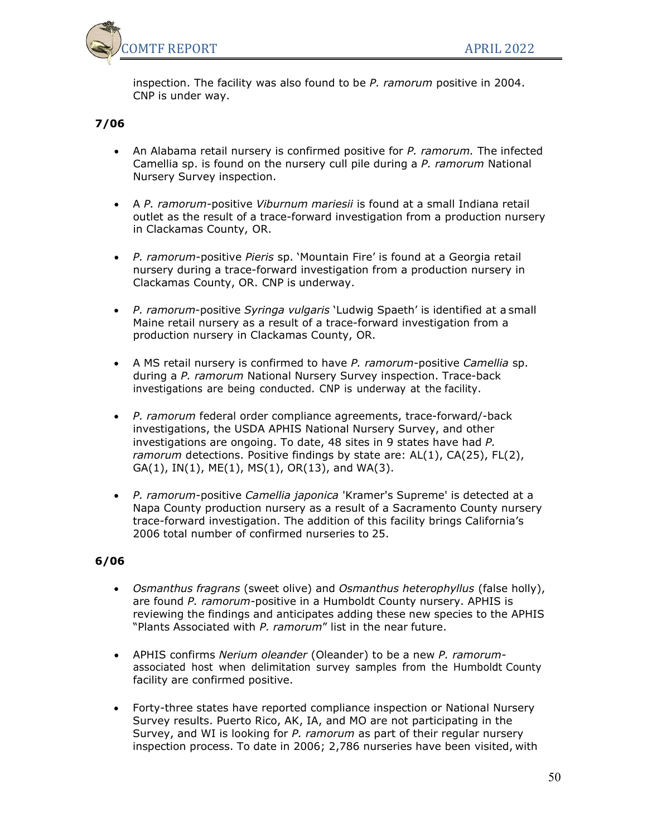

inspection. The facility was also found to be *P. ramorum* positive in 2004. CNP is under way.

## **7/06**

- An Alabama retail nursery is confirmed positive for *P. ramorum.* The infected Camellia sp. is found on the nursery cull pile during a *P. ramorum* National Nursery Survey inspection.
- A *P. ramorum-*positive *Viburnum mariesii* is found at a small Indiana retail outlet as the result of a trace-forward investigation from a production nursery in Clackamas County, OR.
- *P. ramorum*-positive *Pieris* sp. 'Mountain Fire' is found at a Georgia retail nursery during a trace-forward investigation from a production nursery in Clackamas County, OR. CNP is underway.
- *P. ramorum*-positive *Syringa vulgaris* 'Ludwig Spaeth' is identified at a small Maine retail nursery as a result of a trace-forward investigation from a production nursery in Clackamas County, OR.
- A MS retail nursery is confirmed to have *P. ramorum*-positive *Camellia* sp. during a *P. ramorum* National Nursery Survey inspection. Trace-back investigations are being conducted. CNP is underway at the facility.
- *P. ramorum* federal order compliance agreements, trace-forward/-back investigations, the USDA APHIS National Nursery Survey, and other investigations are ongoing. To date, 48 sites in 9 states have had *P. ramorum* detections. Positive findings by state are: AL(1), CA(25), FL(2), GA(1), IN(1), ME(1), MS(1), OR(13), and WA(3).
- *P. ramorum*-positive *Camellia japonica* 'Kramer's Supreme' is detected at a Napa County production nursery as a result of a Sacramento County nursery trace-forward investigation. The addition of this facility brings California's 2006 total number of confirmed nurseries to 25.

- *Osmanthus fragrans* (sweet olive) and *Osmanthus heterophyllus* (false holly), are found *P. ramorum-*positive in a Humboldt County nursery. APHIS is reviewing the findings and anticipates adding these new species to the APHIS "Plants Associated with *P. ramorum*" list in the near future.
- APHIS confirms *Nerium oleander* (Oleander) to be a new *P. ramorum*associated host when delimitation survey samples from the Humboldt County facility are confirmed positive.
- Forty-three states have reported compliance inspection or National Nursery Survey results. Puerto Rico, AK, IA, and MO are not participating in the Survey, and WI is looking for *P. ramorum* as part of their regular nursery inspection process. To date in 2006; 2,786 nurseries have been visited, with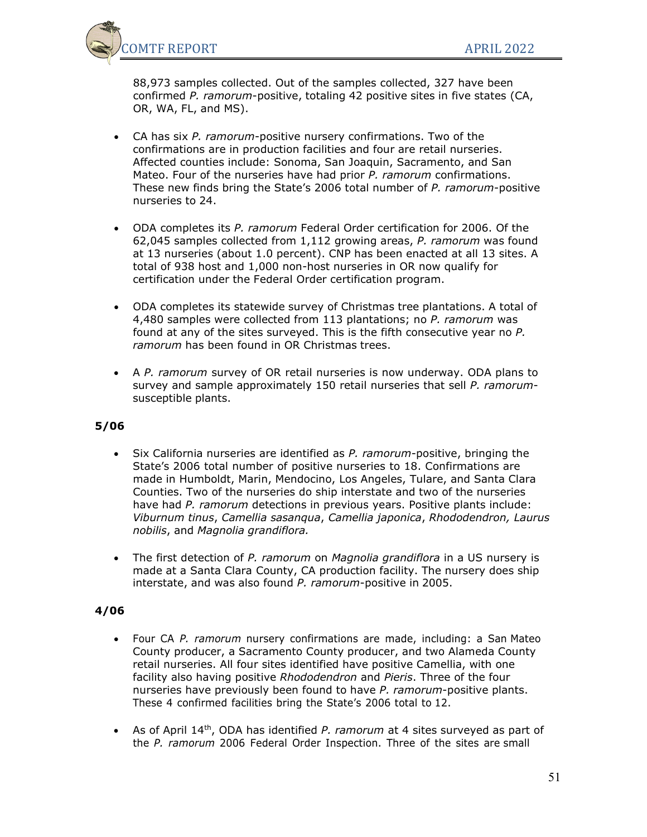

88,973 samples collected. Out of the samples collected, 327 have been confirmed *P. ramorum*-positive, totaling 42 positive sites in five states (CA, OR, WA, FL, and MS).

- CA has six *P. ramorum*-positive nursery confirmations. Two of the confirmations are in production facilities and four are retail nurseries. Affected counties include: Sonoma, San Joaquin, Sacramento, and San Mateo. Four of the nurseries have had prior *P. ramorum* confirmations. These new finds bring the State's 2006 total number of *P. ramorum*-positive nurseries to 24.
- ODA completes its *P. ramorum* Federal Order certification for 2006. Of the 62,045 samples collected from 1,112 growing areas, *P. ramorum* was found at 13 nurseries (about 1.0 percent). CNP has been enacted at all 13 sites. A total of 938 host and 1,000 non-host nurseries in OR now qualify for certification under the Federal Order certification program.
- ODA completes its statewide survey of Christmas tree plantations. A total of 4,480 samples were collected from 113 plantations; no *P. ramorum* was found at any of the sites surveyed. This is the fifth consecutive year no *P. ramorum* has been found in OR Christmas trees.
- A *P. ramorum* survey of OR retail nurseries is now underway. ODA plans to survey and sample approximately 150 retail nurseries that sell *P. ramorum*susceptible plants.

## **5/06**

- Six California nurseries are identified as *P. ramorum*-positive, bringing the State's 2006 total number of positive nurseries to 18. Confirmations are made in Humboldt, Marin, Mendocino, Los Angeles, Tulare, and Santa Clara Counties. Two of the nurseries do ship interstate and two of the nurseries have had *P. ramorum* detections in previous years. Positive plants include: *Viburnum tinus*, *Camellia sasanqua*, *Camellia japonica*, *Rhododendron, Laurus nobilis*, and *Magnolia grandiflora.*
- The first detection of *P. ramorum* on *Magnolia grandiflora* in a US nursery is made at a Santa Clara County, CA production facility. The nursery does ship interstate, and was also found *P. ramorum*-positive in 2005.

- Four CA *P. ramorum* nursery confirmations are made, including: a San Mateo County producer, a Sacramento County producer, and two Alameda County retail nurseries. All four sites identified have positive Camellia, with one facility also having positive *Rhododendron* and *Pieris*. Three of the four nurseries have previously been found to have *P. ramorum*-positive plants. These 4 confirmed facilities bring the State's 2006 total to 12.
- As of April 14th, ODA has identified *P. ramorum* at 4 sites surveyed as part of the *P. ramorum* 2006 Federal Order Inspection. Three of the sites are small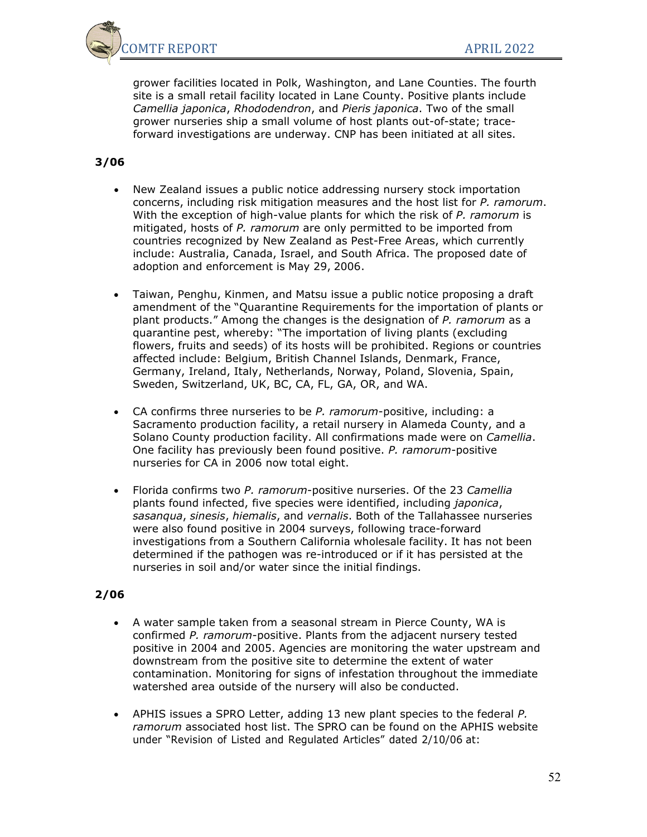

grower facilities located in Polk, Washington, and Lane Counties. The fourth site is a small retail facility located in Lane County. Positive plants include *Camellia japonica*, *Rhododendron*, and *Pieris japonica*. Two of the small grower nurseries ship a small volume of host plants out-of-state; traceforward investigations are underway. CNP has been initiated at all sites.

### **3/06**

- New Zealand issues a public notice addressing nursery stock importation concerns, including risk mitigation measures and the host list for *P. ramorum*. With the exception of high-value plants for which the risk of *P. ramorum* is mitigated, hosts of *P. ramorum* are only permitted to be imported from countries recognized by New Zealand as Pest-Free Areas, which currently include: Australia, Canada, Israel, and South Africa. The proposed date of adoption and enforcement is May 29, 2006.
- Taiwan, Penghu, Kinmen, and Matsu issue a public notice proposing a draft amendment of the "Quarantine Requirements for the importation of plants or plant products." Among the changes is the designation of *P. ramorum* as a quarantine pest, whereby: "The importation of living plants (excluding flowers, fruits and seeds) of its hosts will be prohibited. Regions or countries affected include: Belgium, British Channel Islands, Denmark, France, Germany, Ireland, Italy, Netherlands, Norway, Poland, Slovenia, Spain, Sweden, Switzerland, UK, BC, CA, FL, GA, OR, and WA.
- CA confirms three nurseries to be *P. ramorum*-positive, including: a Sacramento production facility, a retail nursery in Alameda County, and a Solano County production facility. All confirmations made were on *Camellia*. One facility has previously been found positive. *P. ramorum*-positive nurseries for CA in 2006 now total eight.
- Florida confirms two *P. ramorum*-positive nurseries. Of the 23 *Camellia* plants found infected, five species were identified, including *japonica*, *sasanqua*, *sinesis*, *hiemalis*, and *vernalis*. Both of the Tallahassee nurseries were also found positive in 2004 surveys, following trace-forward investigations from a Southern California wholesale facility. It has not been determined if the pathogen was re-introduced or if it has persisted at the nurseries in soil and/or water since the initial findings.

- A water sample taken from a seasonal stream in Pierce County, WA is confirmed *P. ramorum*-positive. Plants from the adjacent nursery tested positive in 2004 and 2005. Agencies are monitoring the water upstream and downstream from the positive site to determine the extent of water contamination. Monitoring for signs of infestation throughout the immediate watershed area outside of the nursery will also be conducted.
- APHIS issues a SPRO Letter, adding 13 new plant species to the federal *P. ramorum* associated host list. The SPRO can be found on the APHIS website under "Revision of Listed and Regulated Articles" dated 2/10/06 at: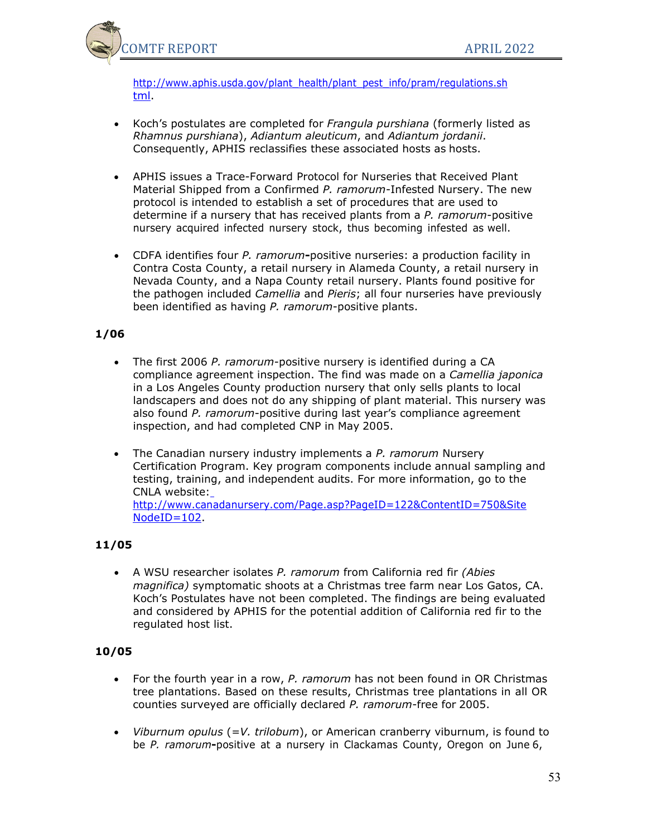

[http://www.aphis.usda.gov/plant\\_health/plant\\_pest\\_info/pram/regulations.sh](http://www.aphis.usda.gov/ppq/ispm/pramorum/regulations.html) [tml.](http://www.aphis.usda.gov/ppq/ispm/pramorum/regulations.html)

- Koch's postulates are completed for *Frangula purshiana* (formerly listed as *Rhamnus purshiana*), *Adiantum aleuticum*, and *Adiantum jordanii*. Consequently, APHIS reclassifies these associated hosts as hosts.
- APHIS issues a Trace-Forward Protocol for Nurseries that Received Plant Material Shipped from a Confirmed *P. ramorum*-Infested Nursery. The new protocol is intended to establish a set of procedures that are used to determine if a nursery that has received plants from a *P. ramorum*-positive nursery acquired infected nursery stock, thus becoming infested as well.
- CDFA identifies four *P. ramorum***-**positive nurseries: a production facility in Contra Costa County, a retail nursery in Alameda County, a retail nursery in Nevada County, and a Napa County retail nursery. Plants found positive for the pathogen included *Camellia* and *Pieris*; all four nurseries have previously been identified as having *P. ramorum*-positive plants.

## **1/06**

- The first 2006 *P. ramorum*-positive nursery is identified during a CA compliance agreement inspection. The find was made on a *Camellia japonica* in a Los Angeles County production nursery that only sells plants to local landscapers and does not do any shipping of plant material. This nursery was also found *P. ramorum*-positive during last year's compliance agreement inspection, and had completed CNP in May 2005.
- The Canadian nursery industry implements a *P. ramorum* Nursery Certification Program. Key program components include annual sampling and testing, training, and independent audits. For more information, go to the CNLA website: [http://www.canadanursery.com/Page.asp?PageID=122&ContentID=750&Site](http://www.canadanursery.com/Page.asp?PageID=122&ContentID=750&SiteNodeID=102) [NodeID=102.](http://www.canadanursery.com/Page.asp?PageID=122&ContentID=750&SiteNodeID=102)

## **11/05**

• A WSU researcher isolates *P. ramorum* from California red fir *(Abies magnifica)* symptomatic shoots at a Christmas tree farm near Los Gatos, CA. Koch's Postulates have not been completed. The findings are being evaluated and considered by APHIS for the potential addition of California red fir to the regulated host list.

- For the fourth year in a row, *P. ramorum* has not been found in OR Christmas tree plantations. Based on these results, Christmas tree plantations in all OR counties surveyed are officially declared *P. ramorum*-free for 2005.
- *Viburnum opulus* (=*V. trilobum*), or American cranberry viburnum, is found to be *P. ramorum***-**positive at a nursery in Clackamas County, Oregon on June 6,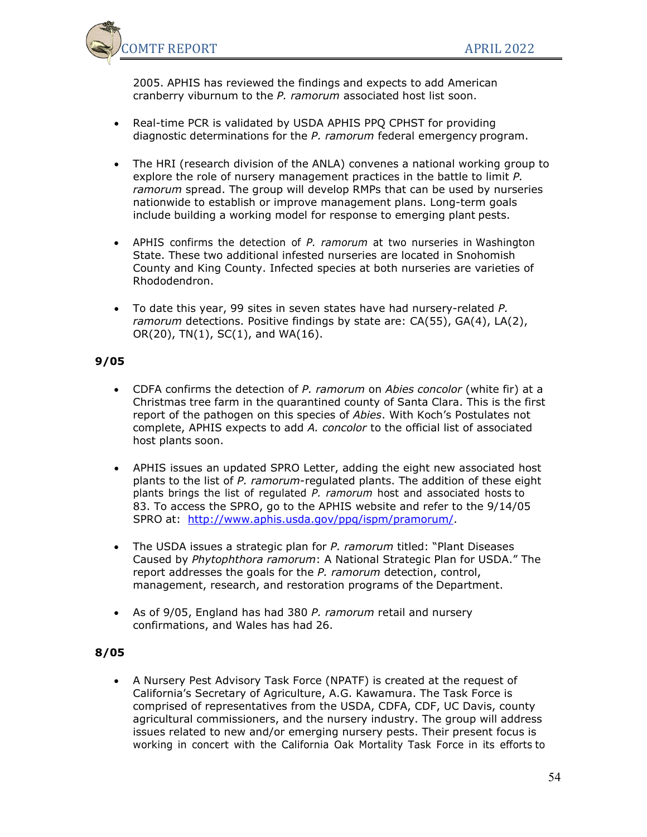

2005. APHIS has reviewed the findings and expects to add American cranberry viburnum to the *P. ramorum* associated host list soon.

- Real-time PCR is validated by USDA APHIS PPQ CPHST for providing diagnostic determinations for the *P. ramorum* federal emergency program.
- The HRI (research division of the ANLA) convenes a national working group to explore the role of nursery management practices in the battle to limit *P. ramorum* spread. The group will develop RMPs that can be used by nurseries nationwide to establish or improve management plans. Long-term goals include building a working model for response to emerging plant pests.
- APHIS confirms the detection of *P. ramorum* at two nurseries in Washington State. These two additional infested nurseries are located in Snohomish County and King County. Infected species at both nurseries are varieties of Rhododendron.
- To date this year, 99 sites in seven states have had nursery-related *P. ramorum* detections. Positive findings by state are: CA(55), GA(4), LA(2),  $OR(20)$ , TN $(1)$ , SC $(1)$ , and WA $(16)$ .

### **9/05**

- CDFA confirms the detection of *P. ramorum* on *Abies concolor* (white fir) at a Christmas tree farm in the quarantined county of Santa Clara. This is the first report of the pathogen on this species of *Abies*. With Koch's Postulates not complete, APHIS expects to add *A. concolor* to the official list of associated host plants soon.
- APHIS issues an updated SPRO Letter, adding the eight new associated host plants to the list of *P. ramorum*-regulated plants. The addition of these eight plants brings the list of regulated *P. ramorum* host and associated hosts to 83. To access the SPRO, go to the APHIS website and refer to the 9/14/05 SPRO at: [http://www.aphis.usda.gov/ppq/ispm/pramorum/.](http://www.aphis.usda.gov/ppq/ispm/pramorum/)
- The USDA issues a strategic plan for *P. ramorum* titled: "Plant Diseases Caused by *Phytophthora ramorum*: A National Strategic Plan for USDA." The report addresses the goals for the *P. ramorum* detection, control, management, research, and restoration programs of the Department.
- As of 9/05, England has had 380 *P. ramorum* retail and nursery confirmations, and Wales has had 26.

## **8/05**

• A Nursery Pest Advisory Task Force (NPATF) is created at the request of California's Secretary of Agriculture, A.G. Kawamura. The Task Force is comprised of representatives from the USDA, CDFA, CDF, UC Davis, county agricultural commissioners, and the nursery industry. The group will address issues related to new and/or emerging nursery pests. Their present focus is working in concert with the California Oak Mortality Task Force in its efforts to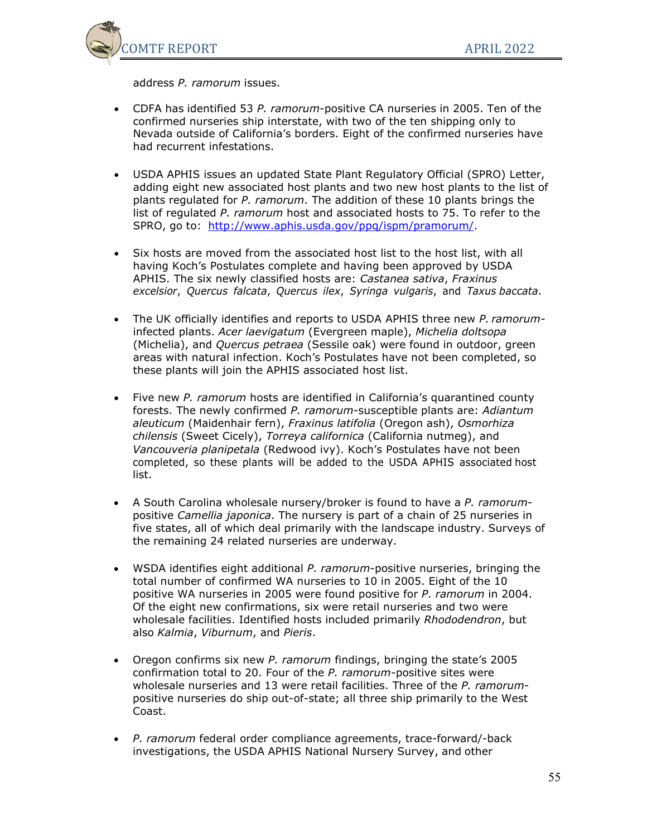

address *P. ramorum* issues.

- CDFA has identified 53 *P. ramorum*-positive CA nurseries in 2005. Ten of the confirmed nurseries ship interstate, with two of the ten shipping only to Nevada outside of California's borders. Eight of the confirmed nurseries have had recurrent infestations.
- USDA APHIS issues an updated State Plant Regulatory Official (SPRO) Letter, adding eight new associated host plants and two new host plants to the list of plants regulated for *P. ramorum*. The addition of these 10 plants brings the list of regulated *P. ramorum* host and associated hosts to 75. To refer to the SPRO, go to: [http://www.aphis.usda.gov/ppq/ispm/pramorum/.](http://www.aphis.usda.gov/ppq/ispm/pramorum/)
- Six hosts are moved from the associated host list to the host list, with all having Koch's Postulates complete and having been approved by USDA APHIS. The six newly classified hosts are: *Castanea sativa*, *Fraxinus excelsior*, *Quercus falcata*, *Quercus ilex*, *Syringa vulgaris*, and *Taxus baccata*.
- The UK officially identifies and reports to USDA APHIS three new *P. ramorum*infected plants. *Acer laevigatum* (Evergreen maple), *Michelia doltsopa* (Michelia), and *Quercus petraea* (Sessile oak) were found in outdoor, green areas with natural infection. Koch's Postulates have not been completed, so these plants will join the APHIS associated host list.
- Five new *P. ramorum* hosts are identified in California's quarantined county forests. The newly confirmed *P. ramorum*-susceptible plants are: *Adiantum aleuticum* (Maidenhair fern), *Fraxinus latifolia* (Oregon ash), *Osmorhiza chilensis* (Sweet Cicely), *Torreya californica* (California nutmeg), and *Vancouveria planipetala* (Redwood ivy). Koch's Postulates have not been completed, so these plants will be added to the USDA APHIS associated host list.
- A South Carolina wholesale nursery/broker is found to have a *P. ramorum*positive *Camellia japonica*. The nursery is part of a chain of 25 nurseries in five states, all of which deal primarily with the landscape industry. Surveys of the remaining 24 related nurseries are underway.
- WSDA identifies eight additional *P. ramorum*-positive nurseries, bringing the total number of confirmed WA nurseries to 10 in 2005. Eight of the 10 positive WA nurseries in 2005 were found positive for *P. ramorum* in 2004. Of the eight new confirmations, six were retail nurseries and two were wholesale facilities. Identified hosts included primarily *Rhododendron*, but also *Kalmia*, *Viburnum*, and *Pieris*.
- Oregon confirms six new *P. ramorum* findings, bringing the state's 2005 confirmation total to 20. Four of the *P. ramorum*-positive sites were wholesale nurseries and 13 were retail facilities. Three of the *P. ramorum*positive nurseries do ship out-of-state; all three ship primarily to the West Coast.
- *P. ramorum* federal order compliance agreements, trace-forward/-back investigations, the USDA APHIS National Nursery Survey, and other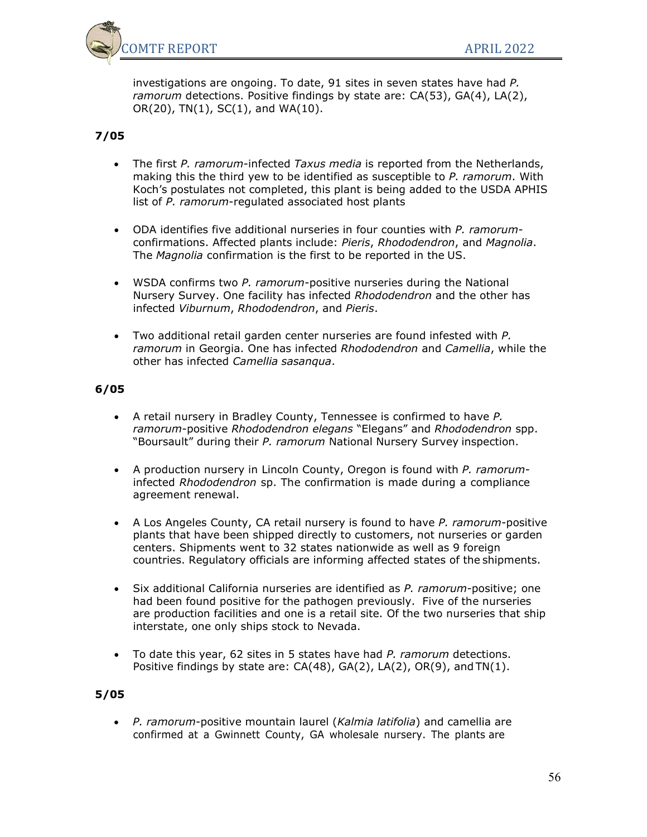

investigations are ongoing. To date, 91 sites in seven states have had *P. ramorum* detections. Positive findings by state are: CA(53), GA(4), LA(2),  $OR(20)$ , TN $(1)$ , SC $(1)$ , and WA $(10)$ .

### **7/05**

- The first *P. ramorum*-infected *Taxus media* is reported from the Netherlands, making this the third yew to be identified as susceptible to *P. ramorum*. With Koch's postulates not completed, this plant is being added to the USDA APHIS list of *P. ramorum*-regulated associated host plants
- ODA identifies five additional nurseries in four counties with *P. ramorum*confirmations. Affected plants include: *Pieris*, *Rhododendron*, and *Magnolia*. The *Magnolia* confirmation is the first to be reported in the US.
- WSDA confirms two *P. ramorum*-positive nurseries during the National Nursery Survey. One facility has infected *Rhododendron* and the other has infected *Viburnum*, *Rhododendron*, and *Pieris*.
- Two additional retail garden center nurseries are found infested with *P. ramorum* in Georgia. One has infected *Rhododendron* and *Camellia*, while the other has infected *Camellia sasanqua*.

#### **6/05**

- A retail nursery in Bradley County, Tennessee is confirmed to have *P. ramorum*-positive *Rhododendron elegans* "Elegans" and *Rhododendron* spp. "Boursault" during their *P. ramorum* National Nursery Survey inspection.
- A production nursery in Lincoln County, Oregon is found with *P. ramorum*infected *Rhododendron* sp. The confirmation is made during a compliance agreement renewal.
- A Los Angeles County, CA retail nursery is found to have *P. ramorum*-positive plants that have been shipped directly to customers, not nurseries or garden centers. Shipments went to 32 states nationwide as well as 9 foreign countries. Regulatory officials are informing affected states of the shipments.
- Six additional California nurseries are identified as *P. ramorum*-positive; one had been found positive for the pathogen previously. Five of the nurseries are production facilities and one is a retail site. Of the two nurseries that ship interstate, one only ships stock to Nevada.
- To date this year, 62 sites in 5 states have had *P. ramorum* detections. Positive findings by state are: CA(48), GA(2), LA(2), OR(9), and TN(1).

#### **5/05**

• *P. ramorum*-positive mountain laurel (*Kalmia latifolia*) and camellia are confirmed at a Gwinnett County, GA wholesale nursery. The plants are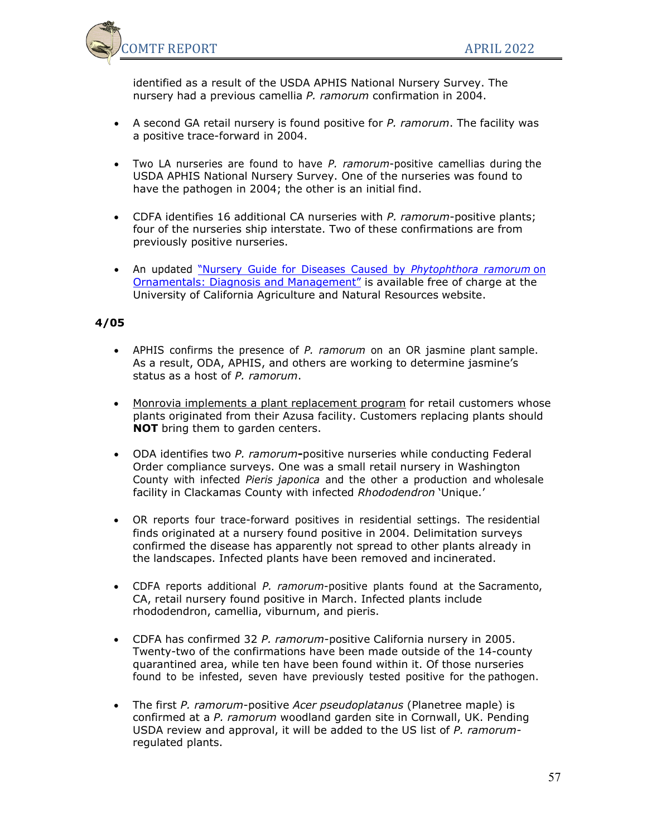

identified as a result of the USDA APHIS National Nursery Survey. The nursery had a previous camellia *P. ramorum* confirmation in 2004.

- A second GA retail nursery is found positive for *P. ramorum*. The facility was a positive trace-forward in 2004.
- Two LA nurseries are found to have *P. ramorum*-positive camellias during the USDA APHIS National Nursery Survey. One of the nurseries was found to have the pathogen in 2004; the other is an initial find.
- CDFA identifies 16 additional CA nurseries with *P. ramorum*-positive plants; four of the nurseries ship interstate. Two of these confirmations are from previously positive nurseries.
- An updated "Nursery Guide for Diseases Caused by *[Phytophthora](http://anrcatalog.ucdavis.edu/InOrder/Shop/ItemDetails.asp?ItemNo=8156) ramorum* on [Ornamentals: Diagnosis and Management"](http://anrcatalog.ucdavis.edu/InOrder/Shop/ItemDetails.asp?ItemNo=8156) is available free of charge at the University of California Agriculture and Natural Resources website.

- APHIS confirms the presence of *P. ramorum* on an OR jasmine plant sample. As a result, ODA, APHIS, and others are working to determine jasmine's status as a host of *P. ramorum*.
- [Monrovia implements a plant replacement program](http://www.monrovia.com/monroviaweb.nsf/8c104835579b67e18825685f006acdf8/3101d5106a55392688256e7500774e59!OpenDocument) for retail customers whose plants originated from their Azusa facility. Customers replacing plants should **NOT** bring them to garden centers.
- ODA identifies two *P. ramorum***-**positive nurseries while conducting Federal Order compliance surveys. One was a small retail nursery in Washington County with infected *Pieris japonica* and the other a production and wholesale facility in Clackamas County with infected *Rhododendron* 'Unique.'
- OR reports four trace-forward positives in residential settings. The residential finds originated at a nursery found positive in 2004. Delimitation surveys confirmed the disease has apparently not spread to other plants already in the landscapes. Infected plants have been removed and incinerated.
- CDFA reports additional *P. ramorum*-positive plants found at the Sacramento, CA, retail nursery found positive in March. Infected plants include rhododendron, camellia, viburnum, and pieris.
- CDFA has confirmed 32 *P. ramorum*-positive California nursery in 2005. Twenty-two of the confirmations have been made outside of the 14-county quarantined area, while ten have been found within it. Of those nurseries found to be infested, seven have previously tested positive for the pathogen.
- The first *P. ramorum*-positive *Acer pseudoplatanus* (Planetree maple) is confirmed at a *P. ramorum* woodland garden site in Cornwall, UK. Pending USDA review and approval, it will be added to the US list of *P. ramorum*regulated plants.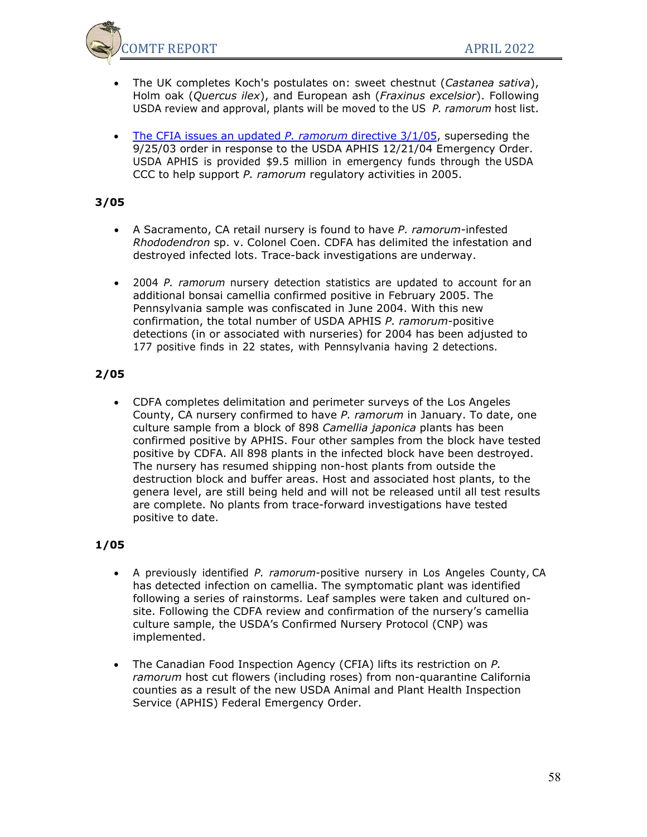

- The UK completes Koch's postulates on: sweet chestnut (*Castanea sativa*), Holm oak (*Quercus ilex*), and European ash (*Fraxinus excelsior*). Following USDA review and approval, plants will be moved to the US *P. ramorum* host list.
- [The CFIA issues an updated](http://www.inspection.gc.ca/english/plaveg/protect/dir/d-01-01e.shtml) *P. ramorum* directive 3/1/05, superseding the 9/25/03 order in response to the USDA APHIS 12/21/04 Emergency Order. USDA APHIS is provided \$9.5 million in emergency funds through the USDA CCC to help support *P. ramorum* regulatory activities in 2005.

## **3/05**

- A Sacramento, CA retail nursery is found to have *P. ramorum-*infested *Rhododendron* sp. v. Colonel Coen. CDFA has delimited the infestation and destroyed infected lots. Trace-back investigations are underway.
- 2004 *P. ramorum* nursery detection statistics are updated to account for an additional bonsai camellia confirmed positive in February 2005. The Pennsylvania sample was confiscated in June 2004. With this new confirmation, the total number of USDA APHIS *P. ramorum-*positive detections (in or associated with nurseries) for 2004 has been adjusted to 177 positive finds in 22 states, with Pennsylvania having 2 detections.

## **2/05**

• CDFA completes delimitation and perimeter surveys of the Los Angeles County, CA nursery confirmed to have *P. ramorum* in January. To date, one culture sample from a block of 898 *Camellia japonica* plants has been confirmed positive by APHIS. Four other samples from the block have tested positive by CDFA. All 898 plants in the infected block have been destroyed. The nursery has resumed shipping non-host plants from outside the destruction block and buffer areas. Host and associated host plants, to the genera level, are still being held and will not be released until all test results are complete. No plants from trace-forward investigations have tested positive to date.

- A previously identified *P. ramorum*-positive nursery in Los Angeles County, CA has detected infection on camellia. The symptomatic plant was identified following a series of rainstorms. Leaf samples were taken and cultured onsite. Following the CDFA review and confirmation of the nursery's camellia culture sample, the USDA's Confirmed Nursery Protocol (CNP) was implemented.
- The Canadian Food Inspection Agency (CFIA) lifts its restriction on *P. ramorum* host cut flowers (including roses) from non-quarantine California counties as a result of the new USDA Animal and Plant Health Inspection Service (APHIS) Federal Emergency Order.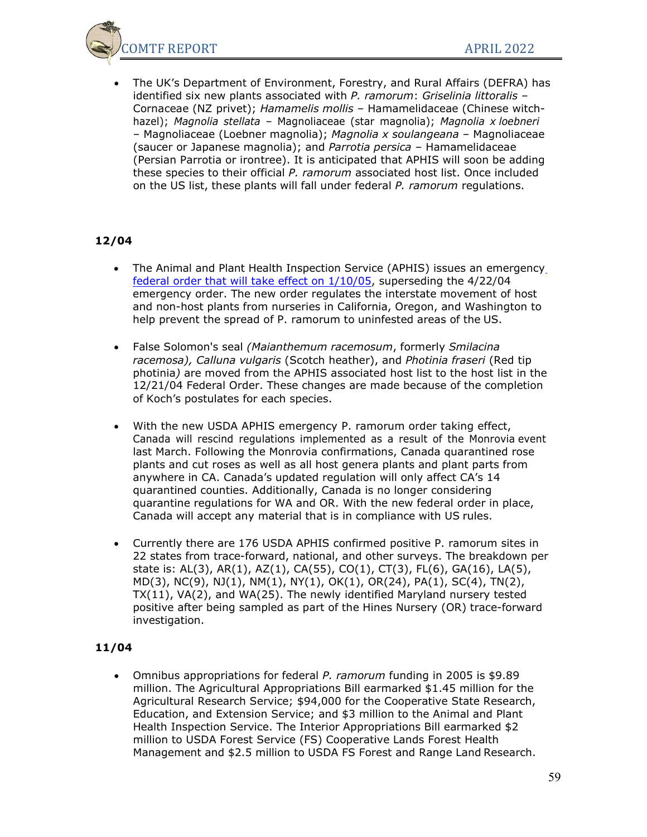

• The UK's Department of Environment, Forestry, and Rural Affairs (DEFRA) has identified six new plants associated with *P. ramorum*: *Griselinia littoralis* – Cornaceae (NZ privet); *Hamamelis mollis –* Hamamelidaceae (Chinese witchhazel); *Magnolia stellata* – Magnoliaceae (star magnolia); *Magnolia x loebneri* – Magnoliaceae (Loebner magnolia); *Magnolia x soulangeana* – Magnoliaceae (saucer or Japanese magnolia); and *Parrotia persica* – Hamamelidaceae (Persian Parrotia or irontree). It is anticipated that APHIS will soon be adding these species to their official *P. ramorum* associated host list. Once included on the US list, these plants will fall under federal *P. ramorum* regulations.

### **12/04**

- The Animal and Plant Health Inspection Service (APHIS) issues an emergency [federal order that will take effect on 1/10/05,](http://www.aphis.usda.gov/ppq/ispm/sod/) superseding the 4/22/04 emergency order. The new order regulates the interstate movement of host and non-host plants from nurseries in California, Oregon, and Washington to help prevent the spread of P. ramorum to uninfested areas of the US.
- False Solomon's seal *(Maianthemum racemosum*, formerly *Smilacina racemosa), Calluna vulgaris* (Scotch heather), and *Photinia fraseri* (Red tip photinia*)* are moved from the APHIS associated host list to the host list in the 12/21/04 Federal Order. These changes are made because of the completion of Koch's postulates for each species.
- With the new USDA APHIS emergency P. ramorum order taking effect, Canada will rescind regulations implemented as a result of the Monrovia event last March. Following the Monrovia confirmations, Canada quarantined rose plants and cut roses as well as all host genera plants and plant parts from anywhere in CA. Canada's updated regulation will only affect CA's 14 quarantined counties. Additionally, Canada is no longer considering quarantine regulations for WA and OR. With the new federal order in place, Canada will accept any material that is in compliance with US rules.
- Currently there are 176 USDA APHIS confirmed positive P. ramorum sites in 22 states from trace-forward, national, and other surveys. The breakdown per state is: AL(3), AR(1), AZ(1), CA(55), CO(1), CT(3), FL(6), GA(16), LA(5), MD(3), NC(9), NJ(1), NM(1), NY(1), OK(1), OR(24), PA(1), SC(4), TN(2), TX(11), VA(2), and WA(25). The newly identified Maryland nursery tested positive after being sampled as part of the Hines Nursery (OR) trace-forward investigation.

#### **11/04**

• Omnibus appropriations for federal *P. ramorum* funding in 2005 is \$9.89 million. The Agricultural Appropriations Bill earmarked \$1.45 million for the Agricultural Research Service; \$94,000 for the Cooperative State Research, Education, and Extension Service; and \$3 million to the Animal and Plant Health Inspection Service. The Interior Appropriations Bill earmarked \$2 million to USDA Forest Service (FS) Cooperative Lands Forest Health Management and \$2.5 million to USDA FS Forest and Range Land Research.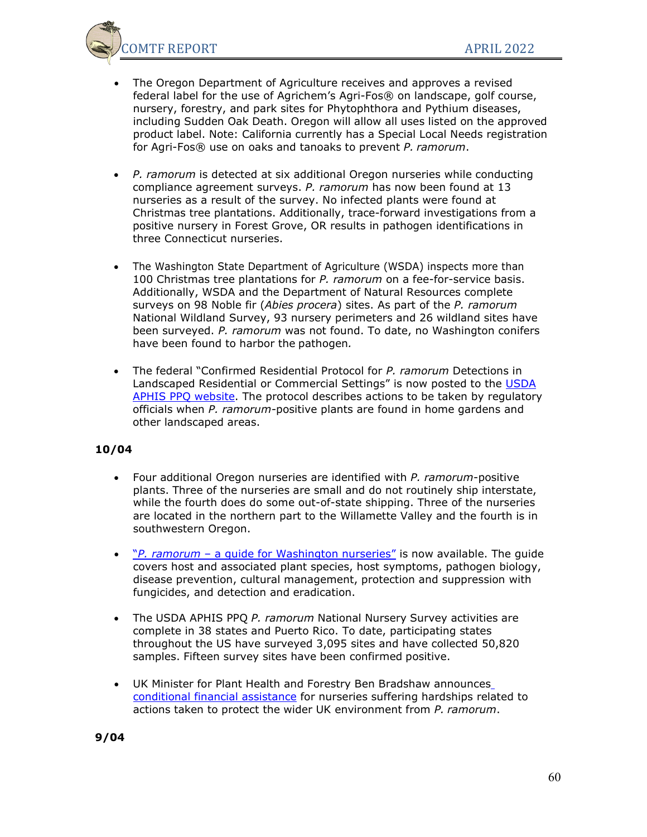

- The Oregon Department of Agriculture receives and approves a revised federal label for the use of Agrichem's Agri-Fos® on landscape, golf course, nursery, forestry, and park sites for Phytophthora and Pythium diseases, including Sudden Oak Death. Oregon will allow all uses listed on the approved product label. Note: California currently has a Special Local Needs registration for Agri-Fos® use on oaks and tanoaks to prevent *P. ramorum*.
- *P. ramorum* is detected at six additional Oregon nurseries while conducting compliance agreement surveys. *P. ramorum* has now been found at 13 nurseries as a result of the survey. No infected plants were found at Christmas tree plantations. Additionally, trace-forward investigations from a positive nursery in Forest Grove, OR results in pathogen identifications in three Connecticut nurseries.
- The Washington State Department of Agriculture (WSDA) inspects more than 100 Christmas tree plantations for *P. ramorum* on a fee-for-service basis. Additionally, WSDA and the Department of Natural Resources complete surveys on 98 Noble fir (*Abies procera*) sites. As part of the *P. ramorum* National Wildland Survey, 93 nursery perimeters and 26 wildland sites have been surveyed. *P. ramorum* was not found. To date, no Washington conifers have been found to harbor the pathogen*.*
- The federal "Confirmed Residential Protocol for *P. ramorum* Detections in Landscaped Residential or Commercial Settings" is now posted to the [USDA](http://www.aphis.usda.gov/ppq/ispm/sod/) [APHIS PPQ website.](http://www.aphis.usda.gov/ppq/ispm/sod/) The protocol describes actions to be taken by regulatory officials when *P. ramorum-*positive plants are found in home gardens and other landscaped areas.

- Four additional Oregon nurseries are identified with *P. ramorum*-positive plants. Three of the nurseries are small and do not routinely ship interstate, while the fourth does do some out-of-state shipping. Three of the nurseries are located in the northern part to the Willamette Valley and the fourth is in southwestern Oregon.
- "*P. ramorum*  a guide for Washington nurseries" is now available. The guide covers host and associated plant species, host symptoms, pathogen biology, disease prevention, cultural management, protection and suppression with fungicides, and detection and eradication.
- The USDA APHIS PPQ *P. ramorum* National Nursery Survey activities are complete in 38 states and Puerto Rico. To date, participating states throughout the US have surveyed 3,095 sites and have collected 50,820 samples. Fifteen survey sites have been confirmed positive.
- UK Minister for Plant Health and Forestry Ben Bradshaw announces [conditional financial assistance](http://www.defra.gov.uk/news/2004/041027b.htm) for nurseries suffering hardships related to actions taken to protect the wider UK environment from *P. ramorum*.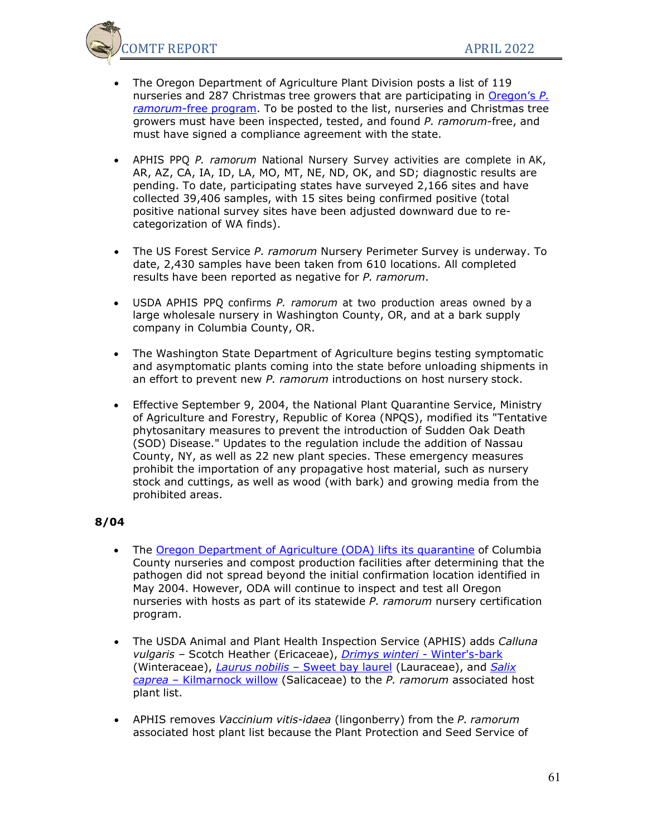

- The Oregon Department of Agriculture Plant Division posts a list of 119 nurseries and 287 Christmas tree growers that are participating in [Oregon's](http://egov.oregon.gov/ODA/PLANT/sod_free.shtml) *P. ramorum*[-free program.](http://egov.oregon.gov/ODA/PLANT/sod_free.shtml) To be posted to the list, nurseries and Christmas tree growers must have been inspected, tested, and found *P. ramorum*-free, and must have signed a compliance agreement with the state.
- APHIS PPQ *P. ramorum* National Nursery Survey activities are complete in AK, AR, AZ, CA, IA, ID, LA, MO, MT, NE, ND, OK, and SD; diagnostic results are pending. To date, participating states have surveyed 2,166 sites and have collected 39,406 samples, with 15 sites being confirmed positive (total positive national survey sites have been adjusted downward due to recategorization of WA finds).
- The US Forest Service *P. ramorum* Nursery Perimeter Survey is underway. To date, 2,430 samples have been taken from 610 locations. All completed results have been reported as negative for *P. ramorum*.
- USDA APHIS PPQ confirms *P. ramorum* at two production areas owned by a large wholesale nursery in Washington County, OR, and at a bark supply company in Columbia County, OR.
- The Washington State Department of Agriculture begins testing symptomatic and asymptomatic plants coming into the state before unloading shipments in an effort to prevent new *P. ramorum* introductions on host nursery stock.
- Effective September 9, 2004, the National Plant Quarantine Service, Ministry of Agriculture and Forestry, Republic of Korea (NPQS), modified its "Tentative phytosanitary measures to prevent the introduction of Sudden Oak Death (SOD) Disease." Updates to the regulation include the addition of Nassau County, NY, as well as 22 new plant species. These emergency measures prohibit the importation of any propagative host material, such as nursery stock and cuttings, as well as wood (with bark) and growing media from the prohibited areas.

- The [Oregon Department of Agriculture \(ODA\) lifts its quarantine](http://egov.oregon.gov/ODA/news/040818endsodquar.shtml) of Columbia County nurseries and compost production facilities after determining that the pathogen did not spread beyond the initial confirmation location identified in May 2004. However, ODA will continue to inspect and test all Oregon nurseries with hosts as part of its statewide *P. ramorum* nursery certification program.
- The USDA Animal and Plant Health Inspection Service (APHIS) adds *Calluna vulgaris –* Scotch Heather (Ericaceae), *[Drimys winteri -](http://nature.berkeley.edu/comtf/photos/associate_host_photos_36.html)* Winter's-bark (Winteraceae), *Laurus nobilis –* [Sweet bay laurel](http://nature.berkeley.edu/comtf/photos/associate_host_photos_33.html) (Lauraceae), and *[Salix](http://nature.berkeley.edu/comtf/photos/associate_host_photos_10.html) caprea* – [Kilmarnock willow](http://nature.berkeley.edu/comtf/photos/associate_host_photos_10.html) (Salicaceae) to the *P. ramorum* associated host plant list.
- APHIS removes *Vaccinium vitis-idaea* (lingonberry) from the *P. ramorum* associated host plant list because the Plant Protection and Seed Service of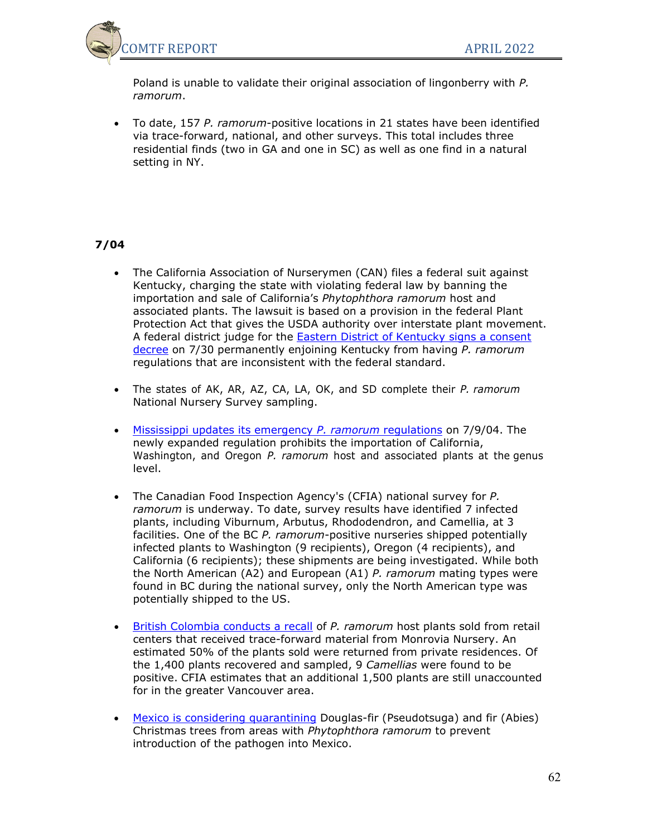

Poland is unable to validate their original association of lingonberry with *P. ramorum*.

• To date, 157 *P. ramorum*-positive locations in 21 states have been identified via trace-forward, national, and other surveys. This total includes three residential finds (two in GA and one in SC) as well as one find in a natural setting in NY.

- The California Association of Nurserymen (CAN) files a federal suit against Kentucky, charging the state with violating federal law by banning the importation and sale of California's *Phytophthora ramorum* host and associated plants. The lawsuit is based on a provision in the federal Plant Protection Act that gives the USDA authority over interstate plant movement. A federal district judge for the [Eastern District of Kentucky signs a consent](http://nature.berkeley.edu/comtf/pdf/Kentucky%20Order.pdf) [decree](http://nature.berkeley.edu/comtf/pdf/Kentucky%20Order.pdf) on 7/30 permanently enjoining Kentucky from having *P. ramorum* regulations that are inconsistent with the federal standard.
- The states of AK, AR, AZ, CA, LA, OK, and SD complete their *P. ramorum* National Nursery Survey sampling.
- [Mississippi updates its emergency](http://nature.berkeley.edu/comtf/pdf/MississippiRegs.pdf) *P. ramorum* regulations on 7/9/04. The newly expanded regulation prohibits the importation of California, Washington, and Oregon *P. ramorum* host and associated plants at the genus level.
- The Canadian Food Inspection Agency's (CFIA) national survey for *P. ramorum* is underway. To date, survey results have identified 7 infected plants, including Viburnum, Arbutus, Rhododendron, and Camellia, at 3 facilities. One of the BC *P. ramorum*-positive nurseries shipped potentially infected plants to Washington (9 recipients), Oregon (4 recipients), and California (6 recipients); these shipments are being investigated. While both the North American (A2) and European (A1) *P. ramorum* mating types were found in BC during the national survey, only the North American type was potentially shipped to the US.
- [British Colombia conducts a recall](http://www.inspection.gc.ca/english/sci/surv/sit2004e.shtml#phyram) of *P. ramorum* host plants sold from retail centers that received trace-forward material from Monrovia Nursery. An estimated 50% of the plants sold were returned from private residences. Of the 1,400 plants recovered and sampled, 9 *Camellias* were found to be positive. CFIA estimates that an additional 1,500 plants are still unaccounted for in the greater Vancouver area.
- [Mexico is considering quarantining](http://nature.berkeley.edu/comtf/pdf/MexicoRegs.pdf) Douglas-fir (Pseudotsuga) and fir (Abies) Christmas trees from areas with *Phytophthora ramorum* to prevent introduction of the pathogen into Mexico.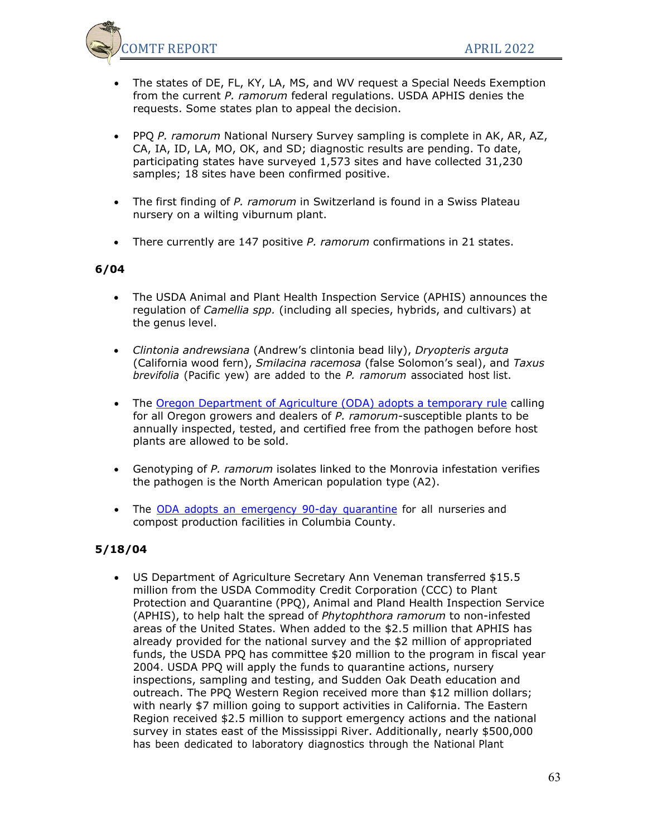

- The states of DE, FL, KY, LA, MS, and WV request a Special Needs Exemption from the current *P. ramorum* federal regulations. USDA APHIS denies the requests. Some states plan to appeal the decision.
- PPQ *P. ramorum* National Nursery Survey sampling is complete in AK, AR, AZ, CA, IA, ID, LA, MO, OK, and SD; diagnostic results are pending. To date, participating states have surveyed 1,573 sites and have collected 31,230 samples; 18 sites have been confirmed positive.
- The first finding of *P. ramorum* in Switzerland is found in a Swiss Plateau nursery on a wilting viburnum plant.
- There currently are 147 positive *P. ramorum* confirmations in 21 states.

## **6/04**

- The USDA Animal and Plant Health Inspection Service (APHIS) announces the regulation of *Camellia spp.* (including all species, hybrids, and cultivars) at the genus level.
- *Clintonia andrewsiana* (Andrew's clintonia bead lily), *Dryopteris arguta* (California wood fern), *Smilacina racemosa* (false Solomon's seal), and *Taxus brevifolia* (Pacific yew) are added to the *P. ramorum* associated host list.
- The [Oregon Department of Agriculture \(ODA\) adopts a temporary rule](http://egov.oregon.gov/ODA/news/040623sod.shtml) calling for all Oregon growers and dealers of *P. ramorum*-susceptible plants to be annually inspected, tested, and certified free from the pathogen before host plants are allowed to be sold.
- Genotyping of *P. ramorum* isolates linked to the Monrovia infestation verifies the pathogen is the North American population type (A2).
- The ODA adopts an [emergency](http://egov.oregon.gov/ODA/news/040604sod.shtml) 90-day quarantine for all nurseries and compost production facilities in Columbia County.

## **5/18/04**

• US Department of Agriculture Secretary Ann Veneman transferred \$15.5 million from the USDA Commodity Credit Corporation (CCC) to Plant Protection and Quarantine (PPQ), Animal and Pland Health Inspection Service (APHIS), to help halt the spread of *Phytophthora ramorum* to non-infested areas of the United States. When added to the \$2.5 million that APHIS has already provided for the national survey and the \$2 million of appropriated funds, the USDA PPQ has committee \$20 million to the program in fiscal year 2004. USDA PPQ will apply the funds to quarantine actions, nursery inspections, sampling and testing, and Sudden Oak Death education and outreach. The PPQ Western Region received more than \$12 million dollars; with nearly \$7 million going to support activities in California. The Eastern Region received \$2.5 million to support emergency actions and the national survey in states east of the Mississippi River. Additionally, nearly \$500,000 has been dedicated to laboratory diagnostics through the National Plant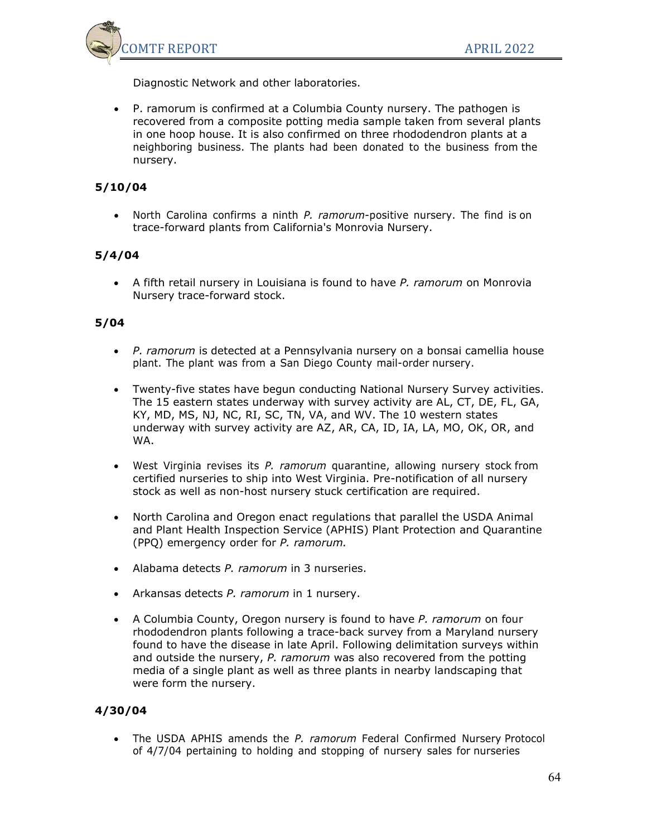

Diagnostic Network and other laboratories.

• P. ramorum is confirmed at a Columbia County nursery. The pathogen is recovered from a composite potting media sample taken from several plants in one hoop house. It is also confirmed on three rhododendron plants at a neighboring business. The plants had been donated to the business from the nursery.

## **5/10/04**

• North Carolina confirms a ninth *P. ramorum*-positive nursery. The find is on trace-forward plants from California's Monrovia Nursery.

## **5/4/04**

• A fifth retail nursery in Louisiana is found to have *P. ramorum* on Monrovia Nursery trace-forward stock.

### **5/04**

- *P. ramorum* is detected at a Pennsylvania nursery on a bonsai camellia house plant. The plant was from a San Diego County mail-order nursery.
- Twenty-five states have begun conducting National Nursery Survey activities. The 15 eastern states underway with survey activity are AL, CT, DE, FL, GA, KY, MD, MS, NJ, NC, RI, SC, TN, VA, and WV. The 10 western states underway with survey activity are AZ, AR, CA, ID, IA, LA, MO, OK, OR, and WA.
- West Virginia revises its *P. ramorum* quarantine, allowing nursery stock from certified nurseries to ship into West Virginia. Pre-notification of all nursery stock as well as non-host nursery stuck certification are required.
- North Carolina and Oregon enact regulations that parallel the USDA Animal and Plant Health Inspection Service (APHIS) Plant Protection and Quarantine (PPQ) emergency order for *P. ramorum.*
- Alabama detects *P. ramorum* in 3 nurseries.
- Arkansas detects *P. ramorum* in 1 nursery.
- A Columbia County, Oregon nursery is found to have *P. ramorum* on four rhododendron plants following a trace-back survey from a Maryland nursery found to have the disease in late April. Following delimitation surveys within and outside the nursery, *P. ramorum* was also recovered from the potting media of a single plant as well as three plants in nearby landscaping that were form the nursery.

#### **4/30/04**

• The USDA APHIS amends the *P. ramorum* Federal Confirmed Nursery Protocol of 4/7/04 pertaining to holding and stopping of nursery sales for nurseries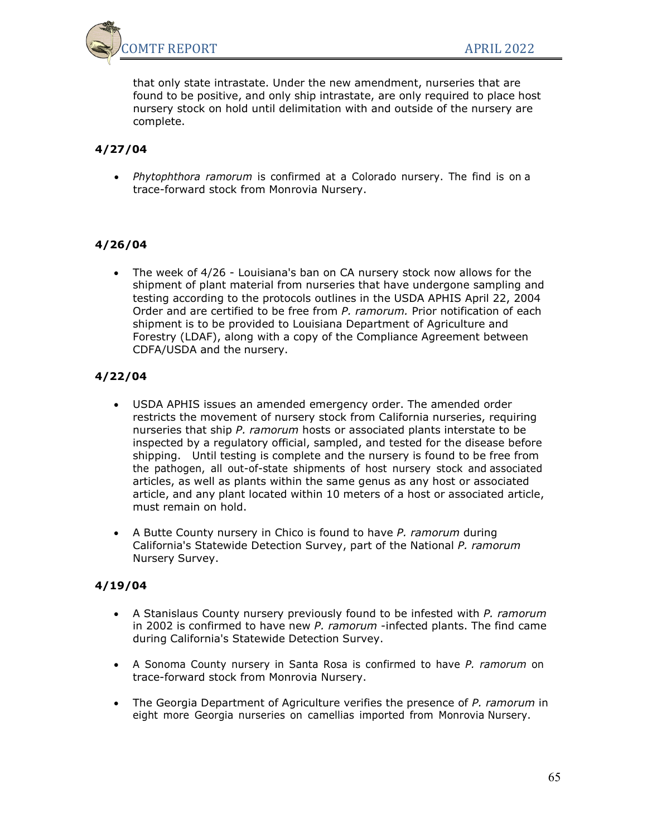

that only state intrastate. Under the new amendment, nurseries that are found to be positive, and only ship intrastate, are only required to place host nursery stock on hold until delimitation with and outside of the nursery are complete.

## **4/27/04**

• *Phytophthora ramorum* is confirmed at a Colorado nursery. The find is on a trace-forward stock from Monrovia Nursery.

## **4/26/04**

• The week of 4/26 - Louisiana's ban on CA nursery stock now allows for the shipment of plant material from nurseries that have undergone sampling and testing according to the protocols outlines in the USDA APHIS April 22, 2004 Order and are certified to be free from *P. ramorum.* Prior notification of each shipment is to be provided to Louisiana Department of Agriculture and Forestry (LDAF), along with a copy of the Compliance Agreement between CDFA/USDA and the nursery.

## **4/22/04**

- USDA APHIS issues an amended emergency order. The amended order restricts the movement of nursery stock from California nurseries, requiring nurseries that ship *P. ramorum* hosts or associated plants interstate to be inspected by a regulatory official, sampled, and tested for the disease before shipping. Until testing is complete and the nursery is found to be free from the pathogen, all out-of-state shipments of host nursery stock and associated articles, as well as plants within the same genus as any host or associated article, and any plant located within 10 meters of a host or associated article, must remain on hold.
- A Butte County nursery in Chico is found to have *P. ramorum* during California's Statewide Detection Survey, part of the National *P. ramorum* Nursery Survey.

#### **4/19/04**

- A Stanislaus County nursery previously found to be infested with *P. ramorum* in 2002 is confirmed to have new *P. ramorum* -infected plants. The find came during California's Statewide Detection Survey.
- A Sonoma County nursery in Santa Rosa is confirmed to have *P. ramorum* on trace-forward stock from Monrovia Nursery.
- The Georgia Department of Agriculture verifies the presence of *P. ramorum* in eight more Georgia nurseries on camellias imported from Monrovia Nursery.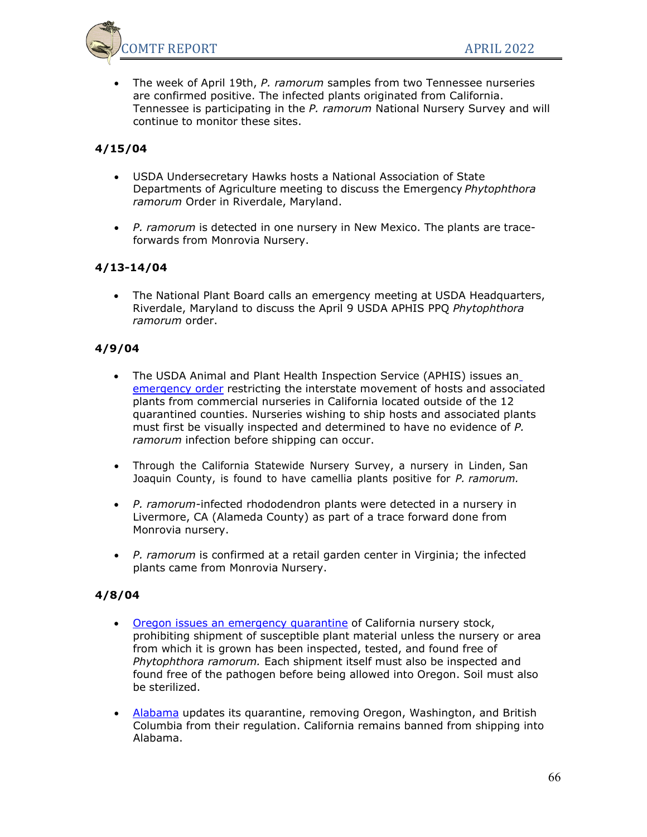

• The week of April 19th, *P. ramorum* samples from two Tennessee nurseries are confirmed positive. The infected plants originated from California. Tennessee is participating in the *P. ramorum* National Nursery Survey and will continue to monitor these sites.

## **4/15/04**

- USDA Undersecretary Hawks hosts a National Association of State Departments of Agriculture meeting to discuss the Emergency *Phytophthora ramorum* Order in Riverdale, Maryland.
- *P. ramorum* is detected in one nursery in New Mexico. The plants are traceforwards from Monrovia Nursery.

## **4/13-14/04**

• The National Plant Board calls an emergency meeting at USDA Headquarters, Riverdale, Maryland to discuss the April 9 USDA APHIS PPQ *Phytophthora ramorum* order.

## **4/9/04**

- The USDA Animal and Plant Health Inspection Service (APHIS) issues an [emergency order](http://www.aphis.usda.gov/ppq/ispm/sod/pdf_files/RestrictingNurseryStockCA040904.pdf) restricting the interstate movement of hosts and associated plants from commercial nurseries in California located outside of the 12 quarantined counties. Nurseries wishing to ship hosts and associated plants must first be visually inspected and determined to have no evidence of *P. ramorum* infection before shipping can occur.
- Through the California Statewide Nursery Survey, a nursery in Linden, San Joaquin County, is found to have camellia plants positive for *P. ramorum.*
- *P. ramorum-*infected rhododendron plants were detected in a nursery in Livermore, CA (Alameda County) as part of a trace forward done from Monrovia nursery.
- *P. ramorum* is confirmed at a retail garden center in Virginia; the infected plants came from Monrovia Nursery.

## **4/8/04**

- [Oregon issues an emergency quarantine](http://www.oregon.gov/ODA/PLANT/docs/pdf/quar_pramorum.pdf) of California nursery stock, prohibiting shipment of susceptible plant material unless the nursery or area from which it is grown has been inspected, tested, and found free of *Phytophthora ramorum.* Each shipment itself must also be inspected and found free of the pathogen before being allowed into Oregon. Soil must also be sterilized.
- [Alabama](http://www.agi.state.al.us/Press/press00037.htm) updates its quarantine, removing Oregon, Washington, and British Columbia from their regulation. California remains banned from shipping into Alabama.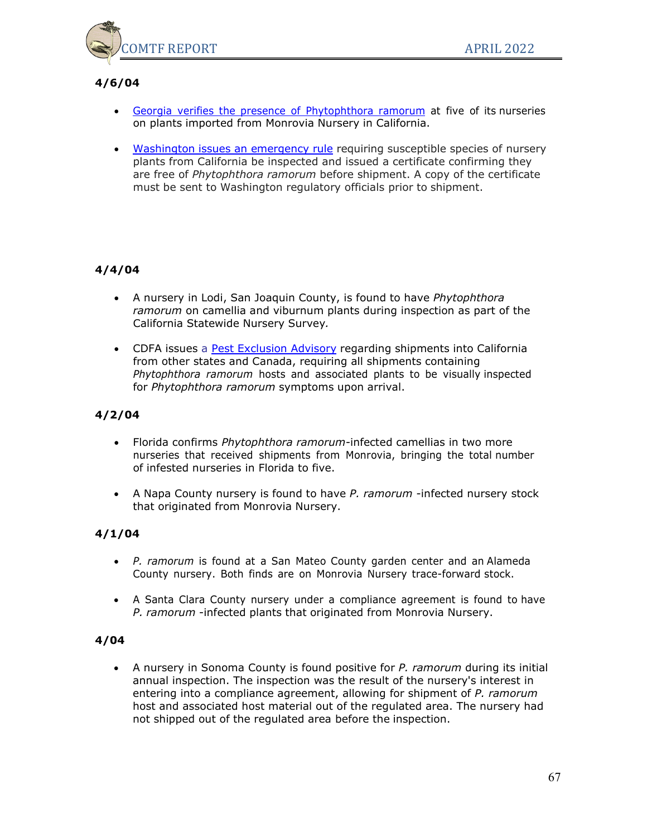

# **4/6/04**

- Georgia verifies the presence of [Phytophthora](http://www.agr.state.ga.us/html/sod_4_6_04.html) ramorum at five of its nurseries on plants imported from Monrovia Nursery in California.
- [Washington issues an emergency rule](http://agr.wa.gov/News/2004/04-28.htm) requiring susceptible species of nursery plants from California be inspected and issued a certificate confirming they are free of *Phytophthora ramorum* before shipment. A copy of the certificate must be sent to Washington regulatory officials prior to shipment.

## **4/4/04**

- A nursery in Lodi, San Joaquin County, is found to have *Phytophthora ramorum* on camellia and viburnum plants during inspection as part of the California Statewide Nursery Survey*.*
- CDFA issues a [Pest Exclusion Advisory](http://nature.berkeley.edu/comtf/pdf/PEA%2014-2004%20Inspection%20Required%20for%20SOD%20Host%20Plants%20Entering%20CA.pdf) regarding shipments into California from other states and Canada, requiring all shipments containing *Phytophthora ramorum* hosts and associated plants to be visually inspected for *Phytophthora ramorum* symptoms upon arrival.

## **4/2/04**

- Florida confirms *Phytophthora ramorum-*infected camellias in two more nurseries that received shipments from Monrovia, bringing the total number of infested nurseries in Florida to five.
- A Napa County nursery is found to have *P. ramorum* -infected nursery stock that originated from Monrovia Nursery.

## **4/1/04**

- *P. ramorum* is found at a San Mateo County garden center and an Alameda County nursery. Both finds are on Monrovia Nursery trace-forward stock.
- A Santa Clara County nursery under a compliance agreement is found to have *P. ramorum* -infected plants that originated from Monrovia Nursery.

## **4/04**

• A nursery in Sonoma County is found positive for *P. ramorum* during its initial annual inspection. The inspection was the result of the nursery's interest in entering into a compliance agreement, allowing for shipment of *P. ramorum* host and associated host material out of the regulated area. The nursery had not shipped out of the regulated area before the inspection.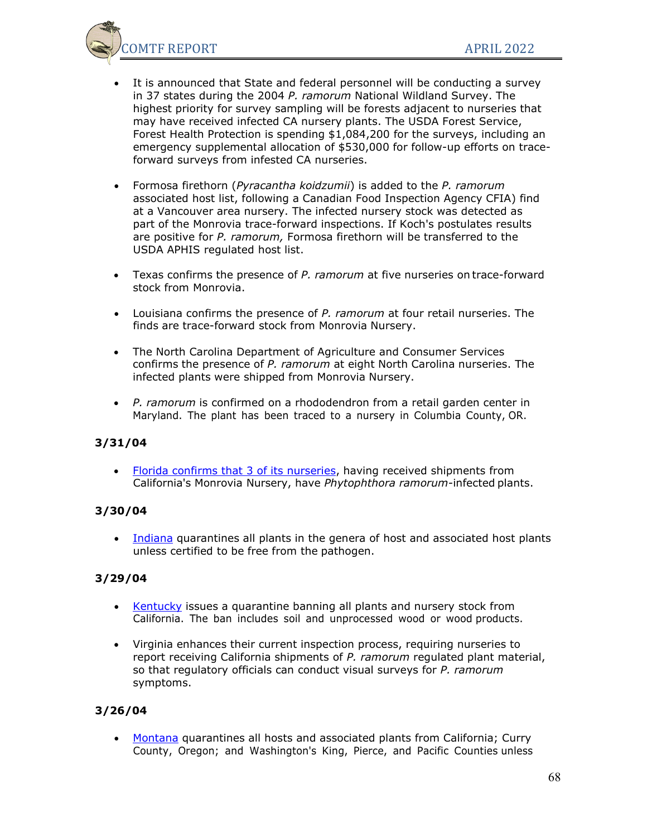

- It is announced that State and federal personnel will be conducting a survey in 37 states during the 2004 *P. ramorum* National Wildland Survey. The highest priority for survey sampling will be forests adjacent to nurseries that may have received infected CA nursery plants. The USDA Forest Service, Forest Health Protection is spending \$1,084,200 for the surveys, including an emergency supplemental allocation of \$530,000 for follow-up efforts on traceforward surveys from infested CA nurseries.
- Formosa firethorn (*Pyracantha koidzumii*) is added to the *P. ramorum* associated host list, following a Canadian Food Inspection Agency CFIA) find at a Vancouver area nursery. The infected nursery stock was detected as part of the Monrovia trace-forward inspections. If Koch's postulates results are positive for *P. ramorum,* Formosa firethorn will be transferred to the USDA APHIS regulated host list.
- Texas confirms the presence of *P. ramorum* at five nurseries on trace-forward stock from Monrovia.
- Louisiana confirms the presence of *P. ramorum* at four retail nurseries. The finds are trace-forward stock from Monrovia Nursery.
- The North Carolina Department of Agriculture and Consumer Services confirms the presence of *P. ramorum* at eight North Carolina nurseries. The infected plants were shipped from Monrovia Nursery.
- *P. ramorum* is confirmed on a rhododendron from a retail garden center in Maryland. The plant has been traced to a nursery in Columbia County, OR.

## **3/31/04**

• [Florida confirms that 3 of its nurseries,](http://doacs.state.fl.us/press/03312004_2.html) having received shipments from California's Monrovia Nursery, have *Phytophthora ramorum-*infected plants.

## **3/30/04**

• [Indiana](http://www.in.gov/dnr/entomolo/programs/SOD.htm) quarantines all plants in the genera of host and associated host plants unless certified to be free from the pathogen.

## **3/29/04**

- [Kentucky](http://www.kyagr.com/pr/news_events/news_events/oak.htm) issues a quarantine banning all plants and nursery stock from California. The ban includes soil and unprocessed wood or wood products.
- Virginia enhances their current inspection process, requiring nurseries to report receiving California shipments of *P. ramorum* regulated plant material, so that regulatory officials can conduct visual surveys for *P. ramorum* symptoms.

## **3/26/04**

• [Montana](http://www.agr.state.mt.us/programs/asd/SODquarantine.pdf) quarantines all hosts and associated plants from California; Curry County, Oregon; and Washington's King, Pierce, and Pacific Counties unless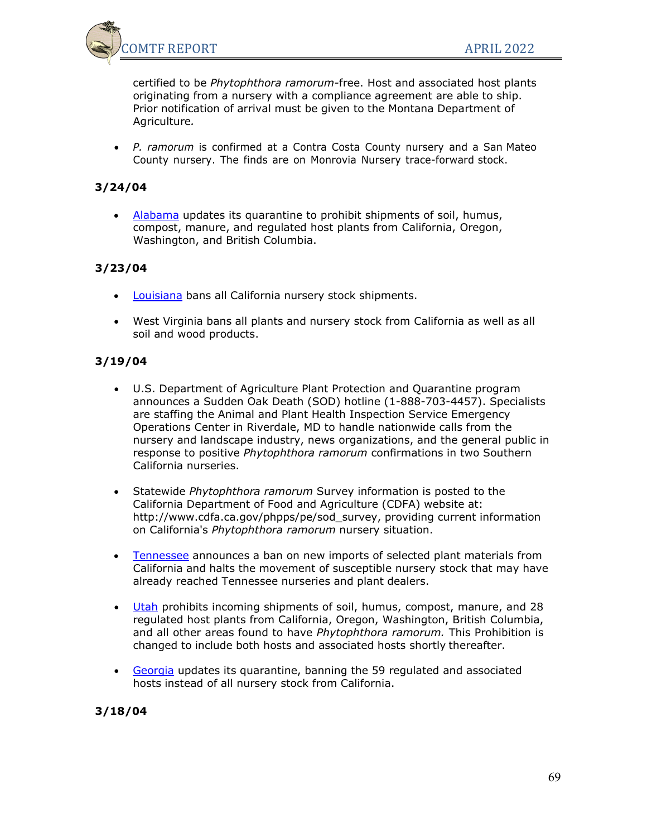

certified to be *Phytophthora ramorum-*free. Host and associated host plants originating from a nursery with a compliance agreement are able to ship. Prior notification of arrival must be given to the Montana Department of Agriculture*.*

• *P. ramorum* is confirmed at a Contra Costa County nursery and a San Mateo County nursery. The finds are on Monrovia Nursery trace-forward stock.

### **3/24/04**

• [Alabama](http://www.agi.state.al.us/PDFs/suddenoakdeath.PDF) updates its quarantine to prohibit shipments of soil, humus, compost, manure, and regulated host plants from California, Oregon, Washington, and British Columbia.

## **3/23/04**

- [Louisiana](http://www.ldaf.state.la.us/SOD%20CA%20Ban.pdf) bans all California nursery stock shipments.
- West Virginia bans all plants and nursery stock from California as well as all soil and wood products.

#### **3/19/04**

- U.S. Department of Agriculture Plant Protection and Quarantine program announces a Sudden Oak Death (SOD) hotline (1-888-703-4457). Specialists are staffing the Animal and Plant Health Inspection Service Emergency Operations Center in Riverdale, MD to handle nationwide calls from the nursery and landscape industry, news organizations, and the general public in response to positive *Phytophthora ramorum* confirmations in two Southern California nurseries.
- Statewide *Phytophthora ramorum* Survey information is posted to the California Department of Food and Agriculture (CDFA) website at: [http://www.cdfa.ca.gov/phpps/pe/sod\\_survey, p](http://www.cdfa.ca.gov/phpps/pe/sod_survey)roviding current information on California's *Phytophthora ramorum* nursery situation.
- [Tennessee](http://www.state.tn.us/agriculture/oakdeath.html) announces a ban on new imports of selected plant materials from California and halts the movement of susceptible nursery stock that may have already reached Tennessee nurseries and plant dealers.
- [Utah](http://www.ag.state.ut.us/pressrel/utahSODquarantine.pdf) prohibits incoming shipments of soil, humus, compost, manure, and 28 regulated host plants from California, Oregon, Washington, British Columbia, and all other areas found to have *Phytophthora ramorum.* This Prohibition is changed to include both hosts and associated hosts shortly thereafter.
- [Georgia](http://atlas2100.agr.state.ga.us/html/california_plant_quarantine.html) updates its quarantine, banning the 59 regulated and associated hosts instead of all nursery stock from California.

#### **3/18/04**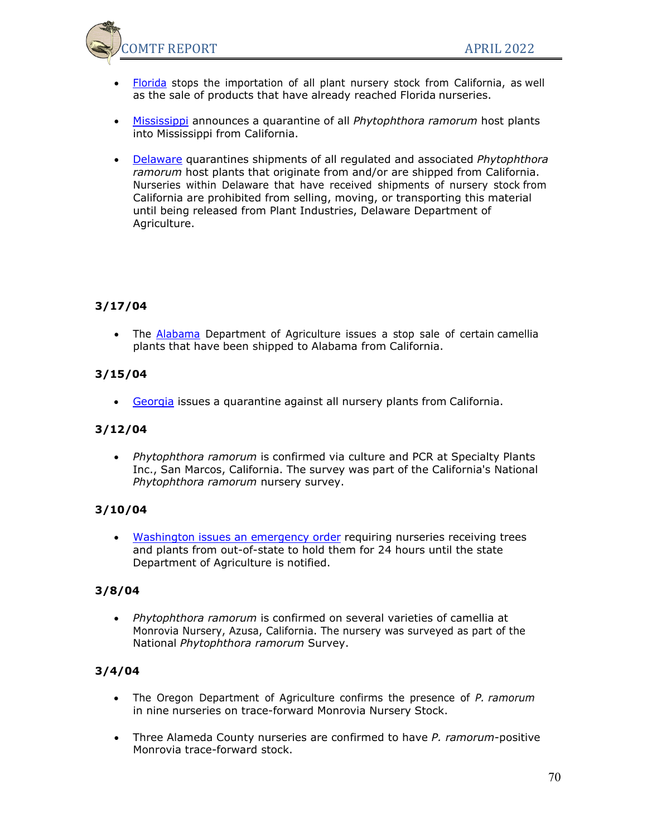

- [Florida](http://doacs.state.fl.us/press/03182004.html) stops the importation of all plant nursery stock from California, as well as the sale of products that have already reached Florida nurseries.
- [Mississippi](http://www.mdac.state.ms.us/Library/AgencyInfo/PressReleases/NurseriesMarch_18_2004.pdf) announces a quarantine of all *Phytophthora ramorum* host plants into Mississippi from California.
- [Delaware](http://www.state.de.us/deptagri/pressrel/SOD%20press%20release1.pdf) quarantines shipments of all regulated and associated *Phytophthora ramorum* host plants that originate from and/or are shipped from California. Nurseries within Delaware that have received shipments of nursery stock from California are prohibited from selling, moving, or transporting this material until being released from Plant Industries, Delaware Department of Agriculture.

## **3/17/04**

• The [Alabama](http://www.agi.state.al.us/Press/press00035.htm) Department of Agriculture issues a stop sale of certain camellia plants that have been shipped to Alabama from California.

## **3/15/04**

• [Georgia](http://atlas2100.agr.state.ga.us/html/sodcalifornia.html) issues a quarantine against all nursery plants from California.

## **3/12/04**

• *Phytophthora ramorum* is confirmed via culture and PCR at Specialty Plants Inc., San Marcos, California. The survey was part of the California's National *Phytophthora ramorum* nursery survey.

## **3/10/04**

• [Washington issues an emergency order](http://agr.wa.gov/PlantsInsects/Rulemaking/docs/NurseryReportingHoldPeriodEMERGENCYLanguageOnly031004.pdf) requiring nurseries receiving trees and plants from out-of-state to hold them for 24 hours until the state Department of Agriculture is notified.

## **3/8/04**

• *Phytophthora ramorum* is confirmed on several varieties of camellia at Monrovia Nursery, Azusa, California. The nursery was surveyed as part of the National *Phytophthora ramorum* Survey.

## **3/4/04**

- The Oregon Department of Agriculture confirms the presence of *P. ramorum* in nine nurseries on trace-forward Monrovia Nursery Stock.
- Three Alameda County nurseries are confirmed to have *P. ramorum*-positive Monrovia trace-forward stock.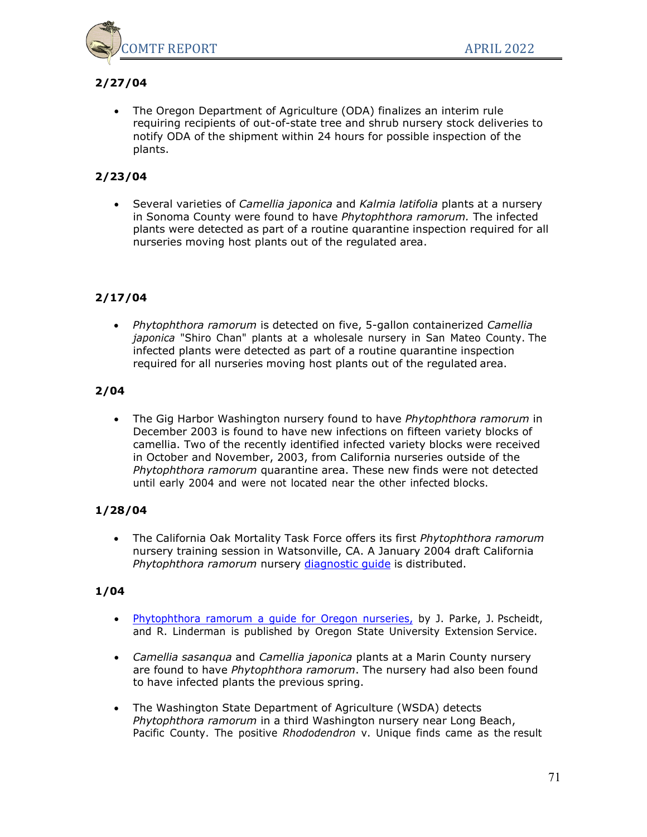

# **2/27/04**

• The Oregon Department of Agriculture (ODA) finalizes an interim rule requiring recipients of out-of-state tree and shrub nursery stock deliveries to notify ODA of the shipment within 24 hours for possible inspection of the plants.

# **2/23/04**

• Several varieties of *Camellia japonica* and *Kalmia latifolia* plants at a nursery in Sonoma County were found to have *Phytophthora ramorum.* The infected plants were detected as part of a routine quarantine inspection required for all nurseries moving host plants out of the regulated area.

# **2/17/04**

• *Phytophthora ramorum* is detected on five, 5-gallon containerized *Camellia japonica* "Shiro Chan" plants at a wholesale nursery in San Mateo County. The infected plants were detected as part of a routine quarantine inspection required for all nurseries moving host plants out of the regulated area.

## **2/04**

• The Gig Harbor Washington nursery found to have *Phytophthora ramorum* in December 2003 is found to have new infections on fifteen variety blocks of camellia. Two of the recently identified infected variety blocks were received in October and November, 2003, from California nurseries outside of the *Phytophthora ramorum* quarantine area. These new finds were not detected until early 2004 and were not located near the other infected blocks.

## **1/28/04**

• The California Oak Mortality Task Force offers its first *Phytophthora ramorum* nursery training session in Watsonville, CA. A January 2004 draft California *Phytophthora ramorum* nursery [diagnostic](http://nature.berkeley.edu/comtf/pdf/NurseryGuideMay04.pdf) guide is distributed.

- [Phytophthora](http://nature.berkeley.edu/comtf/pdf/OSUP.ramorum.pdf) ramorum a guide for Oregon nurseries, by J. Parke, J. Pscheidt, and R. Linderman is published by Oregon State University Extension Service.
- *Camellia sasanqua* and *Camellia japonica* plants at a Marin County nursery are found to have *Phytophthora ramorum*. The nursery had also been found to have infected plants the previous spring.
- The Washington State Department of Agriculture (WSDA) detects *Phytophthora ramorum* in a third Washington nursery near Long Beach, Pacific County. The positive *Rhododendron* v. Unique finds came as the result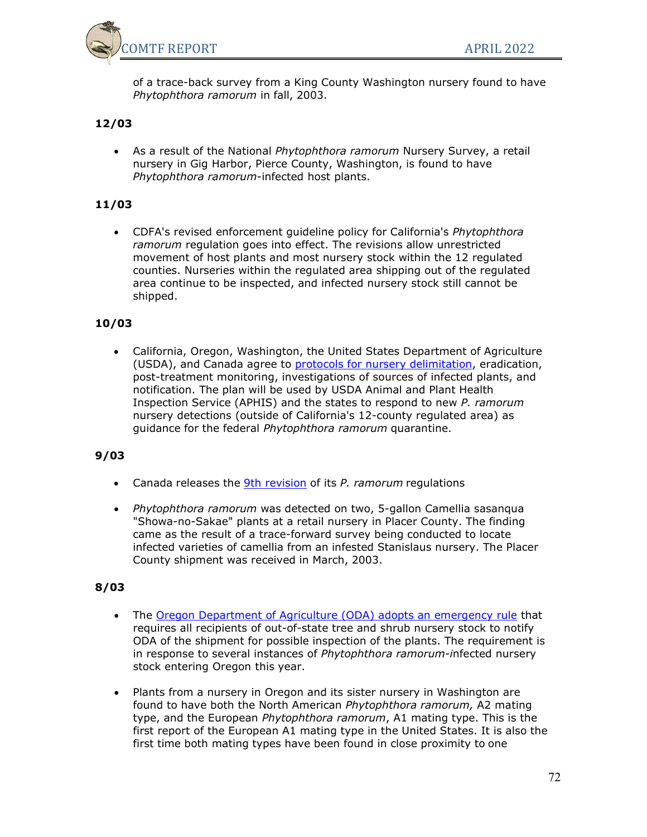

of a trace-back survey from a King County Washington nursery found to have *Phytophthora ramorum* in fall, 2003.

## **12/03**

• As a result of the National *Phytophthora ramorum* Nursery Survey, a retail nursery in Gig Harbor, Pierce County, Washington, is found to have *Phytophthora ramorum*-infected host plants.

### **11/03**

• CDFA's revised enforcement guideline policy for California's *Phytophthora ramorum* regulation goes into effect. The revisions allow unrestricted movement of host plants and most nursery stock within the 12 regulated counties. Nurseries within the regulated area shipping out of the regulated area continue to be inspected, and infected nursery stock still cannot be shipped.

### **10/03**

• California, Oregon, Washington, the United States Department of Agriculture (USDA), and Canada agree to **protocols for nursery delimitation**, eradication, post-treatment monitoring, investigations of sources of infected plants, and notification. The plan will be used by USDA Animal and Plant Health Inspection Service (APHIS) and the states to respond to new *P. ramorum* nursery detections (outside of California's 12-county regulated area) as guidance for the federal *Phytophthora ramorum* quarantine.

## **9/03**

- Canada releases the [9th revision](http://www.inspection.gc.ca/english/plaveg/protect/dir/d-01-01e.shtml) of its *P. ramorum* regulations
- *Phytophthora ramorum* was detected on two, 5-gallon Camellia sasanqua "Showa-no-Sakae" plants at a retail nursery in Placer County. The finding came as the result of a trace-forward survey being conducted to locate infected varieties of camellia from an infested Stanislaus nursery. The Placer County shipment was received in March, 2003.

- The [Oregon Department of Agriculture \(ODA\) adopts an emergency rule](http://oregon.gov/ODA/PLANT/NURSERY/reg_sod.shtml) that requires all recipients of out-of-state tree and shrub nursery stock to notify ODA of the shipment for possible inspection of the plants. The requirement is in response to several instances of *Phytophthora ramorum-i*nfected nursery stock entering Oregon this year.
- Plants from a nursery in Oregon and its sister nursery in Washington are found to have both the North American *Phytophthora ramorum,* A2 mating type, and the European *Phytophthora ramorum*, A1 mating type. This is the first report of the European A1 mating type in the United States. It is also the first time both mating types have been found in close proximity to one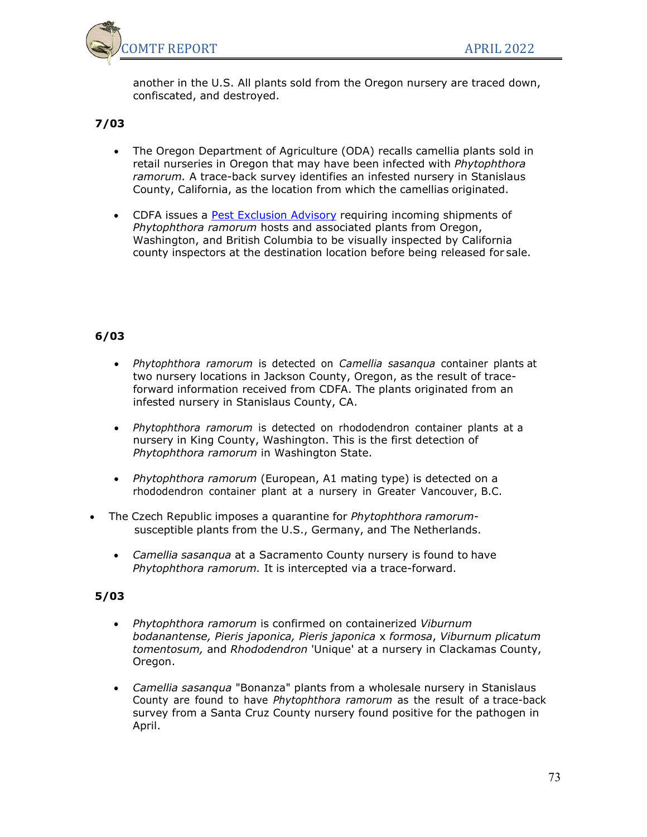

another in the U.S. All plants sold from the Oregon nursery are traced down, confiscated, and destroyed.

# **7/03**

- The Oregon Department of Agriculture (ODA) recalls camellia plants sold in retail nurseries in Oregon that may have been infected with *Phytophthora ramorum.* A trace-back survey identifies an infested nursery in Stanislaus County, California, as the location from which the camellias originated.
- CDFA issues a [Pest Exclusion Advisory](http://nature.berkeley.edu/comtf/pdf/PEA%2019-2003%20Phytophthora%20ramorum%20A1%20in%20Oregon.pdf) requiring incoming shipments of *Phytophthora ramorum* hosts and associated plants from Oregon, Washington, and British Columbia to be visually inspected by California county inspectors at the destination location before being released for sale.

## **6/03**

- *Phytophthora ramorum* is detected on *Camellia sasanqua* container plants at two nursery locations in Jackson County, Oregon, as the result of traceforward information received from CDFA. The plants originated from an infested nursery in Stanislaus County, CA.
- *Phytophthora ramorum* is detected on rhododendron container plants at a nursery in King County, Washington. This is the first detection of *Phytophthora ramorum* in Washington State.
- *Phytophthora ramorum* (European, A1 mating type) is detected on a rhododendron container plant at a nursery in Greater Vancouver, B.C.
- The Czech Republic imposes a quarantine for *Phytophthora ramorum*susceptible plants from the U.S., Germany, and The Netherlands.
	- *Camellia sasanqua* at a Sacramento County nursery is found to have *Phytophthora ramorum.* It is intercepted via a trace-forward.

### **5/03**

- *Phytophthora ramorum* is confirmed on containerized *Viburnum bodanantense, Pieris japonica, Pieris japonica* x *formosa*, *Viburnum plicatum tomentosum,* and *Rhododendron* 'Unique' at a nursery in Clackamas County, Oregon.
- *Camellia sasanqua* "Bonanza" plants from a wholesale nursery in Stanislaus County are found to have *Phytophthora ramorum* as the result of a trace-back survey from a Santa Cruz County nursery found positive for the pathogen in April.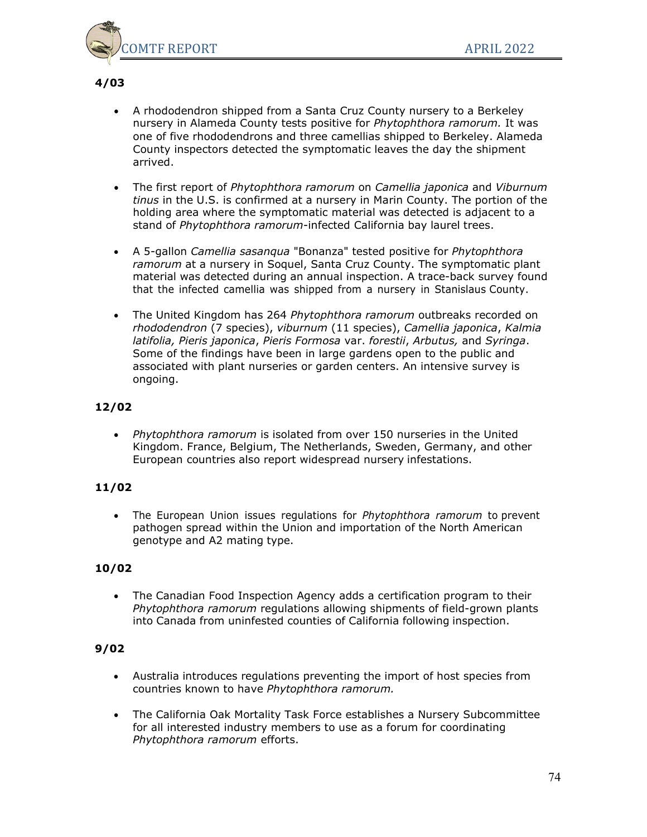

#### **4/03**

- A rhododendron shipped from a Santa Cruz County nursery to a Berkeley nursery in Alameda County tests positive for *Phytophthora ramorum.* It was one of five rhododendrons and three camellias shipped to Berkeley. Alameda County inspectors detected the symptomatic leaves the day the shipment arrived.
- The first report of *Phytophthora ramorum* on *Camellia japonica* and *Viburnum tinus* in the U.S. is confirmed at a nursery in Marin County. The portion of the holding area where the symptomatic material was detected is adjacent to a stand of *Phytophthora ramorum*-infected California bay laurel trees.
- A 5-gallon *Camellia sasanqua* "Bonanza" tested positive for *Phytophthora ramorum* at a nursery in Soquel, Santa Cruz County. The symptomatic plant material was detected during an annual inspection. A trace-back survey found that the infected camellia was shipped from a nursery in Stanislaus County.
- The United Kingdom has 264 *Phytophthora ramorum* outbreaks recorded on *rhododendron* (7 species), *viburnum* (11 species), *Camellia japonica*, *Kalmia latifolia, Pieris japonica*, *Pieris Formosa* var. *forestii*, *Arbutus,* and *Syringa*. Some of the findings have been in large gardens open to the public and associated with plant nurseries or garden centers. An intensive survey is ongoing.

## **12/02**

• *Phytophthora ramorum* is isolated from over 150 nurseries in the United Kingdom. France, Belgium, The Netherlands, Sweden, Germany, and other European countries also report widespread nursery infestations.

### **11/02**

• The European Union issues regulations for *Phytophthora ramorum* to prevent pathogen spread within the Union and importation of the North American genotype and A2 mating type.

### **10/02**

• The Canadian Food Inspection Agency adds a certification program to their *Phytophthora ramorum* regulations allowing shipments of field-grown plants into Canada from uninfested counties of California following inspection.

### **9/02**

- Australia introduces regulations preventing the import of host species from countries known to have *Phytophthora ramorum.*
- The California Oak Mortality Task Force establishes a Nursery Subcommittee for all interested industry members to use as a forum for coordinating *Phytophthora ramorum* efforts.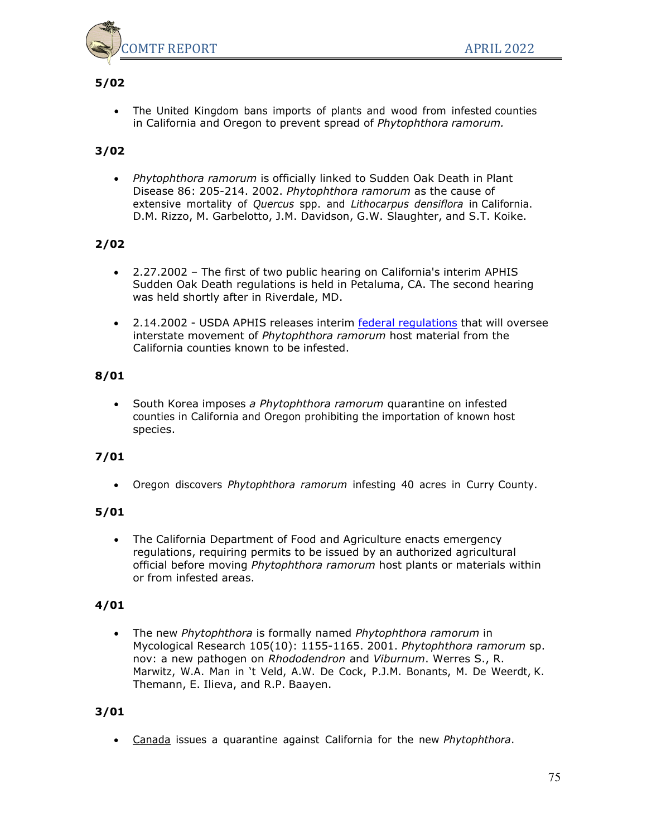

# **5/02**

• The United Kingdom bans imports of plants and wood from infested counties in California and Oregon to prevent spread of *Phytophthora ramorum.*

# **3/02**

• *Phytophthora ramorum* is officially linked to Sudden Oak Death in Plant Disease 86: 205-214. 2002. *Phytophthora ramorum* as the cause of extensive mortality of *Quercus* spp. and *Lithocarpus densiflora* in California. D.M. Rizzo, M. Garbelotto, J.M. Davidson, G.W. Slaughter, and S.T. Koike.

### **2/02**

- 2.27.2002 The first of two public hearing on California's interim APHIS Sudden Oak Death regulations is held in Petaluma, CA. The second hearing was held shortly after in Riverdale, MD.
- 2.14.2002 USDA APHIS releases interim federal [regulations](http://www.aphis.usda.gov/ppq/ispm/sod/pdf_files/7CFR30192.pdf) that will oversee interstate movement of *Phytophthora ramorum* host material from the California counties known to be infested.

### **8/01**

• South Korea imposes *a Phytophthora ramorum* quarantine on infested counties in California and Oregon prohibiting the importation of known host species.

### **7/01**

• Oregon discovers *Phytophthora ramorum* infesting 40 acres in Curry County.

### **5/01**

• The California Department of Food and Agriculture enacts emergency regulations, requiring permits to be issued by an authorized agricultural official before moving *Phytophthora ramorum* host plants or materials within or from infested areas.

### **4/01**

• The new *Phytophthora* is formally named *Phytophthora ramorum* in Mycological Research 105(10): 1155-1165. 2001. *Phytophthora ramorum* sp. nov: a new pathogen on *Rhododendron* and *Viburnum*. Werres S., R. Marwitz, W.A. Man in 't Veld, A.W. De Cock, P.J.M. Bonants, M. De Weerdt, K. Themann, E. Ilieva, and R.P. Baayen.

### **3/01**

• [Canada](http://www.inspection.gc.ca/english/plaveg/pestrava/phyram/sodmsce.shtml) issues a quarantine against California for the new *Phytophthora*.